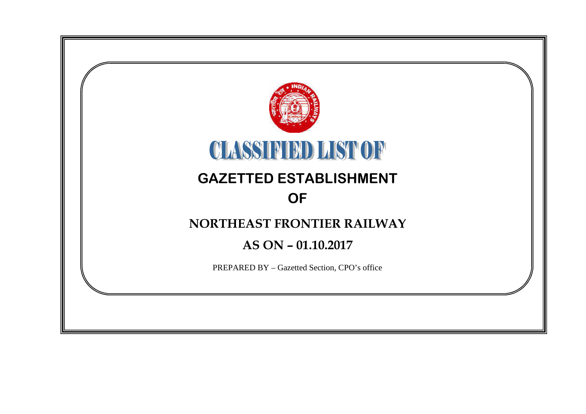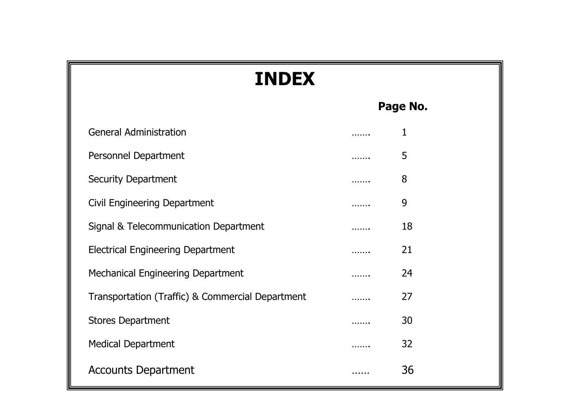| <b>INDEX</b>                                     |   |             |  |  |  |  |  |  |  |
|--------------------------------------------------|---|-------------|--|--|--|--|--|--|--|
|                                                  |   | Page No.    |  |  |  |  |  |  |  |
| <b>General Administration</b>                    |   | $\mathbf 1$ |  |  |  |  |  |  |  |
| Personnel Department                             | . | 5           |  |  |  |  |  |  |  |
| <b>Security Department</b>                       |   | 8           |  |  |  |  |  |  |  |
| Civil Engineering Department                     |   | 9           |  |  |  |  |  |  |  |
| Signal & Telecommunication Department            | . | 18          |  |  |  |  |  |  |  |
| <b>Electrical Engineering Department</b>         |   | 21          |  |  |  |  |  |  |  |
| Mechanical Engineering Department                |   | 24          |  |  |  |  |  |  |  |
| Transportation (Traffic) & Commercial Department |   | 27          |  |  |  |  |  |  |  |
| <b>Stores Department</b>                         |   | 30          |  |  |  |  |  |  |  |
| <b>Medical Department</b>                        |   | 32          |  |  |  |  |  |  |  |
| <b>Accounts Department</b>                       |   | 36          |  |  |  |  |  |  |  |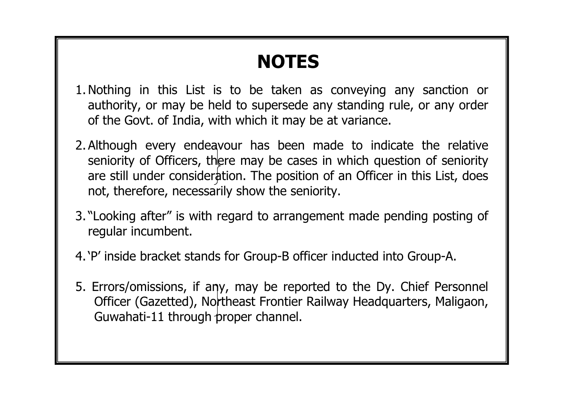# **NOTES**

- 1.Nothing in this List is to be taken as conveying any sanction or authority, or may be held to supersede any standing rule, or any order of the Govt. of India, with which it may be at variance.
- 2. Although every endeavour has been made to indicate the relative seniority of Officers, there may be cases in which question of seniority are still under consideration. The position of an Officer in this List, does not, therefore, necessarily show the seniority.
- 3. "Looking after" is with regard to arrangement made pending posting of regular incumbent.
- 4.'P' inside bracket stands for Group-B officer inducted into Group-A.
- 5. Errors/omissions, if any, may be reported to the Dy. Chief Personnel Officer (Gazetted), Northeast Frontier Railway Headquarters, Maligaon, Guwahati-11 through proper channel.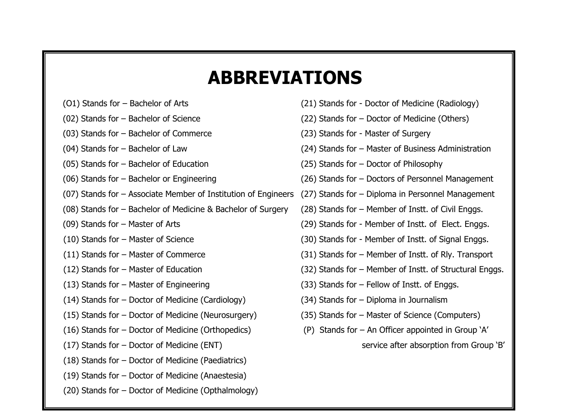# **ABBREVIATIONS**

- 
- 
- (03) Stands for Bachelor of Commerce (23) Stands for Master of Surgery
- 
- (05) Stands for Bachelor of Education (25) Stands for Doctor of Philosophy
- 
- (07) Stands for Associate Member of Institution of Engineers (27) Stands for Diploma in Personnel Management
- (08) Stands for Bachelor of Medicine & Bachelor of Surgery (28) Stands for Member of Instt. of Civil Enggs.
- 
- 
- 
- 
- 
- (14) Stands for Doctor of Medicine (Cardiology) (34) Stands for Diploma in Journalism
- (15) Stands for Doctor of Medicine (Neurosurgery) (35) Stands for Master of Science (Computers)
- (16) Stands for Doctor of Medicine (Orthopedics) (P) Stands for An Officer appointed in Group 'A'
- (17) Stands for Doctor of Medicine (ENT) service after absorption from Group 'B'
- (18) Stands for Doctor of Medicine (Paediatrics)
- (19) Stands for Doctor of Medicine (Anaestesia)
- (20) Stands for Doctor of Medicine (Opthalmology)
- (O1) Stands for Bachelor of Arts (21) Stands for Doctor of Medicine (Radiology)
- (02) Stands for Bachelor of Science (22) Stands for Doctor of Medicine (Others)
	-
- (04) Stands for Bachelor of Law (24) Stands for Master of Business Administration
	-
- (06) Stands for Bachelor or Engineering (26) Stands for Doctors of Personnel Management
	-
	-
- (09) Stands for Master of Arts (29) Stands for Member of Instt. of Elect. Enggs.
- (10) Stands for Master of Science (30) Stands for Member of Instt. of Signal Enggs.
- (11) Stands for Master of Commerce (31) Stands for Member of Instt. of Rly. Transport
- (12) Stands for Master of Education (32) Stands for Member of Instt. of Structural Enggs.
- (13) Stands for Master of Engineering (33) Stands for Fellow of Instt. of Enggs.
	-
	-
	- -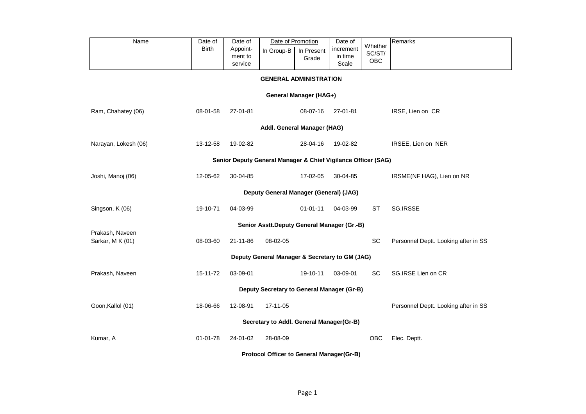| Name                                                          | Date of<br><b>Birth</b> | Date of<br>Appoint-<br>ment to<br>service | In Group-B                                       | Date of Promotion<br>In Present<br>Grade | Date of<br>increment<br>in time<br>Scale | Whether<br>SC/ST/<br>OBC | Remarks                              |  |  |  |  |  |
|---------------------------------------------------------------|-------------------------|-------------------------------------------|--------------------------------------------------|------------------------------------------|------------------------------------------|--------------------------|--------------------------------------|--|--|--|--|--|
| <b>GENERAL ADMINISTRATION</b>                                 |                         |                                           |                                                  |                                          |                                          |                          |                                      |  |  |  |  |  |
|                                                               |                         |                                           |                                                  | General Manager (HAG+)                   |                                          |                          |                                      |  |  |  |  |  |
| Ram, Chahatey (06)                                            | 08-01-58                | 27-01-81                                  |                                                  | 08-07-16                                 | 27-01-81                                 |                          | IRSE, Lien on CR                     |  |  |  |  |  |
| Addl. General Manager (HAG)                                   |                         |                                           |                                                  |                                          |                                          |                          |                                      |  |  |  |  |  |
| Narayan, Lokesh (06)                                          | 13-12-58                | 19-02-82                                  |                                                  | 28-04-16                                 | 19-02-82                                 |                          | IRSEE, Lien on NER                   |  |  |  |  |  |
| Senior Deputy General Manager & Chief Vigilance Officer (SAG) |                         |                                           |                                                  |                                          |                                          |                          |                                      |  |  |  |  |  |
| Joshi, Manoj (06)                                             | 12-05-62                | 30-04-85                                  |                                                  | 17-02-05                                 | 30-04-85                                 |                          | IRSME(NF HAG), Lien on NR            |  |  |  |  |  |
| Deputy General Manager (General) (JAG)                        |                         |                                           |                                                  |                                          |                                          |                          |                                      |  |  |  |  |  |
| Singson, K (06)                                               | 19-10-71                | 04-03-99                                  |                                                  | $01 - 01 - 11$                           | 04-03-99                                 | ST                       | SG, IRSSE                            |  |  |  |  |  |
|                                                               |                         |                                           | Senior Asstt.Deputy General Manager (Gr.-B)      |                                          |                                          |                          |                                      |  |  |  |  |  |
| Prakash, Naveen<br>Sarkar, MK (01)                            | 08-03-60                | 21-11-86                                  | 08-02-05                                         |                                          |                                          | SC                       | Personnel Deptt. Looking after in SS |  |  |  |  |  |
|                                                               |                         |                                           | Deputy General Manager & Secretary to GM (JAG)   |                                          |                                          |                          |                                      |  |  |  |  |  |
| Prakash, Naveen                                               | 15-11-72                | 03-09-01                                  |                                                  | 19-10-11                                 | 03-09-01                                 | SC                       | SG, IRSE Lien on CR                  |  |  |  |  |  |
|                                                               |                         |                                           | Deputy Secretary to General Manager (Gr-B)       |                                          |                                          |                          |                                      |  |  |  |  |  |
| Goon, Kallol (01)                                             | 18-06-66                | 12-08-91                                  | 17-11-05                                         |                                          |                                          |                          | Personnel Deptt. Looking after in SS |  |  |  |  |  |
|                                                               |                         |                                           | Secretary to Addl. General Manager(Gr-B)         |                                          |                                          |                          |                                      |  |  |  |  |  |
| Kumar, A                                                      | 01-01-78                | 24-01-02                                  | 28-08-09                                         |                                          |                                          | OBC                      | Elec. Deptt.                         |  |  |  |  |  |
|                                                               |                         |                                           | <b>Protocol Officer to General Manager(Gr-B)</b> |                                          |                                          |                          |                                      |  |  |  |  |  |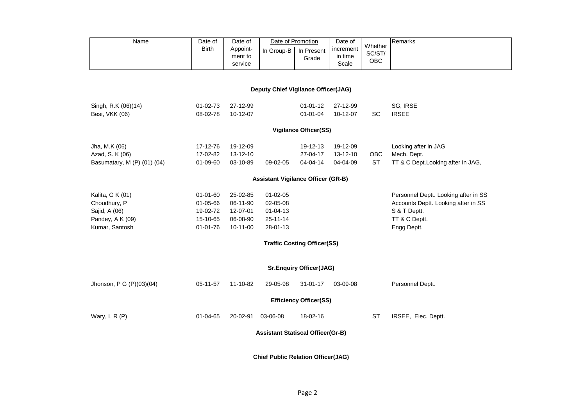| Name                                      | Date of<br><b>Birth</b> | Date of<br>Appoint-<br>ment to | In Group-B                               | Date of Promotion<br>In Present    | Date of<br>increment<br>in time | Whether<br>SC/ST/ | Remarks                              |  |  |  |  |  |
|-------------------------------------------|-------------------------|--------------------------------|------------------------------------------|------------------------------------|---------------------------------|-------------------|--------------------------------------|--|--|--|--|--|
|                                           |                         | service                        |                                          | Grade                              | Scale                           | OBC               |                                      |  |  |  |  |  |
|                                           |                         |                                |                                          |                                    |                                 |                   |                                      |  |  |  |  |  |
| Deputy Chief Vigilance Officer(JAG)       |                         |                                |                                          |                                    |                                 |                   |                                      |  |  |  |  |  |
| Singh, R.K (06)(14)                       | $01 - 02 - 73$          | 27-12-99                       |                                          | $01 - 01 - 12$                     | 27-12-99                        |                   | SG, IRSE                             |  |  |  |  |  |
| Besi, VKK (06)                            | 08-02-78                | 10-12-07                       |                                          | $01 - 01 - 04$                     | 10-12-07                        | <b>SC</b>         | <b>IRSEE</b>                         |  |  |  |  |  |
| <b>Vigilance Officer(SS)</b>              |                         |                                |                                          |                                    |                                 |                   |                                      |  |  |  |  |  |
| Jha, M.K (06)                             | 17-12-76                | 19-12-09                       |                                          | 19-12-13                           | 19-12-09                        |                   | Looking after in JAG                 |  |  |  |  |  |
| Azad, S. K (06)                           | 17-02-82                | 13-12-10                       |                                          | 27-04-17                           | 13-12-10                        | OBC               | Mech. Dept.                          |  |  |  |  |  |
| Basumatary, M (P) (01) (04)               | 01-09-60                | 03-10-89                       | 09-02-05                                 | 04-04-14                           | 04-04-09                        | <b>ST</b>         | TT & C Dept.Looking after in JAG,    |  |  |  |  |  |
| <b>Assistant Vigilance Officer (GR-B)</b> |                         |                                |                                          |                                    |                                 |                   |                                      |  |  |  |  |  |
| Kalita, G K (01)                          | 01-01-60                | 25-02-85                       | 01-02-05                                 |                                    |                                 |                   | Personnel Deptt. Looking after in SS |  |  |  |  |  |
| Choudhury, P                              | 01-05-66                | 06-11-90                       | 02-05-08                                 |                                    |                                 |                   | Accounts Deptt. Looking after in SS  |  |  |  |  |  |
| Sajid, A (06)                             | 19-02-72                | 12-07-01                       | $01 - 04 - 13$                           |                                    |                                 |                   | S & T Deptt.                         |  |  |  |  |  |
| Pandey, A K (09)                          | 15-10-65                | 06-08-90                       | 25-11-14                                 |                                    |                                 |                   | TT & C Deptt.                        |  |  |  |  |  |
| Kumar, Santosh                            | 01-01-76                | $10 - 11 - 00$                 | 28-01-13                                 |                                    |                                 |                   | Engg Deptt.                          |  |  |  |  |  |
|                                           |                         |                                |                                          | <b>Traffic Costing Officer(SS)</b> |                                 |                   |                                      |  |  |  |  |  |
|                                           |                         |                                |                                          | <b>Sr.Enquiry Officer(JAG)</b>     |                                 |                   |                                      |  |  |  |  |  |
| Jhonson, P G (P)(03)(04)                  | 05-11-57                | 11-10-82                       | 29-05-98                                 | $31 - 01 - 17$                     | 03-09-08                        |                   | Personnel Deptt.                     |  |  |  |  |  |
|                                           |                         |                                |                                          | <b>Efficiency Officer(SS)</b>      |                                 |                   |                                      |  |  |  |  |  |
| Wary, L R (P)                             | 01-04-65                | 20-02-91                       | 03-06-08                                 | 18-02-16                           |                                 | <b>ST</b>         | IRSEE, Elec. Deptt.                  |  |  |  |  |  |
|                                           |                         |                                | <b>Assistant Statiscal Officer(Gr-B)</b> |                                    |                                 |                   |                                      |  |  |  |  |  |
|                                           |                         |                                |                                          |                                    |                                 |                   |                                      |  |  |  |  |  |

**Chief Public Relation Officer(JAG)**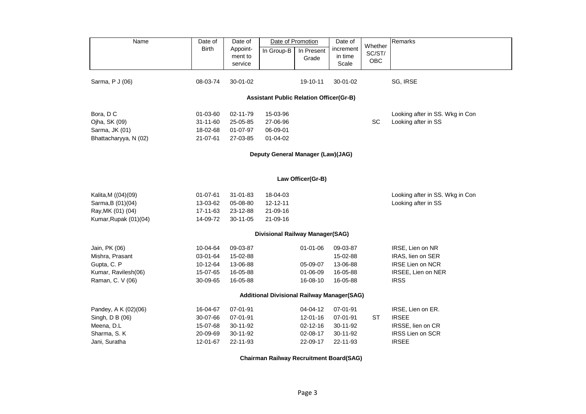| Name                                           | Date of      | Date of  |                                                   | Date of Promotion | Date of   |                   | Remarks                         |  |  |  |  |
|------------------------------------------------|--------------|----------|---------------------------------------------------|-------------------|-----------|-------------------|---------------------------------|--|--|--|--|
|                                                | <b>Birth</b> | Appoint- | In Group-B                                        | In Present        | increment | Whether<br>SC/ST/ |                                 |  |  |  |  |
|                                                |              | ment to  |                                                   | Grade             | in time   | OBC               |                                 |  |  |  |  |
|                                                |              | service  |                                                   |                   | Scale     |                   |                                 |  |  |  |  |
| Sarma, P J (06)                                | 08-03-74     | 30-01-02 |                                                   | 19-10-11          | 30-01-02  |                   | SG, IRSE                        |  |  |  |  |
| <b>Assistant Public Relation Officer(Gr-B)</b> |              |          |                                                   |                   |           |                   |                                 |  |  |  |  |
| Bora, DC                                       | 01-03-60     | 02-11-79 | 15-03-96                                          |                   |           |                   | Looking after in SS. Wkg in Con |  |  |  |  |
| Ojha, SK (09)                                  | 31-11-60     | 25-05-85 | 27-06-96                                          |                   |           | SC                | Looking after in SS             |  |  |  |  |
| Sarma, JK (01)                                 | 18-02-68     | 01-07-97 | 06-09-01                                          |                   |           |                   |                                 |  |  |  |  |
| Bhattacharyya, N (02)                          | 21-07-61     | 27-03-85 | $01 - 04 - 02$                                    |                   |           |                   |                                 |  |  |  |  |
| Deputy General Manager (Law)(JAG)              |              |          |                                                   |                   |           |                   |                                 |  |  |  |  |
| Law Officer(Gr-B)                              |              |          |                                                   |                   |           |                   |                                 |  |  |  |  |
| Kalita, M ((04)(09)                            | 01-07-61     | 31-01-83 | 18-04-03                                          |                   |           |                   | Looking after in SS. Wkg in Con |  |  |  |  |
| Sarma, B (01)(04)                              | 13-03-62     | 05-08-80 | 12-12-11                                          |                   |           |                   | Looking after in SS             |  |  |  |  |
| Ray, MK (01) (04)                              | 17-11-63     | 23-12-88 | 21-09-16                                          |                   |           |                   |                                 |  |  |  |  |
| Kumar, Rupak (01)(04)                          | 14-09-72     | 30-11-05 | 21-09-16                                          |                   |           |                   |                                 |  |  |  |  |
|                                                |              |          | <b>Divisional Railway Manager(SAG)</b>            |                   |           |                   |                                 |  |  |  |  |
| Jain, PK (06)                                  | 10-04-64     | 09-03-87 |                                                   | $01 - 01 - 06$    | 09-03-87  |                   | IRSE, Lien on NR                |  |  |  |  |
| Mishra, Prasant                                | 03-01-64     | 15-02-88 |                                                   |                   | 15-02-88  |                   | IRAS, lien on SER               |  |  |  |  |
| Gupta, C. P                                    | 10-12-64     | 13-06-88 |                                                   | 05-09-07          | 13-06-88  |                   | IRSE Lien on NCR                |  |  |  |  |
| Kumar, Ravilesh(06)                            | 15-07-65     | 16-05-88 |                                                   | 01-06-09          | 16-05-88  |                   | IRSEE, Lien on NER              |  |  |  |  |
| Raman, C. V (06)                               | 30-09-65     | 16-05-88 |                                                   | 16-08-10          | 16-05-88  |                   | <b>IRSS</b>                     |  |  |  |  |
|                                                |              |          | <b>Additional Divisional Railway Manager(SAG)</b> |                   |           |                   |                                 |  |  |  |  |
| Pandey, A K (02)(06)                           | 16-04-67     | 07-01-91 |                                                   | 04-04-12          | 07-01-91  |                   | IRSE, Lien on ER.               |  |  |  |  |
| Singh, D B (06)                                | 30-07-66     | 07-01-91 |                                                   | 12-01-16          | 07-01-91  | ST                | <b>IRSEE</b>                    |  |  |  |  |
| Meena, D.L                                     | 15-07-68     | 30-11-92 |                                                   | $02 - 12 - 16$    | 30-11-92  |                   | IRSSE, lien on CR               |  |  |  |  |
| Sharma, S. K                                   | 20-09-69     | 30-11-92 |                                                   | 02-08-17          | 30-11-92  |                   | IRSS Lien on SCR                |  |  |  |  |
| Jani, Suratha                                  | 12-01-67     | 22-11-93 |                                                   | 22-09-17          | 22-11-93  |                   | <b>IRSEE</b>                    |  |  |  |  |

**Chairman Railway Recruitment Board(SAG)**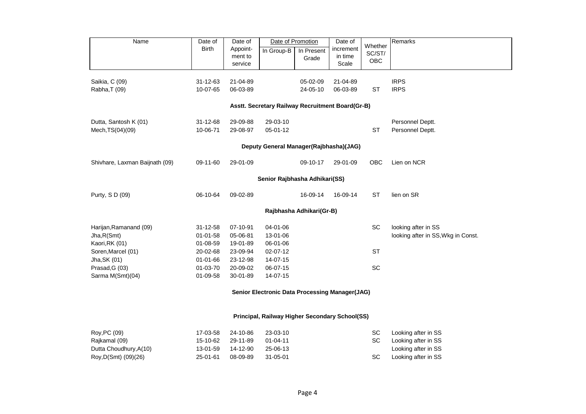| Name                                             | Date of        | Date of            | Date of Promotion                                     |                          | Date of          |                   | Remarks                            |  |  |  |  |  |
|--------------------------------------------------|----------------|--------------------|-------------------------------------------------------|--------------------------|------------------|-------------------|------------------------------------|--|--|--|--|--|
|                                                  | <b>Birth</b>   | Appoint-           | In Group-B                                            | In Present               | increment        | Whether<br>SC/ST/ |                                    |  |  |  |  |  |
|                                                  |                | ment to<br>service |                                                       | Grade                    | in time<br>Scale | <b>OBC</b>        |                                    |  |  |  |  |  |
|                                                  |                |                    |                                                       |                          |                  |                   |                                    |  |  |  |  |  |
| Saikia, C (09)                                   | 31-12-63       | 21-04-89           |                                                       | 05-02-09                 | 21-04-89         |                   | <b>IRPS</b>                        |  |  |  |  |  |
| Rabha, T (09)                                    | 10-07-65       | 06-03-89           |                                                       | 24-05-10                 | 06-03-89         | <b>ST</b>         | <b>IRPS</b>                        |  |  |  |  |  |
| Asstt. Secretary Railway Recruitment Board(Gr-B) |                |                    |                                                       |                          |                  |                   |                                    |  |  |  |  |  |
| Dutta, Santosh K (01)                            | 31-12-68       | 29-09-88           | 29-03-10                                              |                          |                  |                   | Personnel Deptt.                   |  |  |  |  |  |
| Mech, TS(04)(09)                                 | 10-06-71       | 29-08-97           | 05-01-12                                              |                          |                  | <b>ST</b>         | Personnel Deptt.                   |  |  |  |  |  |
| Deputy General Manager(Rajbhasha)(JAG)           |                |                    |                                                       |                          |                  |                   |                                    |  |  |  |  |  |
|                                                  |                |                    |                                                       |                          |                  |                   |                                    |  |  |  |  |  |
| Shivhare, Laxman Baijnath (09)                   | 09-11-60       | 29-01-09           |                                                       | 09-10-17                 | 29-01-09         | OBC               | Lien on NCR                        |  |  |  |  |  |
| Senior Rajbhasha Adhikari(SS)                    |                |                    |                                                       |                          |                  |                   |                                    |  |  |  |  |  |
| Purty, S D (09)                                  | 06-10-64       | 09-02-89           |                                                       | 16-09-14                 | 16-09-14         | ST                | lien on SR                         |  |  |  |  |  |
|                                                  |                |                    |                                                       | Rajbhasha Adhikari(Gr-B) |                  |                   |                                    |  |  |  |  |  |
| Harijan, Ramanand (09)                           | 31-12-58       | 07-10-91           | 04-01-06                                              |                          |                  | SC                | looking after in SS                |  |  |  |  |  |
| Jha, R(Smt)                                      | $01 - 01 - 58$ | 05-06-81           | 13-01-06                                              |                          |                  |                   | looking after in SS, Wkg in Const. |  |  |  |  |  |
| Kaori, RK (01)                                   | 01-08-59       | 19-01-89           | 06-01-06                                              |                          |                  |                   |                                    |  |  |  |  |  |
| Soren, Marcel (01)                               | 20-02-68       | 23-09-94           | 02-07-12                                              |                          |                  | <b>ST</b>         |                                    |  |  |  |  |  |
| Jha, SK (01)                                     | 01-01-66       | 23-12-98           | 14-07-15                                              |                          |                  |                   |                                    |  |  |  |  |  |
| Prasad, G (03)                                   | 01-03-70       | 20-09-02           | 06-07-15                                              |                          |                  | SC                |                                    |  |  |  |  |  |
| Sarma M(Smt)(04)                                 | 01-09-58       | 30-01-89           | 14-07-15                                              |                          |                  |                   |                                    |  |  |  |  |  |
|                                                  |                |                    | <b>Senior Electronic Data Processing Manager(JAG)</b> |                          |                  |                   |                                    |  |  |  |  |  |
|                                                  |                |                    | Principal, Railway Higher Secondary School(SS)        |                          |                  |                   |                                    |  |  |  |  |  |
| Roy, PC (09)                                     | 17-03-58       | 24-10-86           | 23-03-10                                              |                          |                  | SC                | Looking after in SS                |  |  |  |  |  |
| Rajkamal (09)                                    | 15-10-62       | 29-11-89           | $01 - 04 - 11$                                        |                          |                  | SC                | Looking after in SS                |  |  |  |  |  |
| Dutta Choudhury, A(10)                           | 13-01-59       | 14-12-90           | 25-06-13                                              |                          |                  |                   | Looking after in SS                |  |  |  |  |  |
| Roy, D(Smt) (09)(26)                             | 25-01-61       | 08-09-89           | 31-05-01                                              |                          |                  | SC                | Looking after in SS                |  |  |  |  |  |
|                                                  |                |                    |                                                       |                          |                  |                   |                                    |  |  |  |  |  |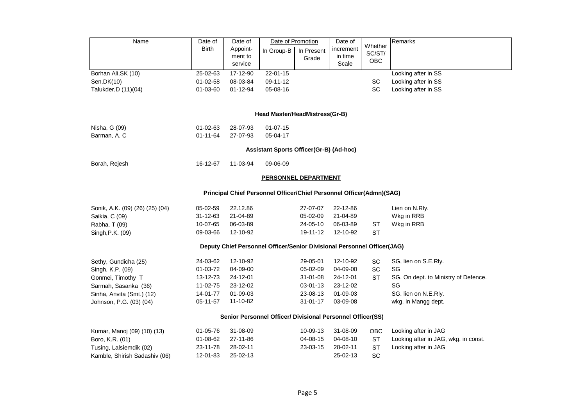| Name                                                                 | Date of        | Date of  |                                                                         | Date of Promotion | Date of   |                   | Remarks                              |  |  |  |  |  |
|----------------------------------------------------------------------|----------------|----------|-------------------------------------------------------------------------|-------------------|-----------|-------------------|--------------------------------------|--|--|--|--|--|
|                                                                      | <b>Birth</b>   | Appoint- | In Group-B                                                              | In Present        | increment | Whether<br>SC/ST/ |                                      |  |  |  |  |  |
|                                                                      |                | ment to  |                                                                         | Grade             | in time   | OBC               |                                      |  |  |  |  |  |
|                                                                      |                | service  |                                                                         |                   | Scale     |                   |                                      |  |  |  |  |  |
| Borhan Ali, SK (10)                                                  | 25-02-63       | 17-12-90 | $22 - 01 - 15$                                                          |                   |           |                   | Looking after in SS                  |  |  |  |  |  |
| Sen, DK(10)                                                          | 01-02-58       | 08-03-84 | 09-11-12                                                                |                   |           | SC                | Looking after in SS                  |  |  |  |  |  |
| Talukder, D (11)(04)                                                 | 01-03-60       | 01-12-94 | 05-08-16                                                                |                   |           | SC                | Looking after in SS                  |  |  |  |  |  |
|                                                                      |                |          |                                                                         |                   |           |                   |                                      |  |  |  |  |  |
|                                                                      |                |          | Head Master/HeadMistress(Gr-B)                                          |                   |           |                   |                                      |  |  |  |  |  |
| Nisha, G (09)                                                        | 01-02-63       | 28-07-93 | $01 - 07 - 15$                                                          |                   |           |                   |                                      |  |  |  |  |  |
| Barman, A. C                                                         | $01 - 11 - 64$ | 27-07-93 | 05-04-17                                                                |                   |           |                   |                                      |  |  |  |  |  |
| Assistant Sports Officer(Gr-B) (Ad-hoc)                              |                |          |                                                                         |                   |           |                   |                                      |  |  |  |  |  |
| Borah, Rejesh                                                        | 16-12-67       | 11-03-94 | 09-06-09                                                                |                   |           |                   |                                      |  |  |  |  |  |
| <b>PERSONNEL DEPARTMENT</b>                                          |                |          |                                                                         |                   |           |                   |                                      |  |  |  |  |  |
| Principal Chief Personnel Officer/Chief Personnel Officer(Admn)(SAG) |                |          |                                                                         |                   |           |                   |                                      |  |  |  |  |  |
| Sonik, A.K. (09) (26) (25) (04)                                      | 05-02-59       | 22.12.86 |                                                                         | 27-07-07          | 22-12-86  |                   | Lien on N.Rly.                       |  |  |  |  |  |
| Saikia, C (09)                                                       | 31-12-63       | 21-04-89 |                                                                         | 05-02-09          | 21-04-89  |                   | Wkg in RRB                           |  |  |  |  |  |
| Rabha, T (09)                                                        | 10-07-65       | 06-03-89 |                                                                         | 24-05-10          | 06-03-89  | ST                | Wkg in RRB                           |  |  |  |  |  |
| Singh, P.K. (09)                                                     | 09-03-66       | 12-10-92 |                                                                         | 19-11-12          | 12-10-92  | <b>ST</b>         |                                      |  |  |  |  |  |
|                                                                      |                |          | Deputy Chief Personnel Officer/Senior Divisional Personnel Officer(JAG) |                   |           |                   |                                      |  |  |  |  |  |
| Sethy, Gundicha (25)                                                 | 24-03-62       | 12-10-92 |                                                                         | 29-05-01          | 12-10-92  | SC                | SG, lien on S.E.Rly.                 |  |  |  |  |  |
| Singh, K.P. (09)                                                     | 01-03-72       | 04-09-00 |                                                                         | 05-02-09          | 04-09-00  | SC                | SG                                   |  |  |  |  |  |
| Gonmei, Timothy T                                                    | 13-12-73       | 24-12-01 |                                                                         | 31-01-08          | 24-12-01  | <b>ST</b>         | SG. On dept. to Ministry of Defence. |  |  |  |  |  |
| Sarmah, Sasanka (36)                                                 | 11-02-75       | 23-12-02 |                                                                         | 03-01-13          | 23-12-02  |                   | SG                                   |  |  |  |  |  |
| Sinha, Anvita (Smt.) (12)                                            | 14-01-77       | 01-09-03 |                                                                         | 23-08-13          | 01-09-03  |                   | SG. lien on N.E.Rly.                 |  |  |  |  |  |
| Johnson, P.G. (03) (04)                                              | 05-11-57       | 11-10-82 |                                                                         | $31 - 01 - 17$    | 03-09-08  |                   | wkg. in Mangg dept.                  |  |  |  |  |  |
|                                                                      |                |          | Senior Personnel Officer/ Divisional Personnel Officer(SS)              |                   |           |                   |                                      |  |  |  |  |  |
| Kumar, Manoj (09) (10) (13)                                          | $01 - 05 - 76$ | 31-08-09 |                                                                         | 10-09-13          | 31-08-09  | <b>OBC</b>        | Looking after in JAG                 |  |  |  |  |  |
| Boro, K.R. (01)                                                      | 01-08-62       | 27-11-86 |                                                                         | 04-08-15          | 04-08-10  | <b>ST</b>         | Looking after in JAG, wkg. in const. |  |  |  |  |  |
| Tusing, Lalsiemdik (02)                                              | 23-11-78       | 28-02-11 |                                                                         | 23-03-15          | 28-02-11  | <b>ST</b>         | Looking after in JAG                 |  |  |  |  |  |
| Kamble, Shirish Sadashiv (06)                                        | 12-01-83       | 25-02-13 |                                                                         |                   | 25-02-13  | SC                |                                      |  |  |  |  |  |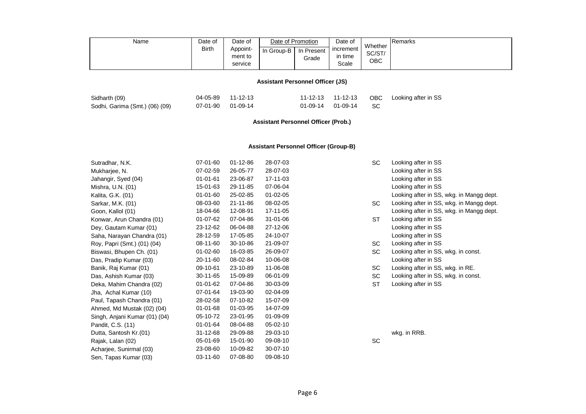| Name | Date of      | Date of                        | Date of Promotion |                     | Date of                       | Whether              | Remarks |
|------|--------------|--------------------------------|-------------------|---------------------|-------------------------------|----------------------|---------|
|      | <b>Birth</b> | Appoint-<br>ment to<br>service | In Group-B        | In Present<br>Grade | increment<br>in time<br>Scale | SC/ST/<br><b>OBC</b> |         |

# **Assistant Personnel Officer (JS)**

| Sidharth (09)                  | 04-05-89 11-12-13 |  |                      | 11-12-13 11-12-13 OBC Looking after in SS |
|--------------------------------|-------------------|--|----------------------|-------------------------------------------|
| Sodhi, Garima (Smt.) (06) (09) | 07-01-90 01-09-14 |  | 01-09-14 01-09-14 SC |                                           |

# **Assistant Personnel Officer (Prob.)**

# **Assistant Personnel Officer (Group-B)**

| Sutradhar, N.K.               | 07-01-60       | $01 - 12 - 86$ | 28-07-03       | SC        |
|-------------------------------|----------------|----------------|----------------|-----------|
| Mukharjee, N.                 | 07-02-59       | 26-05-77       | 28-07-03       |           |
| Jahangir, Syed (04)           | $01 - 01 - 61$ | 23-06-87       | 17-11-03       |           |
| Mishra, U.N. (01)             | 15-01-63       | 29-11-85       | 07-06-04       |           |
| Kalita, G.K. (01)             | $01 - 01 - 60$ | 25-02-85       | $01 - 02 - 05$ |           |
| Sarkar, M.K. (01)             | 08-03-60       | 21-11-86       | 08-02-05       | SC        |
| Goon, Kallol (01)             | 18-04-66       | 12-08-91       | 17-11-05       |           |
| Konwar, Arun Chandra (01)     | 01-07-62       | 07-04-86       | 31-01-06       | <b>ST</b> |
| Dey, Gautam Kumar (01)        | 23-12-62       | 06-04-88       | 27-12-06       |           |
| Saha, Narayan Chandra (01)    | 28-12-59       | 17-05-85       | 24-10-07       |           |
| Roy, Papri (Smt.) (01) (04)   | 08-11-60       | 30-10-86       | 21-09-07       | SC        |
| Biswasi, Bhupen Ch. (01)      | $01 - 02 - 60$ | 16-03-85       | 26-09-07       | SC        |
| Das, Pradip Kumar (03)        | 20-11-60       | 08-02-84       | 10-06-08       |           |
| Banik, Raj Kumar (01)         | 09-10-61       | 23-10-89       | 11-06-08       | SC        |
| Das, Ashish Kumar (03)        | 30-11-65       | 15-09-89       | 06-01-09       | SC        |
| Deka, Mahim Chandra (02)      | $01 - 01 - 62$ | 07-04-86       | 30-03-09       | <b>ST</b> |
| Jha, Achal Kumar (10)         | 07-01-64       | 19-03-90       | 02-04-09       |           |
| Paul, Tapash Chandra (01)     | 28-02-58       | 07-10-82       | 15-07-09       |           |
| Ahmed, Md Mustak (02) (04)    | $01 - 01 - 68$ | 01-03-95       | 14-07-09       |           |
| Singh, Anjani Kumar (01) (04) | 05-10-72       | 23-01-95       | 01-09-09       |           |
| Pandit, C.S. (11)             | 01-01-64       | 08-04-88       | 05-02-10       |           |
| Dutta, Santosh Kr.(01)        | $31 - 12 - 68$ | 29-09-88       | 29-03-10       |           |
| Rajak, Lalan (02)             | 05-01-69       | 15-01-90       | 09-08-10       | SC        |
| Acharjee, Sunirmal (03)       | 23-08-60       | 10-09-82       | 30-07-10       |           |
| Sen, Tapas Kumar (03)         | 03-11-60       | 07-08-80       | 09-08-10       |           |

| 3 | SC        | Looking after in SS                      |
|---|-----------|------------------------------------------|
| 3 |           | Looking after in SS                      |
| 3 |           | Looking after in SS                      |
| 4 |           | Looking after in SS                      |
| 5 |           | Looking after in SS, wkg. in Mangg dept. |
| 5 | SC        | Looking after in SS, wkg. in Mangg dept. |
| 5 |           | Looking after in SS, wkg. in Mangg dept. |
| 6 | <b>ST</b> | Looking after in SS                      |
| 6 |           | Looking after in SS                      |
| 7 |           | Looking after in SS                      |
| 7 | SC        | Looking after in SS                      |
| 7 | <b>SC</b> | Looking after in SS, wkg. in const.      |
| 8 |           | Looking after in SS                      |
| 8 | SC        | Looking after in SS, wkg. in RE.         |
| 9 | SC        | Looking after in SS, wkg. in const.      |
| 9 | <b>ST</b> | Looking after in SS                      |
|   |           |                                          |

wkg. in RRB.<br>SC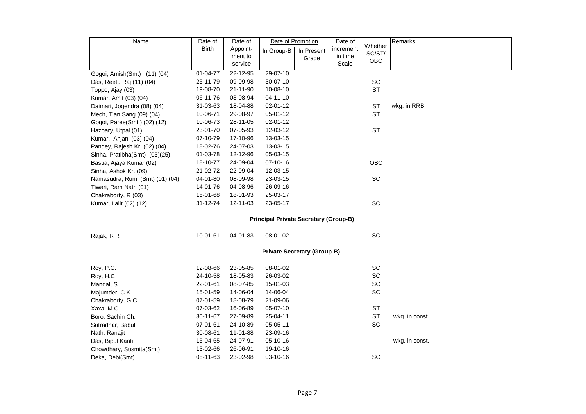| Name                                         | Date of      | Date of  | Date of Promotion |                                    | Date of   |                   | Remarks        |  |  |  |
|----------------------------------------------|--------------|----------|-------------------|------------------------------------|-----------|-------------------|----------------|--|--|--|
|                                              | <b>Birth</b> | Appoint- | In Group-B        | In Present                         | increment | Whether<br>SC/ST/ |                |  |  |  |
|                                              |              | ment to  |                   | Grade                              | in time   | OBC               |                |  |  |  |
|                                              |              | service  |                   |                                    | Scale     |                   |                |  |  |  |
| Gogoi, Amish(Smt) (11) (04)                  | 01-04-77     | 22-12-95 | 29-07-10          |                                    |           |                   |                |  |  |  |
| Das, Reetu Raj (11) (04)                     | 25-11-79     | 09-09-98 | 30-07-10          |                                    |           | SC                |                |  |  |  |
| Toppo, Ajay (03)                             | 19-08-70     | 21-11-90 | 10-08-10          |                                    |           | <b>ST</b>         |                |  |  |  |
| Kumar, Amit (03) (04)                        | 06-11-76     | 03-08-94 | 04-11-10          |                                    |           |                   |                |  |  |  |
| Daimari, Jogendra (08) (04)                  | 31-03-63     | 18-04-88 | 02-01-12          |                                    |           | <b>ST</b>         | wkg. in RRB.   |  |  |  |
| Mech, Tian Sang (09) (04)                    | 10-06-71     | 29-08-97 | 05-01-12          |                                    |           | <b>ST</b>         |                |  |  |  |
| Gogoi, Paree(Smt.) (02) (12)                 | 10-06-73     | 28-11-05 | 02-01-12          |                                    |           |                   |                |  |  |  |
| Hazoary, Utpal (01)                          | 23-01-70     | 07-05-93 | 12-03-12          |                                    |           | <b>ST</b>         |                |  |  |  |
| Kumar, Anjani (03) (04)                      | 07-10-79     | 17-10-96 | 13-03-15          |                                    |           |                   |                |  |  |  |
| Pandey, Rajesh Kr. (02) (04)                 | 18-02-76     | 24-07-03 | 13-03-15          |                                    |           |                   |                |  |  |  |
| Sinha, Pratibha(Smt) (03)(25)                | 01-03-78     | 12-12-96 | 05-03-15          |                                    |           |                   |                |  |  |  |
| Bastia, Ajaya Kumar (02)                     | 18-10-77     | 24-09-04 | 07-10-16          |                                    |           | OBC               |                |  |  |  |
| Sinha, Ashok Kr. (09)                        | 21-02-72     | 22-09-04 | 12-03-15          |                                    |           |                   |                |  |  |  |
| Namasudra, Rumi (Smt) (01) (04)              | 04-01-80     | 08-09-98 | 23-03-15          |                                    |           | SC                |                |  |  |  |
| Tiwari, Ram Nath (01)                        | 14-01-76     | 04-08-96 | 26-09-16          |                                    |           |                   |                |  |  |  |
| Chakraborty, R (03)                          | 15-01-68     | 18-01-93 | 25-03-17          |                                    |           |                   |                |  |  |  |
| Kumar, Lalit (02) (12)                       | 31-12-74     | 12-11-03 | 23-05-17          |                                    |           | SC                |                |  |  |  |
| <b>Principal Private Secretary (Group-B)</b> |              |          |                   |                                    |           |                   |                |  |  |  |
|                                              |              |          |                   |                                    |           |                   |                |  |  |  |
| Rajak, R R                                   | 10-01-61     | 04-01-83 | 08-01-02          |                                    |           | SC                |                |  |  |  |
|                                              |              |          |                   | <b>Private Secretary (Group-B)</b> |           |                   |                |  |  |  |
|                                              |              |          |                   |                                    |           |                   |                |  |  |  |
| Roy, P.C.                                    | 12-08-66     | 23-05-85 | 08-01-02          |                                    |           | SC                |                |  |  |  |
| Roy, H.C                                     | 24-10-58     | 18-05-83 | 26-03-02          |                                    |           | SC                |                |  |  |  |
| Mandal, S                                    | 22-01-61     | 08-07-85 | 15-01-03          |                                    |           | SC                |                |  |  |  |
| Majumder, C.K.                               | 15-01-59     | 14-06-04 | 14-06-04          |                                    |           | SC                |                |  |  |  |
| Chakraborty, G.C.                            | 07-01-59     | 18-08-79 | 21-09-06          |                                    |           |                   |                |  |  |  |
| Xaxa, M.C.                                   | 07-03-62     | 16-06-89 | 05-07-10          |                                    |           | <b>ST</b>         |                |  |  |  |
| Boro, Sachin Ch.                             | 30-11-67     | 27-09-89 | 25-04-11          |                                    |           | <b>ST</b>         | wkg. in const. |  |  |  |
| Sutradhar, Babul                             | 07-01-61     | 24-10-89 | 05-05-11          |                                    |           | SC                |                |  |  |  |
| Nath, Ranajit                                | 30-08-61     | 11-01-88 | 23-09-16          |                                    |           |                   |                |  |  |  |
| Das, Bipul Kanti                             | 15-04-65     | 24-07-91 | 05-10-16          |                                    |           |                   | wkg. in const. |  |  |  |
| Chowdhary, Susmita(Smt)                      | 13-02-66     | 26-06-91 | 19-10-16          |                                    |           |                   |                |  |  |  |
| Deka, Debi(Smt)                              | 08-11-63     | 23-02-98 | 03-10-16          |                                    |           | SC                |                |  |  |  |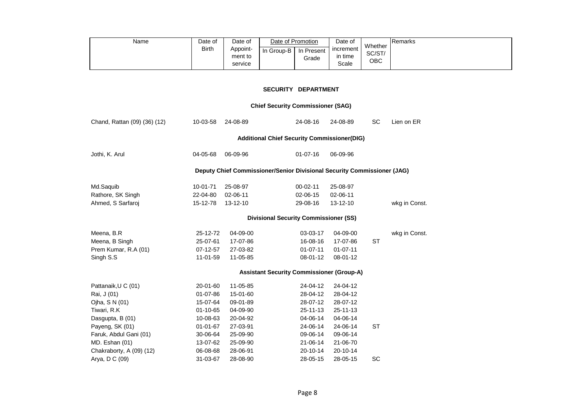| Name | Date of      | Date of                        | Date of Promotion       |       | Date of                         | Whether       | <b>IRemarks</b> |
|------|--------------|--------------------------------|-------------------------|-------|---------------------------------|---------------|-----------------|
|      | <b>Birth</b> | Appoint-<br>ment to<br>service | In Group-B   In Present | Grade | increment  <br>in time<br>Scale | SC/ST/<br>ОВС |                 |

### **SECURITY DEPARTMENT**

# **Chief Security Commissioner (SAG)**

| Chand, Rattan (09) (36) (12) | 10-03-58<br>24-08-89 |          | 24-08-16                                                                | 24-08-89       | <b>SC</b> | Lien on ER    |
|------------------------------|----------------------|----------|-------------------------------------------------------------------------|----------------|-----------|---------------|
|                              |                      |          | <b>Additional Chief Security Commissioner(DIG)</b>                      |                |           |               |
| Jothi, K. Arul               | 04-05-68             | 06-09-96 | $01 - 07 - 16$                                                          | 06-09-96       |           |               |
|                              |                      |          | Deputy Chief Commissioner/Senior Divisional Security Commissioner (JAG) |                |           |               |
| Md.Saquib                    | $10 - 01 - 71$       | 25-08-97 | $00 - 02 - 11$                                                          | 25-08-97       |           |               |
| Rathore, SK Singh            | 22-04-80             | 02-06-11 | 02-06-15                                                                | 02-06-11       |           |               |
| Ahmed, S Sarfaroj            | 15-12-78             | 13-12-10 | 29-08-16                                                                | 13-12-10       |           | wkg in Const. |
|                              |                      |          | <b>Divisional Security Commissioner (SS)</b>                            |                |           |               |
| Meena, B.R                   | 25-12-72             | 04-09-00 | 03-03-17                                                                | 04-09-00       |           | wkg in Const. |
| Meena, B Singh               | 25-07-61             | 17-07-86 | 16-08-16                                                                | 17-07-86       | <b>ST</b> |               |
| Prem Kumar, R.A (01)         | 07-12-57             | 27-03-82 | $01 - 07 - 11$                                                          | $01 - 07 - 11$ |           |               |
| Singh S.S                    | 11-01-59             | 11-05-85 | 08-01-12                                                                | 08-01-12       |           |               |
|                              |                      |          | <b>Assistant Security Commissioner (Group-A)</b>                        |                |           |               |
| Pattanaik, U C (01)          | 20-01-60             | 11-05-85 | 24-04-12                                                                | 24-04-12       |           |               |
| Rai, J (01)                  | 01-07-86             | 15-01-60 | 28-04-12                                                                | 28-04-12       |           |               |
| Ojha, S N (01)               | 15-07-64             | 09-01-89 | 28-07-12                                                                | 28-07-12       |           |               |
| Tiwari, R.K                  | $01 - 10 - 65$       | 04-09-90 | $25 - 11 - 13$                                                          | $25 - 11 - 13$ |           |               |
| Dasgupta, B (01)             | 10-08-63             | 20-04-92 | 04-06-14                                                                | 04-06-14       |           |               |
| Payeng, SK (01)              | $01 - 01 - 67$       | 27-03-91 | 24-06-14                                                                | 24-06-14       | <b>ST</b> |               |
| Faruk, Abdul Gani (01)       | 30-06-64             | 25-09-90 | 09-06-14                                                                | 09-06-14       |           |               |
| MD. Eshan (01)               | 13-07-62             | 25-09-90 | 21-06-14                                                                | 21-06-70       |           |               |
| Chakraborty, A (09) (12)     | 06-08-68             | 28-06-91 | 20-10-14                                                                | 20-10-14       |           |               |
| Arya, D C (09)               | 31-03-67             | 28-08-90 | 28-05-15                                                                | 28-05-15       | <b>SC</b> |               |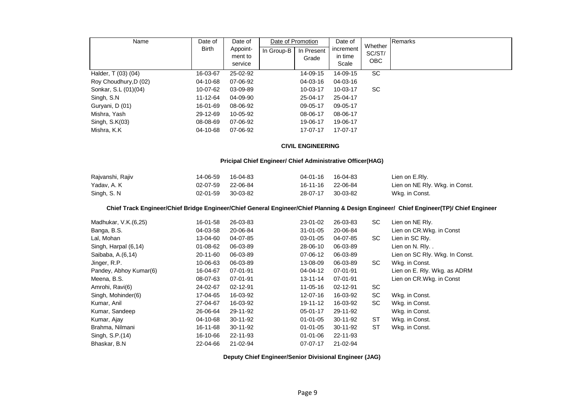| Name                  | Date of      | Date of                        | Date of Promotion |                     | Date of<br>Whether            |               | Remarks |
|-----------------------|--------------|--------------------------------|-------------------|---------------------|-------------------------------|---------------|---------|
|                       | <b>Birth</b> | Appoint-<br>ment to<br>service | In Group-B        | In Present<br>Grade | increment<br>in time<br>Scale | SC/ST/<br>OBC |         |
| Halder, T (03) (04)   | 16-03-67     | 25-02-92                       |                   | 14-09-15            | 14-09-15                      | SC            |         |
| Roy Choudhury, D (02) | 04-10-68     | 07-06-92                       |                   | 04-03-16            | 04-03-16                      |               |         |
| Sonkar, S.L (01)(04)  | 10-07-62     | 03-09-89                       |                   | 10-03-17            | $10 - 03 - 17$                | SC            |         |
| Singh, S.N            | 11-12-64     | 04-09-90                       |                   | 25-04-17            | 25-04-17                      |               |         |
| Guryani, D (01)       | 16-01-69     | 08-06-92                       |                   | 09-05-17            | 09-05-17                      |               |         |
| Mishra, Yash          | 29-12-69     | 10-05-92                       |                   | 08-06-17            | 08-06-17                      |               |         |
| Singh, S.K(03)        | 08-08-69     | 07-06-92                       |                   | 19-06-17            | 19-06-17                      |               |         |
| Mishra, K.K.          | 04-10-68     | 07-06-92                       |                   | 17-07-17            | 17-07-17                      |               |         |

#### **CIVIL ENGINEERING**

#### **Pricipal Chief Engineer/ Chief Administrative Officer(HAG)**

| Rajvanshi, Rajiv | 14-06-59          | 16-04-83 | 04-01-16 16-04-83 |          | Lien on E.Rly.                 |
|------------------|-------------------|----------|-------------------|----------|--------------------------------|
| Yadav, A. K      | 02-07-59 22-06-84 |          | 16-11-16 22-06-84 |          | Lien on NE Rly. Wkg. in Const. |
| Singh, S. N.     | 02-01-59          | 30-03-82 | 28-07-17          | 30-03-82 | Wkg. in Const.                 |

#### **Chief Track Engineer/Chief Bridge Engineer/Chief General Engineer/Chief Planning & Design Engineer/ Chief Engineer(TP)/ Chief Engineer**

| Madhukar, V.K. (6,25)  | 16-01-58 | 26-03-83   | 23-01-02       | 26-03-83       | SC        | Lien on NE Rly.                |
|------------------------|----------|------------|----------------|----------------|-----------|--------------------------------|
| Banga, B.S.            | 04-03-58 | 20-06-84   | $31 - 01 - 05$ | 20-06-84       |           | Lien on CR.Wkg. in Const       |
| Lal, Mohan             | 13-04-60 | 04-07-85   | 03-01-05       | 04-07-85       | SC        | Lien in SC Rly.                |
| Singh, Harpal (6,14)   | 01-08-62 | 06-03-89   | 28-06-10       | 06-03-89       |           | Lien on N. Rly                 |
| Saibaba, A.(6,14)      | 20-11-60 | 06-03-89   | 07-06-12       | 06-03-89       |           | Lien on SC Rly. Wkg. In Const. |
| Jinger, R.P.           | 10-06-63 | 06-03-89   | 13-08-09       | 06-03-89       | SC        | Wkg. in Const.                 |
| Pandey, Abhoy Kumar(6) | 16-04-67 | 07-01-91   | 04-04-12       | 07-01-91       |           | Lien on E. Rly. Wkg. as ADRM   |
| Meena, B.S.            | 08-07-63 | 07-01-91   | $13 - 11 - 14$ | 07-01-91       |           | Lien on CR.Wkg. in Const       |
| Amrohi, Ravi(6)        | 24-02-67 | 02-12-91   | $11 - 05 - 16$ | 02-12-91       | SC.       |                                |
| Singh, Mohinder(6)     | 17-04-65 | 16-03-92   | 12-07-16       | 16-03-92       | SC        | Wkg. in Const.                 |
| Kumar, Anil            | 27-04-67 | 16-03-92   | 19-11-12       | 16-03-92       | SC        | Wkg. in Const.                 |
| Kumar, Sandeep         | 26-06-64 | 29-11-92   | 05-01-17       | 29-11-92       |           | Wkg. in Const.                 |
| Kumar, Ajay            | 04-10-68 | $30-11-92$ | $01 - 01 - 05$ | $30 - 11 - 92$ | <b>ST</b> | Wkg. in Const.                 |
| Brahma, Nilmani        | 16-11-68 | 30-11-92   | $01 - 01 - 05$ | 30-11-92       | <b>ST</b> | Wkg. in Const.                 |
| Singh, S.P.(14)        | 16-10-66 | 22-11-93   | $01 - 01 - 06$ | 22-11-93       |           |                                |
| Bhaskar, B.N.          | 22-04-66 | 21-02-94   | $07-07-17$     | 21-02-94       |           |                                |

 **Deputy Chief Engineer/Senior Divisional Engineer (JAG)**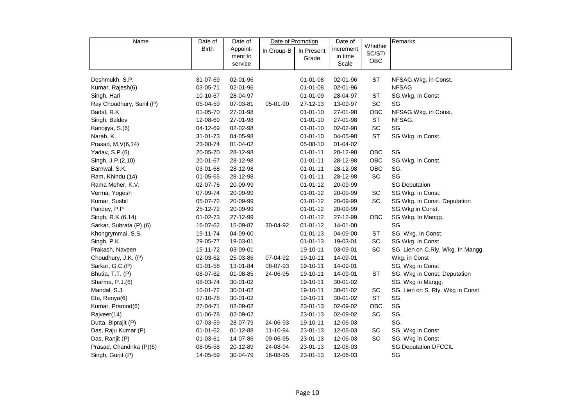| Name                     | Date of        | Date of  | Date of Promotion |                | Date of   |                   | Remarks                           |
|--------------------------|----------------|----------|-------------------|----------------|-----------|-------------------|-----------------------------------|
|                          | <b>Birth</b>   | Appoint- | In Group-B        | In Present     | increment | Whether<br>SC/ST/ |                                   |
|                          |                | ment to  |                   | Grade          | in time   | OBC               |                                   |
|                          |                | service  |                   |                | Scale     |                   |                                   |
| Deshmukh, S.P.           | 31-07-69       | 02-01-96 |                   | $01 - 01 - 08$ | 02-01-96  | <b>ST</b>         | NFSAG.Wkg. in Const.              |
| Kumar, Rajesh(6)         | 03-05-71       | 02-01-96 |                   | 01-01-08       | 02-01-96  |                   | <b>NFSAG</b>                      |
| Singh, Hari              | 10-10-67       | 28-04-97 |                   | 01-01-09       | 28-04-97  | <b>ST</b>         | SG.Wkg. in Const                  |
| Ray Choudhury, Sunil (P) | 05-04-59       | 07-03-81 | 05-01-90          | 27-12-13       | 13-09-97  | SC                | SG                                |
| Badal, R.K.              | 01-05-70       | 27-01-98 |                   | $01 - 01 - 10$ | 27-01-98  | OBC               | NFSAG.Wkg. in Const.              |
| Singh, Baldev            | 12-08-69       | 27-01-98 |                   | $01 - 01 - 10$ | 27-01-98  | <b>ST</b>         | NFSAG.                            |
| Kanojiya, S.(6)          | 04-12-69       | 02-02-98 |                   | $01 - 01 - 10$ | 02-02-98  | SC                | SG                                |
| Narah, K.                | 31-01-73       | 04-05-98 |                   | $01 - 01 - 10$ | 04-05-98  | <b>ST</b>         | SG.Wkg. in Const.                 |
| Prasad, M.V(6,14)        | 23-08-74       | 01-04-02 |                   | 05-08-10       | 01-04-02  |                   |                                   |
| Yadav, S.P.(6)           | 20-05-70       | 28-12-98 |                   | $01 - 01 - 11$ | 20-12-98  | OBC               | SG                                |
| Singh, J.P.(2,10)        | 20-01-67       | 28-12-98 |                   | $01 - 01 - 11$ | 28-12-98  | OBC               | SG.Wkg. in Const.                 |
| Barnwal, S.K.            | 03-01-68       | 28-12-98 |                   | $01 - 01 - 11$ | 28-12-98  | OBC               | SG.                               |
| Ram, Khindu (14)         | 01-05-65       | 28-12-98 |                   | $01 - 01 - 11$ | 28-12-98  | <b>SC</b>         | SG                                |
| Rama Meher, K.V.         | 02-07-76       | 20-09-99 |                   | $01 - 01 - 12$ | 20-09-99  |                   | <b>SG Deputation</b>              |
| Verma, Yogesh            | 07-09-74       | 20-09-99 |                   | $01 - 01 - 12$ | 20-09-99  | SC                | SG.Wkg. in Const.                 |
| Kumar, Sushil            | 05-07-72       | 20-09-99 |                   | $01 - 01 - 12$ | 20-09-99  | SC                | SG.Wkg. in Const. Deputation      |
| Pandey, P.P              | 25-12-72       | 20-09-99 |                   | $01 - 01 - 12$ | 20-09-99  |                   | SG.Wkg in Const.                  |
| Singh, R.K.(6,14)        | $01 - 02 - 73$ | 27-12-99 |                   | $01 - 01 - 12$ | 27-12-99  | <b>OBC</b>        | SG Wkg. In Mangg.                 |
| Sarkar, Subrata (P) (6)  | 16-07-62       | 15-09-87 | 30-04-92          | $01 - 01 - 12$ | 14-01-00  |                   | SG                                |
| Khongrymmai, S.S.        | 19-11-74       | 04-09-00 |                   | $01 - 01 - 13$ | 04-09-00  | <b>ST</b>         | SG. Wkg. In Const.                |
| Singh, P.K.              | 29-05-77       | 19-03-01 |                   | $01 - 01 - 13$ | 19-03-01  | SC                | SG, Wkg. in Const                 |
| Prakash, Naveen          | 15-11-72       | 03-09-01 |                   | 19-10-11       | 03-09-01  | SC                | SG. Lien on C.Rly. Wkg. In Mangg. |
| Choudhury, J.K. (P)      | 02-03-62       | 25-03-86 | 07-04-92          | 19-10-11       | 14-09-01  |                   | Wkg. in Const                     |
| Sarkar, G.C.(P)          | 01-01-58       | 13-01-84 | 08-07-93          | 19-10-11       | 14-09-01  |                   | SG. Wkg in Const                  |
| Bhutia, T.T. (P)         | 08-07-62       | 01-08-85 | 24-06-95          | 19-10-11       | 14-09-01  | ST                | SG. Wkg in Const, Deputation      |
| Sharma, P.J.(6)          | 08-03-74       | 30-01-02 |                   | 19-10-11       | 30-01-02  |                   | SG. Wkg in Mangg.                 |
| Mandal, S.J.             | 10-01-72       | 30-01-02 |                   | 19-10-11       | 30-01-02  | SC                | SG. Lien on S. Rly. Wkg in Const  |
| Ete, Renya(6)            | 07-10-78       | 30-01-02 |                   | 19-10-11       | 30-01-02  | <b>ST</b>         | SG.                               |
| Kumar, Pramod(6)         | 27-04-71       | 02-09-02 |                   | 23-01-13       | 02-09-02  | OBC               | SG                                |
| Rajveer(14)              | 01-06-78       | 02-09-02 |                   | 23-01-13       | 02-09-02  | SC                | SG.                               |
| Dutta, Biprajit (P)      | 07-03-59       | 28-07-79 | 24-06-93          | 19-10-11       | 12-06-03  |                   | SG.                               |
| Das, Raju Kumar (P)      | 01-01-62       | 01-12-88 | 11-10-94          | 23-01-13       | 12-06-03  | SC                | SG. Wkg in Const                  |
| Das, Ranjit (P)          | 01-03-61       | 14-07-86 | 09-06-95          | 23-01-13       | 12-06-03  | SC                | SG. Wkg in Const                  |
| Prasad, Chandrika (P)(6) | 08-05-58       | 20-12-89 | 24-08-94          | 23-01-13       | 12-06-03  |                   | <b>SG, Deputation DFCCIL</b>      |
| Singh, Gurjit (P)        | 14-05-59       | 30-04-79 | 16-08-95          | 23-01-13       | 12-06-03  |                   | SG                                |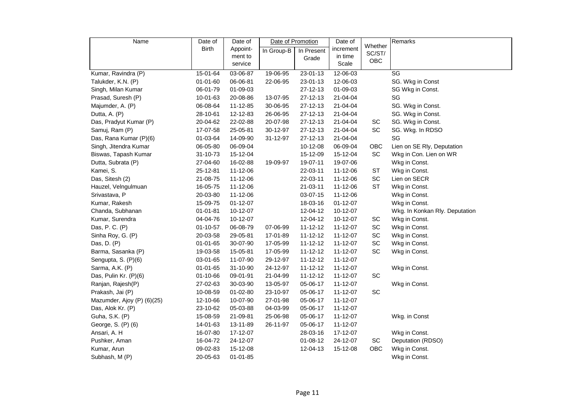| Date of Promotion<br>Remarks<br>Name<br>Date of<br>Date of<br>Date of                                               |  |
|---------------------------------------------------------------------------------------------------------------------|--|
| Whether<br><b>Birth</b><br>increment<br>Appoint-<br>In Group-B<br>In Present<br>SC/ST/                              |  |
| in time<br>ment to<br>Grade<br>OBC                                                                                  |  |
| Scale<br>service                                                                                                    |  |
| Kumar, Ravindra (P)<br>15-01-64<br>$23 - 01 - 13$<br>12-06-03<br>SG<br>03-06-87<br>19-06-95                         |  |
| Talukder, K.N. (P)<br>01-01-60<br>06-06-81<br>22-06-95<br>23-01-13<br>12-06-03<br>SG. Wkg in Const                  |  |
| Singh, Milan Kumar<br>06-01-79<br>01-09-03<br>27-12-13<br>01-09-03<br>SG Wkg in Const.                              |  |
| Prasad, Suresh (P)<br>27-12-13<br>SG<br>10-01-63<br>20-08-86<br>13-07-95<br>21-04-04                                |  |
| 06-08-64<br>11-12-85<br>30-06-95<br>27-12-13<br>SG. Wkg in Const.<br>Majumder, A. (P)<br>21-04-04                   |  |
| 28-10-61<br>12-12-83<br>26-06-95<br>27-12-13<br>21-04-04<br>SG. Wkg in Const.<br>Dutta, A. (P)                      |  |
| SG. Wkg in Const.<br>Das, Pradyut Kumar (P)<br>20-04-62<br>22-02-88<br>20-07-98<br>$27 - 12 - 13$<br>21-04-04<br>SC |  |
| SC<br>SG. Wkg. In RDSO<br>Samuj, Ram (P)<br>17-07-58<br>25-05-81<br>30-12-97<br>27-12-13<br>21-04-04                |  |
| SG<br>Das, Rana Kumar (P)(6)<br>01-03-64<br>14-09-90<br>27-12-13<br>31-12-97<br>21-04-04                            |  |
| Singh, Jitendra Kumar<br>06-09-04<br>10-12-08<br>06-09-04<br>OBC<br>Lien on SE Rly, Deputation<br>06-05-80          |  |
| SC<br>Wkg in Con. Lien on WR<br>Biswas, Tapash Kumar<br>31-10-73<br>15-12-04<br>15-12-09<br>15-12-04                |  |
| 16-02-88<br>19-07-11<br>Wkg in Const.<br>Dutta, Subrata (P)<br>27-04-60<br>19-09-97<br>19-07-06                     |  |
| Kamei, S.<br>25-12-81<br>11-12-06<br>22-03-11<br>ST<br>Wkg in Const.<br>11-12-06                                    |  |
| SC<br>Lien on SECR<br>Das, Sitesh (2)<br>21-08-75<br>11-12-06<br>22-03-11<br>11-12-06                               |  |
| <b>ST</b><br>Wkg in Const.<br>Hauzel, Velngulmuan<br>16-05-75<br>11-12-06<br>$21 - 03 - 11$<br>11-12-06             |  |
| Srivastava, P<br>20-03-80<br>11-12-06<br>03-07-15<br>11-12-06<br>Wkg in Const.                                      |  |
| Kumar, Rakesh<br>Wkg in Const.<br>15-09-75<br>$01 - 12 - 07$<br>18-03-16<br>$01 - 12 - 07$                          |  |
| Chanda, Subhanan<br>$01 - 01 - 81$<br>10-12-07<br>12-04-12<br>Wkg. In Konkan Rly. Deputation<br>10-12-07            |  |
| Kumar, Surendra<br>04-04-76<br>10-12-07<br>12-04-12<br>10-12-07<br>Wkg in Const.<br>SC                              |  |
| SC<br>Das, P. C. (P)<br>$01 - 10 - 57$<br>06-08-79<br>$11 - 12 - 12$<br>11-12-07<br>Wkg in Const.<br>07-06-99       |  |
| SC<br>Sinha Roy, G. (P)<br>20-03-58<br>29-05-81<br>17-01-89<br>$11 - 12 - 12$<br>11-12-07<br>Wkg in Const.          |  |
| SC<br>Wkg in Const.<br>Das, D. (P)<br>$01 - 01 - 65$<br>30-07-90<br>17-05-99<br>$11 - 12 - 12$<br>11-12-07          |  |
| 17-05-99<br>SC<br>Wkg in Const.<br>Barma, Sasanka (P)<br>19-03-58<br>15-05-81<br>11-12-12<br>11-12-07               |  |
| 03-01-65<br>11-07-90<br>29-12-97<br>$11 - 12 - 12$<br>Sengupta, S. (P)(6)<br>11-12-07                               |  |
| 31-10-90<br>24-12-97<br>$11 - 12 - 12$<br>Wkg in Const.<br>Sarma, A.K. (P)<br>01-01-65<br>11-12-07                  |  |
| $11 - 12 - 12$<br>Das, Pulin Kr. (P)(6)<br>01-10-66<br>09-01-91<br>21-04-99<br>11-12-07<br>SC                       |  |
| 27-02-63<br>30-03-90<br>13-05-97<br>05-06-17<br>Ranjan, Rajesh(P)<br>11-12-07<br>Wkg in Const.                      |  |
| SC<br>01-02-80<br>23-10-97<br>05-06-17<br>Prakash, Jai (P)<br>10-08-59<br>11-12-07                                  |  |
| Mazumder, Ajoy (P) (6)(25)<br>12-10-66<br>10-07-90<br>27-01-98<br>05-06-17<br>11-12-07                              |  |
| Das, Alok Kr. (P)<br>23-10-62<br>05-03-88<br>04-03-99<br>05-06-17<br>11-12-07                                       |  |
| 21-09-81<br>25-06-98<br>05-06-17<br>Guha, S.K. (P)<br>15-08-59<br>11-12-07<br>Wkg. in Const                         |  |
| 05-06-17<br>George, S. (P) (6)<br>14-01-63<br>13-11-89<br>26-11-97<br>11-12-07                                      |  |
| Ansari, A. H<br>16-07-80<br>17-12-07<br>28-03-16<br>Wkg in Const.<br>17-12-07                                       |  |
| Deputation (RDSO)<br>Pushker, Aman<br>16-04-72<br>24-12-07<br>01-08-12<br>24-12-07<br>SC                            |  |
| OBC<br>Wkg in Const.<br>Kumar, Arun<br>09-02-83<br>15-12-08<br>12-04-13<br>15-12-08                                 |  |
| 20-05-63<br>01-01-85<br>Wkg in Const.<br>Subhash, M (P)                                                             |  |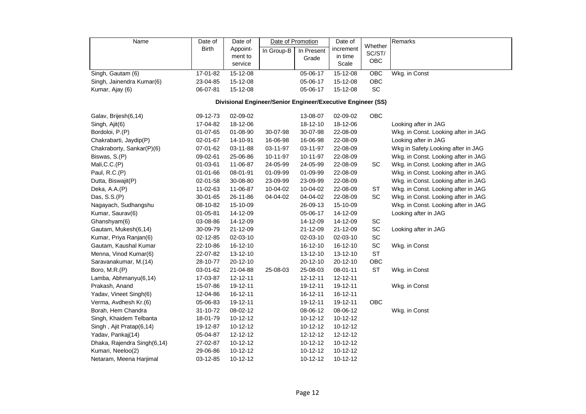| Name                        | Date of                                                     | Date of  | Date of Promotion |            | Date of   |                   | Remarks                             |  |  |  |  |  |
|-----------------------------|-------------------------------------------------------------|----------|-------------------|------------|-----------|-------------------|-------------------------------------|--|--|--|--|--|
|                             | <b>Birth</b>                                                | Appoint- | In Group-B        | In Present | increment | Whether<br>SC/ST/ |                                     |  |  |  |  |  |
|                             |                                                             | ment to  |                   | Grade      | in time   | OBC               |                                     |  |  |  |  |  |
|                             |                                                             | service  |                   |            | Scale     |                   |                                     |  |  |  |  |  |
| Singh, Gautam (6)           | 17-01-82                                                    | 15-12-08 |                   | 05-06-17   | 15-12-08  | OBC               | Wkg. in Const                       |  |  |  |  |  |
| Singh, Jainendra Kumar(6)   | 23-04-85                                                    | 15-12-08 |                   | 05-06-17   | 15-12-08  | OBC               |                                     |  |  |  |  |  |
| Kumar, Ajay (6)             | 06-07-81                                                    | 15-12-08 |                   | 05-06-17   | 15-12-08  | SC                |                                     |  |  |  |  |  |
|                             | Divisional Engineer/Senior Engineer/Executive Engineer (SS) |          |                   |            |           |                   |                                     |  |  |  |  |  |
| Galav, Brijesh(6,14)        | 09-12-73                                                    | 02-09-02 |                   | 13-08-07   | 02-09-02  | OBC               |                                     |  |  |  |  |  |
| Singh, Ajit(6)              | 17-04-82                                                    | 18-12-06 |                   | 18-12-10   | 18-12-06  |                   | Looking after in JAG                |  |  |  |  |  |
| Bordoloi, P.(P)             | 01-07-65                                                    | 01-08-90 | 30-07-98          | 30-07-98   | 22-08-09  |                   | Wkg. in Const. Looking after in JAG |  |  |  |  |  |
| Chakrabarti, Jaydip(P)      | 02-01-67                                                    | 14-10-91 | 16-06-98          | 16-06-98   | 22-08-09  |                   | Looking after in JAG                |  |  |  |  |  |
| Chakraborty, Sankar(P)(6)   | 07-01-62                                                    | 03-11-88 | 03-11-97          | 03-11-97   | 22-08-09  |                   | Wkg in Safety. Looking after in JAG |  |  |  |  |  |
| Biswas, S.(P)               | 09-02-61                                                    | 25-06-86 | 10-11-97          | 10-11-97   | 22-08-09  |                   | Wkg. in Const. Looking after in JAG |  |  |  |  |  |
| Mali, C.C. (P)              | 01-03-61                                                    | 11-06-87 | 24-05-99          | 24-05-99   | 22-08-09  | SC                | Wkg. in Const. Looking after in JAG |  |  |  |  |  |
| Paul, R.C.(P)               | 01-01-66                                                    | 08-01-91 | 01-09-99          | 01-09-99   | 22-08-09  |                   | Wkg. in Const. Looking after in JAG |  |  |  |  |  |
| Dutta, Biswajit(P)          | 02-01-58                                                    | 30-08-80 | 23-09-99          | 23-09-99   | 22-08-09  |                   | Wkg. in Const. Looking after in JAG |  |  |  |  |  |
| Deka, A.A.(P)               | 11-02-63                                                    | 11-06-87 | 10-04-02          | 10-04-02   | 22-08-09  | ST                | Wkg. in Const. Looking after in JAG |  |  |  |  |  |
| Das, S.S.(P)                | 30-01-65                                                    | 26-11-86 | 04-04-02          | 04-04-02   | 22-08-09  | SC                | Wkg. in Const. Looking after in JAG |  |  |  |  |  |
| Nagayach, Sudhangshu        | 08-10-82                                                    | 15-10-09 |                   | 26-09-13   | 15-10-09  |                   | Wkg. in Const. Looking after in JAG |  |  |  |  |  |
| Kumar, Saurav(6)            | 01-05-81                                                    | 14-12-09 |                   | 05-06-17   | 14-12-09  |                   | Looking after in JAG                |  |  |  |  |  |
| Ghanshyam(6)                | 03-08-86                                                    | 14-12-09 |                   | 14-12-09   | 14-12-09  | SC                |                                     |  |  |  |  |  |
| Gautam, Mukesh(6,14)        | 30-09-79                                                    | 21-12-09 |                   | 21-12-09   | 21-12-09  | SC                | Looking after in JAG                |  |  |  |  |  |
| Kumar, Priya Ranjan(6)      | 02-12-85                                                    | 02-03-10 |                   | 02-03-10   | 02-03-10  | SC                |                                     |  |  |  |  |  |
| Gautam, Kaushal Kumar       | 22-10-86                                                    | 16-12-10 |                   | 16-12-10   | 16-12-10  | SC                | Wkg. in Const                       |  |  |  |  |  |
| Menna, Vinod Kumar(6)       | 22-07-82                                                    | 13-12-10 |                   | 13-12-10   | 13-12-10  | <b>ST</b>         |                                     |  |  |  |  |  |
| Saravanakumar, M.(14)       | 28-10-77                                                    | 20-12-10 |                   | 20-12-10   | 20-12-10  | OBC               |                                     |  |  |  |  |  |
| Boro, M.R.(P)               | 03-01-62                                                    | 21-04-88 | 25-08-03          | 25-08-03   | 08-01-11  | <b>ST</b>         | Wkg. in Const                       |  |  |  |  |  |
| Lamba, Abhmanyu(6,14)       | 17-03-87                                                    | 12-12-11 |                   | 12-12-11   | 12-12-11  |                   |                                     |  |  |  |  |  |
| Prakash, Anand              | 15-07-86                                                    | 19-12-11 |                   | 19-12-11   | 19-12-11  |                   | Wkg. in Const                       |  |  |  |  |  |
| Yadav, Vineet Singh(6)      | 12-04-86                                                    | 16-12-11 |                   | 16-12-11   | 16-12-11  |                   |                                     |  |  |  |  |  |
| Verma, Avdhesh Kr.(6)       | 05-06-83                                                    | 19-12-11 |                   | 19-12-11   | 19-12-11  | OBC               |                                     |  |  |  |  |  |
| Borah, Hem Chandra          | 31-10-72                                                    | 08-02-12 |                   | 08-06-12   | 08-06-12  |                   | Wkg. in Const                       |  |  |  |  |  |
| Singh, Khaidem Telbanta     | 18-01-79                                                    | 10-12-12 |                   | 10-12-12   | 10-12-12  |                   |                                     |  |  |  |  |  |
| Singh, Ajit Pratap(6,14)    | 19-12-87                                                    | 10-12-12 |                   | 10-12-12   | 10-12-12  |                   |                                     |  |  |  |  |  |
| Yadav, Pankaj(14)           | 05-04-87                                                    | 12-12-12 |                   | 12-12-12   | 12-12-12  |                   |                                     |  |  |  |  |  |
| Dhaka, Rajendra Singh(6,14) | 27-02-87                                                    | 10-12-12 |                   | 10-12-12   | 10-12-12  |                   |                                     |  |  |  |  |  |
| Kumari, Neeloo(2)           | 29-06-86                                                    | 10-12-12 |                   | 10-12-12   | 10-12-12  |                   |                                     |  |  |  |  |  |
| Netaram, Meena Harjimal     | 03-12-85                                                    | 10-12-12 |                   | 10-12-12   | 10-12-12  |                   |                                     |  |  |  |  |  |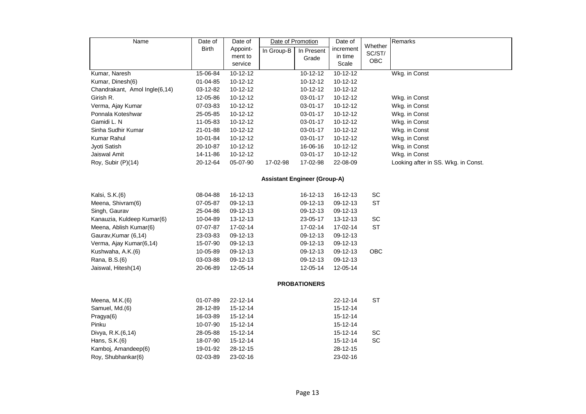| Name                                | Date of      | Date of  | Date of Promotion |                     | Date of   |                   | Remarks                             |  |  |  |  |
|-------------------------------------|--------------|----------|-------------------|---------------------|-----------|-------------------|-------------------------------------|--|--|--|--|
|                                     | <b>Birth</b> | Appoint- | In Group-B        | In Present          | increment | Whether<br>SC/ST/ |                                     |  |  |  |  |
|                                     |              | ment to  |                   | Grade               | in time   | <b>OBC</b>        |                                     |  |  |  |  |
|                                     |              | service  |                   |                     | Scale     |                   |                                     |  |  |  |  |
| Kumar, Naresh                       | 15-06-84     | 10-12-12 |                   | 10-12-12            | 10-12-12  |                   | Wkg. in Const                       |  |  |  |  |
| Kumar, Dinesh(6)                    | 01-04-85     | 10-12-12 |                   | 10-12-12            | 10-12-12  |                   |                                     |  |  |  |  |
| Chandrakant, Amol Ingle(6,14)       | 03-12-82     | 10-12-12 |                   | 10-12-12            | 10-12-12  |                   |                                     |  |  |  |  |
| Girish R.                           | 12-05-86     | 10-12-12 |                   | 03-01-17            | 10-12-12  |                   | Wkg. in Const                       |  |  |  |  |
| Verma, Ajay Kumar                   | 07-03-83     | 10-12-12 |                   | 03-01-17            | 10-12-12  |                   | Wkg. in Const                       |  |  |  |  |
| Ponnala Koteshwar                   | 25-05-85     | 10-12-12 |                   | 03-01-17            | 10-12-12  |                   | Wkg. in Const                       |  |  |  |  |
| Gamidi L. N                         | 11-05-83     | 10-12-12 |                   | 03-01-17            | 10-12-12  |                   | Wkg. in Const                       |  |  |  |  |
| Sinha Sudhir Kumar                  | 21-01-88     | 10-12-12 |                   | 03-01-17            | 10-12-12  |                   | Wkg. in Const                       |  |  |  |  |
| Kumar Rahul                         | 10-01-84     | 10-12-12 |                   | 03-01-17            | 10-12-12  |                   | Wkg. in Const                       |  |  |  |  |
| Jyoti Satish                        | 20-10-87     | 10-12-12 |                   | 16-06-16            | 10-12-12  |                   | Wkg. in Const                       |  |  |  |  |
| Jaiswal Amit                        | 14-11-86     | 10-12-12 |                   | 03-01-17            | 10-12-12  |                   | Wkg. in Const                       |  |  |  |  |
| Roy, Subir (P)(14)                  | 20-12-64     | 05-07-90 | 17-02-98          | 17-02-98            | 22-08-09  |                   | Looking after in SS. Wkg. in Const. |  |  |  |  |
| <b>Assistant Engineer (Group-A)</b> |              |          |                   |                     |           |                   |                                     |  |  |  |  |
| Kalsi, S.K.(6)                      | 08-04-88     | 16-12-13 |                   | 16-12-13            | 16-12-13  | SC                |                                     |  |  |  |  |
| Meena, Shivram(6)                   | 07-05-87     | 09-12-13 |                   | 09-12-13            | 09-12-13  | <b>ST</b>         |                                     |  |  |  |  |
| Singh, Gaurav                       | 25-04-86     | 09-12-13 |                   | 09-12-13            | 09-12-13  |                   |                                     |  |  |  |  |
| Kanauzia, Kuldeep Kumar(6)          | 10-04-89     | 13-12-13 |                   | 23-05-17            | 13-12-13  | SC                |                                     |  |  |  |  |
| Meena, Ablish Kumar(6)              | 07-07-87     | 17-02-14 |                   | 17-02-14            | 17-02-14  | <b>ST</b>         |                                     |  |  |  |  |
| Gaurav, Kumar (6,14)                | 23-03-83     | 09-12-13 |                   | 09-12-13            | 09-12-13  |                   |                                     |  |  |  |  |
| Verma, Ajay Kumar(6,14)             | 15-07-90     | 09-12-13 |                   | 09-12-13            | 09-12-13  |                   |                                     |  |  |  |  |
| Kushwaha, A.K.(6)                   | 10-05-89     | 09-12-13 |                   | 09-12-13            | 09-12-13  | <b>OBC</b>        |                                     |  |  |  |  |
| Rana, B.S.(6)                       | 03-03-88     | 09-12-13 |                   | 09-12-13            | 09-12-13  |                   |                                     |  |  |  |  |
| Jaiswal, Hitesh(14)                 | 20-06-89     | 12-05-14 |                   | 12-05-14            | 12-05-14  |                   |                                     |  |  |  |  |
|                                     |              |          |                   | <b>PROBATIONERS</b> |           |                   |                                     |  |  |  |  |
| Meena, M.K.(6)                      | 01-07-89     | 22-12-14 |                   |                     | 22-12-14  | <b>ST</b>         |                                     |  |  |  |  |
| Samuel, Md.(6)                      | 28-12-89     | 15-12-14 |                   |                     | 15-12-14  |                   |                                     |  |  |  |  |
| Pragya(6)                           | 16-03-89     | 15-12-14 |                   |                     | 15-12-14  |                   |                                     |  |  |  |  |
| Pinku                               | 10-07-90     | 15-12-14 |                   |                     | 15-12-14  |                   |                                     |  |  |  |  |
| Divya, R.K.(6,14)                   | 28-05-88     | 15-12-14 |                   |                     | 15-12-14  | SC                |                                     |  |  |  |  |
| Hans, S.K.(6)                       | 18-07-90     | 15-12-14 |                   |                     | 15-12-14  | SC                |                                     |  |  |  |  |
| Kamboj, Amandeep(6)                 | 19-01-92     | 28-12-15 |                   |                     | 28-12-15  |                   |                                     |  |  |  |  |
| Roy, Shubhankar(6)                  | 02-03-89     | 23-02-16 |                   |                     | 23-02-16  |                   |                                     |  |  |  |  |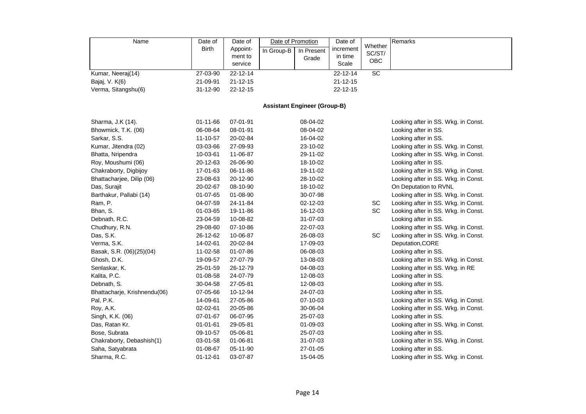| Name                         | Date of        | Date of        | Date of Promotion |                                     | Date of        |                 | Remarks                             |
|------------------------------|----------------|----------------|-------------------|-------------------------------------|----------------|-----------------|-------------------------------------|
|                              | <b>Birth</b>   | Appoint-       | In Group-B        | In Present                          | increment      | Whether         |                                     |
|                              |                | ment to        |                   | Grade                               | in time        | SC/ST/<br>OBC   |                                     |
|                              |                | service        |                   |                                     | Scale          |                 |                                     |
| Kumar, Neeraj(14)            | 27-03-90       | 22-12-14       |                   |                                     | 22-12-14       | $\overline{SC}$ |                                     |
| Bajaj, V. K(6)               | 21-09-91       | $21 - 12 - 15$ |                   |                                     | $21 - 12 - 15$ |                 |                                     |
| Verma, Sitangshu(6)          | 31-12-90       | 22-12-15       |                   |                                     | 22-12-15       |                 |                                     |
|                              |                |                |                   |                                     |                |                 |                                     |
|                              |                |                |                   | <b>Assistant Engineer (Group-B)</b> |                |                 |                                     |
| Sharma, J.K (14).            | 01-11-66       | 07-01-91       |                   | 08-04-02                            |                |                 | Looking after in SS. Wkg. in Const. |
| Bhowmick, T.K. (06)          | 06-08-64       | 08-01-91       |                   | 08-04-02                            |                |                 | Looking after in SS.                |
| Sarkar, S.S.                 | 11-10-57       | 20-02-84       |                   | 16-04-02                            |                |                 | Looking after in SS.                |
| Kumar, Jitendra (02)         | 03-03-66       | 27-09-93       |                   | 23-10-02                            |                |                 | Looking after in SS. Wkg. in Const. |
| Bhatta, Nripendra            | 10-03-61       | 11-06-87       |                   | 29-11-02                            |                |                 | Looking after in SS. Wkg. in Const. |
| Roy, Moushumi (06)           | 20-12-63       | 26-06-90       |                   | 18-10-02                            |                |                 | Looking after in SS.                |
| Chakraborty, Digbijoy        | 17-01-63       | 06-11-86       |                   | 19-11-02                            |                |                 | Looking after in SS. Wkg. in Const. |
| Bhattacharjee, Dilip (06)    | 23-08-63       | 20-12-90       |                   | 28-10-02                            |                |                 | Looking after in SS. Wkg. in Const. |
| Das, Surajit                 | 20-02-67       | 08-10-90       |                   | 18-10-02                            |                |                 | On Deputation to RVNL               |
| Barthakur, Pallabi (14)      | 01-07-65       | 01-08-90       |                   | 30-07-98                            |                |                 | Looking after in SS. Wkg. in Const. |
| Ram, P.                      | 04-07-59       | 24-11-84       |                   | 02-12-03                            |                | SC              | Looking after in SS. Wkg. in Const. |
| Bhan, S.                     | 01-03-65       | 19-11-86       |                   | 16-12-03                            |                | SC              | Looking after in SS. Wkg. in Const. |
| Debnath, R.C.                | 23-04-59       | 10-08-82       |                   | 31-07-03                            |                |                 | Looking after in SS.                |
| Chudhury, R.N.               | 29-08-60       | 07-10-86       |                   | 22-07-03                            |                |                 | Looking after in SS. Wkg. in Const. |
| Das, S.K.                    | 26-12-62       | 10-06-87       |                   | 26-08-03                            |                | SC              | Looking after in SS. Wkg. in Const. |
| Verma, S.K.                  | 14-02-61       | 20-02-84       |                   | 17-09-03                            |                |                 | Deputation, CORE                    |
| Basak, S.R. (06)(25)(04)     | 11-02-58       | 01-07-86       |                   | 06-08-03                            |                |                 | Looking after in SS.                |
| Ghosh, D.K.                  | 19-09-57       | 27-07-79       |                   | 13-08-03                            |                |                 | Looking after in SS. Wkg. in Const. |
| Senlaskar, K.                | 25-01-59       | 26-12-79       |                   | 04-08-03                            |                |                 | Looking after in SS. Wkg. in RE     |
| Kalita, P.C.                 | 01-08-58       | 24-07-79       |                   | 12-08-03                            |                |                 | Looking after in SS.                |
| Debnath, S.                  | 30-04-58       | 27-05-81       |                   | 12-08-03                            |                |                 | Looking after in SS.                |
| Bhattacharje, Krishnendu(06) | 07-05-66       | 10-12-94       |                   | 24-07-03                            |                |                 | Looking after in SS.                |
| Pal, P.K.                    | 14-09-61       | 27-05-86       |                   | 07-10-03                            |                |                 | Looking after in SS. Wkg. in Const. |
| Roy, A.K.                    | 02-02-61       | 20-05-86       |                   | 30-06-04                            |                |                 | Looking after in SS. Wkg. in Const. |
| Singh, K.K. (06)             | 07-01-67       | 06-07-95       |                   | 25-07-03                            |                |                 | Looking after in SS.                |
| Das, Ratan Kr.               | $01 - 01 - 61$ | 29-05-81       |                   | 01-09-03                            |                |                 | Looking after in SS. Wkg. in Const. |
| Bose, Subrata                | 09-10-57       | 05-06-81       |                   | 25-07-03                            |                |                 | Looking after in SS.                |
| Chakraborty, Debashish(1)    | 03-01-58       | 01-06-81       |                   | 31-07-03                            |                |                 | Looking after in SS. Wkg. in Const. |
| Saha, Satyabrata             | 01-08-67       | 05-11-90       |                   | 27-01-05                            |                |                 | Looking after in SS.                |
| Sharma, R.C.                 | $01 - 12 - 61$ | 03-07-87       |                   | 15-04-05                            |                |                 | Looking after in SS. Wkg. in Const. |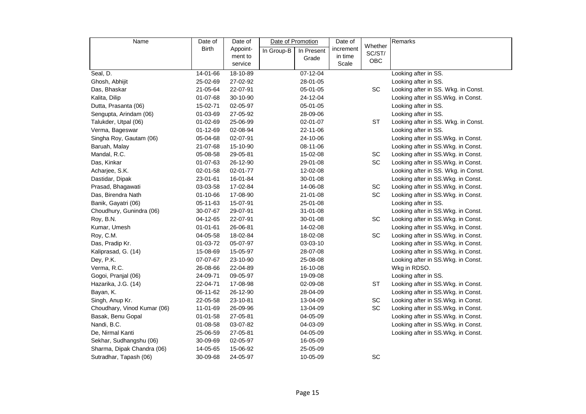| Name                        | Date of        | Date of  |            | Date of Promotion | Date of   |                   | Remarks                             |
|-----------------------------|----------------|----------|------------|-------------------|-----------|-------------------|-------------------------------------|
|                             | <b>Birth</b>   | Appoint- | In Group-B | In Present        | increment | Whether<br>SC/ST/ |                                     |
|                             |                | ment to  |            | Grade             | in time   | OBC               |                                     |
|                             |                | service  |            |                   | Scale     |                   |                                     |
| Seal, D.                    | 14-01-66       | 18-10-89 |            | $07 - 12 - 04$    |           |                   | Looking after in SS.                |
| Ghosh, Abhijit              | 25-02-69       | 27-02-92 |            | 28-01-05          |           |                   | Looking after in SS.                |
| Das, Bhaskar                | 21-05-64       | 22-07-91 |            | 05-01-05          |           | SC                | Looking after in SS. Wkg. in Const. |
| Kalita, Dilip               | 01-07-68       | 30-10-90 |            | 24-12-04          |           |                   | Looking after in SS.Wkg. in Const.  |
| Dutta, Prasanta (06)        | 15-02-71       | 02-05-97 |            | 05-01-05          |           |                   | Looking after in SS.                |
| Sengupta, Arindam (06)      | 01-03-69       | 27-05-92 |            | 28-09-06          |           |                   | Looking after in SS.                |
| Talukder, Utpal (06)        | 01-02-69       | 25-06-99 |            | 02-01-07          |           | <b>ST</b>         | Looking after in SS. Wkg. in Const. |
| Verma, Bageswar             | 01-12-69       | 02-08-94 |            | 22-11-06          |           |                   | Looking after in SS.                |
| Singha Roy, Gautam (06)     | 05-04-68       | 02-07-91 |            | 24-10-06          |           |                   | Looking after in SS.Wkg. in Const.  |
| Baruah, Malay               | 21-07-68       | 15-10-90 |            | 08-11-06          |           |                   | Looking after in SS.Wkg. in Const.  |
| Mandal, R.C.                | 05-08-58       | 29-05-81 |            | 15-02-08          |           | SC                | Looking after in SS.Wkg. in Const.  |
| Das, Kinkar                 | $01 - 07 - 63$ | 26-12-90 |            | 29-01-08          |           | <b>SC</b>         | Looking after in SS.Wkg. in Const.  |
| Acharjee, S.K.              | 02-01-58       | 02-01-77 |            | 12-02-08          |           |                   | Looking after in SS. Wkg. in Const. |
| Dastidar, Dipak             | 23-01-61       | 16-01-84 |            | 30-01-08          |           |                   | Looking after in SS.Wkg. in Const.  |
| Prasad, Bhagawati           | 03-03-58       | 17-02-84 |            | 14-06-08          |           | SC                | Looking after in SS.Wkg. in Const.  |
| Das, Birendra Nath          | 01-10-66       | 17-08-90 |            | 21-01-08          |           | SC                | Looking after in SS.Wkg. in Const.  |
| Banik, Gayatri (06)         | 05-11-63       | 15-07-91 |            | 25-01-08          |           |                   | Looking after in SS.                |
| Choudhury, Gunindra (06)    | 30-07-67       | 29-07-91 |            | 31-01-08          |           |                   | Looking after in SS.Wkg. in Const.  |
| Roy, B.N.                   | 04-12-65       | 22-07-91 |            | 30-01-08          |           | SC                | Looking after in SS.Wkg. in Const.  |
| Kumar, Umesh                | $01 - 01 - 61$ | 26-06-81 |            | 14-02-08          |           |                   | Looking after in SS.Wkg. in Const.  |
| Roy, C.M.                   | 04-05-58       | 18-02-84 |            | 18-02-08          |           | SC                | Looking after in SS.Wkg. in Const.  |
| Das, Pradip Kr.             | 01-03-72       | 05-07-97 |            | 03-03-10          |           |                   | Looking after in SS.Wkg. in Const.  |
| Kaliprasad, G. (14)         | 15-08-69       | 15-05-97 |            | 28-07-08          |           |                   | Looking after in SS.Wkg. in Const.  |
| Dey, P.K.                   | 07-07-67       | 23-10-90 |            | 25-08-08          |           |                   | Looking after in SS.Wkg. in Const.  |
| Verma, R.C.                 | 26-08-66       | 22-04-89 |            | 16-10-08          |           |                   | Wkg in RDSO.                        |
| Gogoi, Pranjal (06)         | 24-09-71       | 09-05-97 |            | 19-09-08          |           |                   | Looking after in SS.                |
| Hazarika, J.G. (14)         | 22-04-71       | 17-08-98 |            | 02-09-08          |           | <b>ST</b>         | Looking after in SS.Wkg. in Const.  |
| Bayan, K.                   | 06-11-62       | 26-12-90 |            | 28-04-09          |           |                   | Looking after in SS.Wkg. in Const.  |
| Singh, Anup Kr.             | 22-05-58       | 23-10-81 |            | 13-04-09          |           | SC                | Looking after in SS.Wkg. in Const.  |
| Choudhary, Vinod Kumar (06) | 11-01-69       | 26-09-96 |            | 13-04-09          |           | SC                | Looking after in SS.Wkg. in Const.  |
| Basak, Benu Gopal           | $01 - 01 - 58$ | 27-05-81 |            | 04-05-09          |           |                   | Looking after in SS.Wkg. in Const.  |
| Nandi, B.C.                 | 01-08-58       | 03-07-82 |            | 04-03-09          |           |                   | Looking after in SS.Wkg. in Const.  |
| De, Nirmal Kanti            | 25-06-59       | 27-05-81 |            | 04-05-09          |           |                   | Looking after in SS.Wkg. in Const.  |
| Sekhar, Sudhangshu (06)     | 30-09-69       | 02-05-97 |            | 16-05-09          |           |                   |                                     |
| Sharma, Dipak Chandra (06)  | 14-05-65       | 15-06-92 |            | 25-05-09          |           |                   |                                     |
| Sutradhar, Tapash (06)      | 30-09-68       | 24-05-97 |            | 10-05-09          |           | SC                |                                     |
|                             |                |          |            |                   |           |                   |                                     |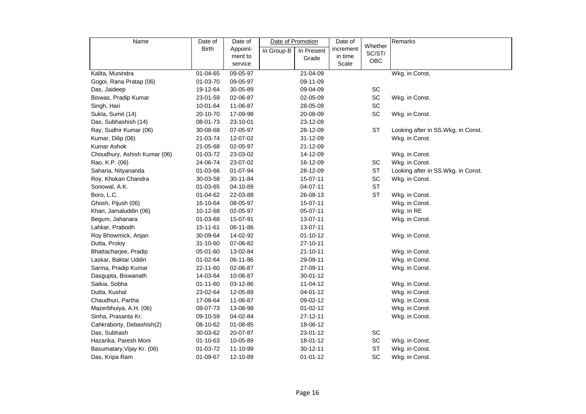| Name                         | Date of        | Date of  | Date of Promotion |                | Date of   |                   | Remarks                             |
|------------------------------|----------------|----------|-------------------|----------------|-----------|-------------------|-------------------------------------|
|                              | Birth          | Appoint- | In Group-B        | In Present     | increment | Whether<br>SC/ST/ |                                     |
|                              |                | ment to  |                   | Grade          | in time   | OBC               |                                     |
|                              |                | service  |                   |                | Scale     |                   |                                     |
| Kalita, Munindra             | 01-04-65       | 09-05-97 |                   | 21-04-09       |           |                   | Wkg. in Const.                      |
| Gogoi, Rana Pratap (06)      | 01-03-70       | 09-05-97 |                   | 09-11-09       |           |                   |                                     |
| Das, Jaideep                 | 19-12-64       | 30-05-89 |                   | 09-04-09       |           | SC                |                                     |
| Biswas, Pradip Kumar         | 23-01-59       | 02-06-87 |                   | 02-05-09       |           | SC                | Wkg. in Const.                      |
| Singh, Hari                  | 10-01-64       | 11-06-87 |                   | 28-05-09       |           | SC                |                                     |
| Sukla, Sumit (14)            | 20-10-70       | 17-09-98 |                   | 20-08-09       |           | SC                | Wkg. in Const.                      |
| Das, Subhashish (14)         | 08-01-73       | 23-10-01 |                   | 23-12-09       |           |                   |                                     |
| Ray, Sudhir Kumar (06)       | 30-08-68       | 07-05-97 |                   | 28-12-09       |           | <b>ST</b>         | Looking after in SS. Wkg. in Const. |
| Kumar, Dilip (06)            | 21-03-74       | 12-07-02 |                   | 31-12-09       |           |                   | Wkg. in Const.                      |
| Kumar Ashok                  | 21-05-68       | 02-05-97 |                   | 21-12-09       |           |                   |                                     |
| Choudhury, Ashish Kumar (06) | 01-03-72       | 23-03-02 |                   | 14-12-09       |           |                   | Wkg. in Const.                      |
| Rao, K.P. (06)               | 24-06-74       | 23-07-02 |                   | 16-12-09       |           | SC                | Wkg. in Const.                      |
| Saharia, Nityananda          | 01-03-66       | 01-07-94 |                   | 28-12-09       |           | ST                | Looking after in SS.Wkg. in Const.  |
| Roy, Khokan Chandra          | 30-03-58       | 30-11-84 |                   | 15-07-11       |           | SC                | Wkg. in Const.                      |
| Sonowal, A.K.                | 01-03-65       | 04-10-89 |                   | 04-07-11       |           | <b>ST</b>         |                                     |
| Boro, L.C.                   | 01-04-62       | 22-03-88 |                   | 26-08-13       |           | <b>ST</b>         | Wkg. in Const.                      |
| Ghosh, Pijush (06)           | 16-10-64       | 08-05-97 |                   | 15-07-11       |           |                   | Wkg. in Const.                      |
| Khan, Jamaluddin (06)        | 10-12-68       | 02-05-97 |                   | 05-07-11       |           |                   | Wkg. In RE                          |
| Begum, Jahanara              | 01-03-68       | 15-07-91 |                   | 13-07-11       |           |                   | Wkg. in Const.                      |
| Lahkar, Prabodh              | 15-11-61       | 06-11-86 |                   | 13-07-11       |           |                   |                                     |
| Roy Bhowmick, Anjan          | 30-09-64       | 14-02-92 |                   | $01 - 10 - 12$ |           |                   | Wkg. in Const.                      |
| Dutta, Proloy                | 31-10-60       | 07-06-82 |                   | 27-10-11       |           |                   |                                     |
| Bhattacharjee, Pradip        | 05-01-60       | 13-02-84 |                   | $21 - 10 - 11$ |           |                   | Wkg. in Const.                      |
| Laskar, Baktar Uddin         | 01-02-64       | 06-11-86 |                   | 29-09-11       |           |                   | Wkg. in Const.                      |
| Sarma, Pradip Kumar          | 22-11-60       | 02-06-87 |                   | 27-09-11       |           |                   | Wkg. in Const.                      |
| Dasgupta, Biswanath          | 14-03-64       | 10-06-87 |                   | 30-01-12       |           |                   |                                     |
| Saikia, Sobha                | $01 - 11 - 60$ | 03-12-86 |                   | 11-04-12       |           |                   | Wkg. in Const.                      |
| Dutta, Kushal                | 23-02-64       | 12-05-89 |                   | 04-01-12       |           |                   | Wkg. in Const.                      |
| Chaudhuri, Partha            | 17-08-64       | 11-06-87 |                   | 09-02-12       |           |                   | Wkg. in Const.                      |
| Mazerbhuiya, A.H. (06)       | 09-07-73       | 13-08-98 |                   | $01 - 02 - 12$ |           |                   | Wkg. in Const.                      |
| Sinha, Prasanta Kr.          | 09-10-59       | 04-02-84 |                   | 27-12-11       |           |                   | Wkg. in Const.                      |
| Cahkraborty, Debashish(2)    | 08-10-62       | 01-08-85 |                   | 18-06-12       |           |                   |                                     |
| Das, Subhash                 | 30-03-62       | 20-07-87 |                   | 23-01-12       |           | SC                |                                     |
| Hazarika, Paresh Moni        | 01-10-63       | 10-05-89 |                   | 18-01-12       |           | SC                | Wkg. in Const.                      |
| Basumatary, Vijay Kr. (06)   | 01-03-72       | 11-10-99 |                   | $30 - 12 - 11$ |           | ST                | Wkg. in Const.                      |
| Das, Kripa Ram               | 01-09-67       | 12-10-89 |                   | $01 - 01 - 12$ |           | SC                | Wkg. in Const.                      |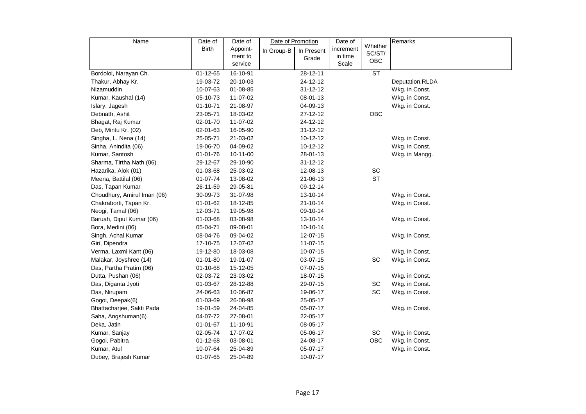| Name                        | Date of        | Date of  | Date of Promotion |                | Date of   |                   | Remarks          |
|-----------------------------|----------------|----------|-------------------|----------------|-----------|-------------------|------------------|
|                             | Birth          | Appoint- | In Group-B        | In Present     | increment | Whether<br>SC/ST/ |                  |
|                             |                | ment to  |                   | Grade          | in time   | OBC               |                  |
|                             |                | service  |                   |                | Scale     |                   |                  |
| Bordoloi, Narayan Ch.       | 01-12-65       | 16-10-91 |                   | 28-12-11       |           | ST                |                  |
| Thakur, Abhay Kr.           | 19-03-72       | 20-10-03 |                   | 24-12-12       |           |                   | Deputation, RLDA |
| Nizamuddin                  | 10-07-63       | 01-08-85 |                   | $31 - 12 - 12$ |           |                   | Wkg. in Const.   |
| Kumar, Kaushal (14)         | 05-10-73       | 11-07-02 |                   | 08-01-13       |           |                   | Wkg. in Const.   |
| Islary, Jagesh              | 01-10-71       | 21-08-97 |                   | 04-09-13       |           |                   | Wkg. in Const.   |
| Debnath, Ashit              | 23-05-71       | 18-03-02 |                   | 27-12-12       |           | OBC               |                  |
| Bhagat, Raj Kumar           | 02-01-70       | 11-07-02 |                   | 24-12-12       |           |                   |                  |
| Deb, Mintu Kr. (02)         | 02-01-63       | 16-05-90 |                   | $31 - 12 - 12$ |           |                   |                  |
| Singha, L. Nena (14)        | 25-05-71       | 21-03-02 |                   | 10-12-12       |           |                   | Wkg. in Const.   |
| Sinha, Anindita (06)        | 19-06-70       | 04-09-02 |                   | 10-12-12       |           |                   | Wkg. in Const.   |
| Kumar, Santosh              | 01-01-76       | 10-11-00 |                   | 28-01-13       |           |                   | Wkg. in Mangg.   |
| Sharma, Tirtha Nath (06)    | 29-12-67       | 29-10-90 |                   | $31 - 12 - 12$ |           |                   |                  |
| Hazarika, Alok (01)         | 01-03-68       | 25-03-02 |                   | 12-08-13       |           | SC                |                  |
| Meena, Battilal (06)        | 01-07-74       | 13-08-02 |                   | 21-06-13       |           | <b>ST</b>         |                  |
| Das, Tapan Kumar            | 26-11-59       | 29-05-81 |                   | 09-12-14       |           |                   |                  |
| Choudhury, Amirul Iman (06) | 30-09-73       | 31-07-98 |                   | 13-10-14       |           |                   | Wkg. in Const.   |
| Chakraborti, Tapan Kr.      | $01 - 01 - 62$ | 18-12-85 |                   | $21 - 10 - 14$ |           |                   | Wkg. in Const.   |
| Neogi, Tamal (06)           | 12-03-71       | 19-05-98 |                   | 09-10-14       |           |                   |                  |
| Baruah, Dipul Kumar (06)    | 01-03-68       | 03-08-98 |                   | 13-10-14       |           |                   | Wkg. in Const.   |
| Bora, Medini (06)           | 05-04-71       | 09-08-01 |                   | 10-10-14       |           |                   |                  |
| Singh, Achal Kumar          | 08-04-76       | 09-04-02 |                   | 12-07-15       |           |                   | Wkg. in Const.   |
| Giri, Dipendra              | 17-10-75       | 12-07-02 |                   | 11-07-15       |           |                   |                  |
| Verma, Laxmi Kant (06)      | 19-12-80       | 18-03-08 |                   | 10-07-15       |           |                   | Wkg. in Const.   |
| Malakar, Joyshree (14)      | $01 - 01 - 80$ | 19-01-07 |                   | 03-07-15       |           | SC                | Wkg. in Const.   |
| Das, Partha Pratim (06)     | 01-10-68       | 15-12-05 |                   | $07-07-15$     |           |                   |                  |
| Dutta, Pushan (06)          | 02-03-72       | 23-03-02 |                   | 18-07-15       |           |                   | Wkg. in Const.   |
| Das, Diganta Jyoti          | 01-03-67       | 28-12-88 |                   | 29-07-15       |           | SC                | Wkg. in Const.   |
| Das, Nirupam                | 24-06-63       | 10-06-87 |                   | 19-06-17       |           | SC                | Wkg. in Const.   |
| Gogoi, Deepak(6)            | 01-03-69       | 26-08-98 |                   | 25-05-17       |           |                   |                  |
| Bhattacharjee, Sakti Pada   | 19-01-59       | 24-04-85 |                   | 05-07-17       |           |                   | Wkg. in Const.   |
| Saha, Angshuman(6)          | 04-07-72       | 27-08-01 |                   | 22-05-17       |           |                   |                  |
| Deka, Jatin                 | 01-01-67       | 11-10-91 |                   | 08-05-17       |           |                   |                  |
| Kumar, Sanjay               | 02-05-74       | 17-07-02 |                   | 05-06-17       |           | SC                | Wkg. in Const.   |
| Gogoi, Pabitra              | 01-12-68       | 03-08-01 |                   | 24-08-17       |           | OBC               | Wkg. in Const.   |
| Kumar, Atul                 | 10-07-64       | 25-04-89 |                   | 05-07-17       |           |                   | Wkg. in Const.   |
| Dubey, Brajesh Kumar        | 01-07-65       | 25-04-89 |                   | 10-07-17       |           |                   |                  |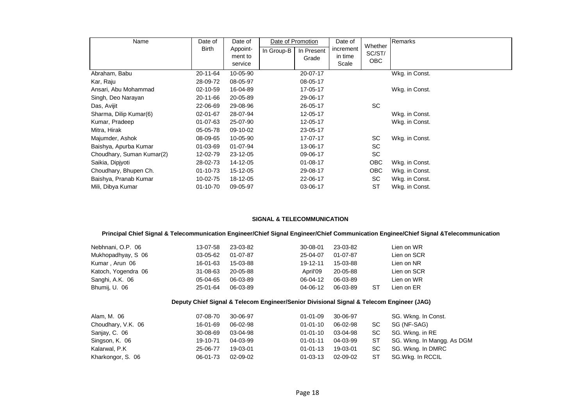| Name                      | Date of        | Date of  |            | Date of Promotion | Date of   | Whether    | Remarks        |
|---------------------------|----------------|----------|------------|-------------------|-----------|------------|----------------|
|                           | <b>Birth</b>   | Appoint- | In Group-B | In Present        | increment | SC/ST/     |                |
|                           |                | ment to  |            | Grade             | in time   | OBC        |                |
|                           |                | service  |            |                   | Scale     |            |                |
| Abraham, Babu             | 20-11-64       | 10-05-90 |            | 20-07-17          |           |            | Wkg. in Const. |
| Kar, Raju                 | 28-09-72       | 08-05-97 |            | 08-05-17          |           |            |                |
| Ansari, Abu Mohammad      | 02-10-59       | 16-04-89 |            | 17-05-17          |           |            | Wkg. in Const. |
| Singh, Deo Narayan        | 20-11-66       | 20-05-89 |            | 29-06-17          |           |            |                |
| Das, Avijit               | 22-06-69       | 29-08-96 |            | 26-05-17          |           | <b>SC</b>  |                |
| Sharma, Dilip Kumar(6)    | 02-01-67       | 28-07-94 |            | 12-05-17          |           |            | Wkg. in Const. |
| Kumar, Pradeep            | $01 - 07 - 63$ | 25-07-90 |            | 12-05-17          |           |            | Wkg. in Const. |
| Mitra, Hirak              | 05-05-78       | 09-10-02 |            | 23-05-17          |           |            |                |
| Majumder, Ashok           | 08-09-65       | 10-05-90 |            | 17-07-17          |           | SC         | Wkg. in Const. |
| Baishya, Apurba Kumar     | 01-03-69       | 01-07-94 |            | 13-06-17          |           | <b>SC</b>  |                |
| Choudhary, Suman Kumar(2) | 12-02-79       | 23-12-05 |            | 09-06-17          |           | <b>SC</b>  |                |
| Saikia, Dipjyoti          | 28-02-73       | 14-12-05 |            | $01 - 08 - 17$    |           | <b>OBC</b> | Wkg. in Const. |
| Choudhary, Bhupen Ch.     | 01-10-73       | 15-12-05 |            | 29-08-17          |           | <b>OBC</b> | Wkg. in Const. |
| Baishya, Pranab Kumar     | 10-02-75       | 18-12-05 |            | 22-06-17          |           | SC         | Wkg. in Const. |
| Mili, Dibya Kumar         | $01 - 10 - 70$ | 09-05-97 |            | 03-06-17          |           | <b>ST</b>  | Wkg. in Const. |

#### **SIGNAL & TELECOMMUNICATION**

#### **Principal Chief Signal & Telecommunication Engineer/Chief Signal Engineer/Chief Communication Enginee/Chief Signal &Telecommunication**

| Nebhnani, O.P. 06   | 13-07-58       | 23-03-82 | $30 - 08 - 01$ | 23-03-82 |    | Lien on WR  |
|---------------------|----------------|----------|----------------|----------|----|-------------|
| Mukhopadhyay, S 06  | 03-05-62       | 01-07-87 | 25-04-07       | 01-07-87 |    | Lien on SCR |
| Kumar, Arun 06      | 16-01-63       | 15-03-88 | 19-12-11       | 15-03-88 |    | Lien on NR  |
| Katoch, Yogendra 06 | $31 - 08 - 63$ | 20-05-88 | April'09       | 20-05-88 |    | Lien on SCR |
| Sanghi, A.K. 06     | 05-04-65       | 06-03-89 | $06-04-12$     | 06-03-89 |    | Lien on WR  |
| Bhumij, U. 06       | 25-01-64       | 06-03-89 | 04-06-12       | 06-03-89 | ST | Lien on ER  |
|                     |                |          |                |          |    |             |

#### **Deputy Chief Signal & Telecom Engineer/Senior Divisional Signal & Telecom Engineer (JAG)**

| Alam, M. 06        | 07-08-70 | 30-06-97 | 01-01-09       | 30-06-97 |     | SG. Wkng. In Const.        |
|--------------------|----------|----------|----------------|----------|-----|----------------------------|
| Choudhary, V.K. 06 | 16-01-69 | 06-02-98 | $01 - 01 - 10$ | 06-02-98 | SC. | SG (NF-SAG)                |
| Sanjay, C. 06      | 30-08-69 | 03-04-98 | $01 - 01 - 10$ | 03-04-98 | SC. | SG. Wkng. in RE            |
| Singson, K. 06     | 19-10-71 | 04-03-99 | $01 - 01 - 11$ | 04-03-99 | ST  | SG. Wkng. In Mangg. As DGM |
| Kalarwal, P.K      | 25-06-77 | 19-03-01 | $01 - 01 - 13$ | 19-03-01 | SC. | SG. Wkng. In DMRC          |
| Kharkongor, S. 06  | 06-01-73 | 02-09-02 | $01 - 03 - 13$ | 02-09-02 | ST  | SG.Wkg. In RCCIL           |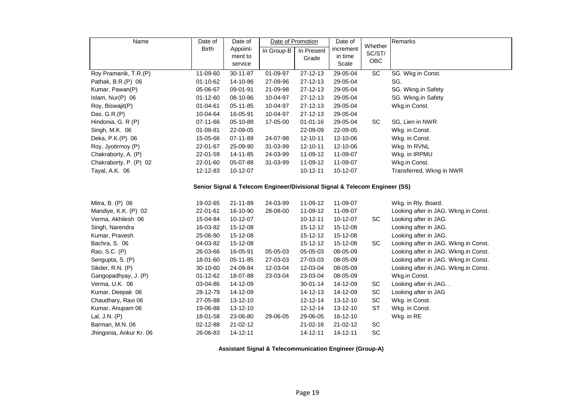| Name                                                                       | Date of        | Date of  | Date of Promotion |                | Date of        |                   | Remarks                              |  |  |  |  |  |
|----------------------------------------------------------------------------|----------------|----------|-------------------|----------------|----------------|-------------------|--------------------------------------|--|--|--|--|--|
|                                                                            | <b>Birth</b>   | Appoint- | In Group-B        | In Present     | increment      | Whether<br>SC/ST/ |                                      |  |  |  |  |  |
|                                                                            |                | ment to  |                   | Grade          | in time        | OBC               |                                      |  |  |  |  |  |
|                                                                            |                | service  |                   |                | Scale          |                   |                                      |  |  |  |  |  |
| Roy Pramanik, T.R.(P)                                                      | 11-09-60       | 30-11-87 | 01-09-97          | 27-12-13       | 29-05-04       | SC                | SG. Wkg in Const.                    |  |  |  |  |  |
| Pathak, B.R.(P) 06                                                         | 01-10-62       | 14-10-86 | 27-09-96          | 27-12-13       | 29-05-04       |                   | SG.                                  |  |  |  |  |  |
| Kumar, Pawan(P)                                                            | 05-06-67       | 09-01-91 | 21-09-98          | $27 - 12 - 13$ | 29-05-04       |                   | SG. Wkng.in Safety                   |  |  |  |  |  |
| Islam, Nur(P) 06                                                           | $01 - 12 - 60$ | 08-10-86 | 10-04-97          | 27-12-13       | 29-05-04       |                   | SG. Wkng.in Safety                   |  |  |  |  |  |
| Roy, Biswajit(P)                                                           | 01-04-61       | 05-11-85 | 10-04-97          | 27-12-13       | 29-05-04       |                   | Wkg.in Const.                        |  |  |  |  |  |
| Das, $G.R.(P)$                                                             | 10-04-64       | 16-05-91 | 10-04-97          | $27 - 12 - 13$ | 29-05-04       |                   |                                      |  |  |  |  |  |
| Hindonia, G. R (P)                                                         | 07-11-66       | 05-10-88 | 17-05-00          | $01 - 01 - 16$ | 29-05-04       | SC                | SG, Lien in NWR                      |  |  |  |  |  |
| Singh, M.K. 06                                                             | 01-08-81       | 22-09-05 |                   | 22-09-09       | 22-09-05       |                   | Wkg. in Const.                       |  |  |  |  |  |
| Deka, P.K.(P) 06                                                           | 15-05-66       | 07-11-89 | 24-07-98          | 12-10-11       | 12-10-06       |                   | Wkg. in Const.                       |  |  |  |  |  |
| Roy, Jyotirmoy (P)                                                         | 22-01-67       | 25-09-90 | 31-03-99          | 12-10-11       | 12-10-06       |                   | Wkg. In RVNL                         |  |  |  |  |  |
| Chakraborty, A. (P)                                                        | 22-01-59       | 14-11-85 | 24-03-99          | 11-09-12       | 11-09-07       |                   | Wkg. in IRPMU                        |  |  |  |  |  |
| Chakraborty, P. (P) 02                                                     | 22-01-60       | 05-07-88 | 31-03-99          | 11-09-12       | 11-09-07       |                   | Wkg.in Const.                        |  |  |  |  |  |
| Tayal, A.K. 06                                                             | 12-12-83       | 10-12-07 |                   | 10-12-11       | 10-12-07       |                   | Transferred, Wkng in NWR             |  |  |  |  |  |
| Senior Signal & Telecom Engineer/Divisional Signal & Telecom Engineer (SS) |                |          |                   |                |                |                   |                                      |  |  |  |  |  |
|                                                                            |                |          |                   |                |                |                   |                                      |  |  |  |  |  |
| Mitra, B. (P) 06                                                           | 19-02-65       | 21-11-89 | 24-03-99          | 11-09-12       | 11-09-07       |                   | Wkg. in Rly. Board.                  |  |  |  |  |  |
| Mandiye, K.K. (P) 02                                                       | 22-01-61       | 16-10-90 | 28-08-00          | 11-09-12       | 11-09-07       |                   | Looking after in JAG. Wkng.in Const. |  |  |  |  |  |
| Verma, Akhilesh 06                                                         | 15-04-84       | 10-12-07 |                   | $10 - 12 - 11$ | 10-12-07       | SC                | Looking after in JAG.                |  |  |  |  |  |
| Singh, Narendra                                                            | 16-03-82       | 15-12-08 |                   | 15-12-12       | 15-12-08       |                   | Looking after in JAG.                |  |  |  |  |  |
| Kumar, Pravesh                                                             | 25-06-80       | 15-12-08 |                   | 15-12-12       | 15-12-08       |                   | Looking after in JAG.                |  |  |  |  |  |
| Bachra, S. 06                                                              | 04-03-82       | 15-12-08 |                   | 15-12-12       | 15-12-08       | <b>SC</b>         | Looking after in JAG. Wkng.in Const. |  |  |  |  |  |
| Rao, S.C. (P)                                                              | 26-03-66       | 16-05-91 | 05-05-03          | 05-05-03       | 08-05-09       |                   | Looking after in JAG. Wkng.in Const. |  |  |  |  |  |
| Sengupta, S. (P)                                                           | 18-01-60       | 05-11-85 | 27-03-03          | 27-03-03       | 08-05-09       |                   | Looking after in JAG. Wkng.in Const. |  |  |  |  |  |
| Sikder, R.N. (P)                                                           | 30-10-60       | 24-09-84 | 12-03-04          | 12-03-04       | 08-05-09       |                   | Looking after in JAG. Wkng.in Const. |  |  |  |  |  |
| Gangopadhyay, J. (P)                                                       | $01 - 12 - 62$ | 18-07-88 | 23-03-04          | 23-03-04       | 08-05-09       |                   | Wkg.in Const.                        |  |  |  |  |  |
| Verma, U.K. 06                                                             | 03-04-86       | 14-12-09 |                   | 30-01-14       | 14-12-09       | SC                | Looking after in JAG                 |  |  |  |  |  |
| Kumar, Deepak 06                                                           | 28-12-79       | 14-12-09 |                   | 14-12-13       | 14-12-09       | SC                | Looking after in JAG                 |  |  |  |  |  |
| Chaudhary, Ravi 06                                                         | 27-05-88       | 13-12-10 |                   | 12-12-14       | 13-12-10       | SC                | Wkg. in Const.                       |  |  |  |  |  |
| Kumar, Anupam 06                                                           | 19-06-88       | 13-12-10 |                   | 12-12-14       | 13-12-10       | <b>ST</b>         | Wkg. in Const.                       |  |  |  |  |  |
| Lal, J.N. (P)                                                              | 18-01-58       | 23-06-80 | 29-06-05          | 29-06-05       | $16 - 12 - 10$ |                   | Wkg. in RE                           |  |  |  |  |  |
| Barman, M.N. 06                                                            | 02-12-88       | 21-02-12 |                   | $21 - 02 - 16$ | 21-02-12       | SC                |                                      |  |  |  |  |  |
| Jhingonia, Ankur Kr. 06                                                    | 26-06-83       | 14-12-11 |                   | 14-12-11       | 14-12-11       | SC                |                                      |  |  |  |  |  |

**Assistant Signal & Telecommunication Engineer (Group-A)**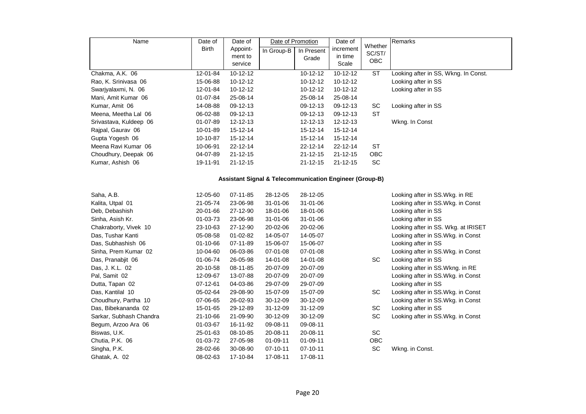| Name                                                               | Date of      | Date of        | Date of Promotion |                | Date of        |                              | Remarks                              |  |  |  |  |
|--------------------------------------------------------------------|--------------|----------------|-------------------|----------------|----------------|------------------------------|--------------------------------------|--|--|--|--|
|                                                                    | <b>Birth</b> | Appoint-       | In Group-B        | In Present     | increment      | Whether<br>SC/ST/            |                                      |  |  |  |  |
|                                                                    |              | ment to        |                   | Grade          | in time        | OBC                          |                                      |  |  |  |  |
|                                                                    |              | service        |                   |                | Scale          |                              |                                      |  |  |  |  |
| Chakma, A.K. 06                                                    | 12-01-84     | 10-12-12       |                   | 10-12-12       | 10-12-12       | <b>ST</b>                    | Looking after in SS, Wkng. In Const. |  |  |  |  |
| Rao, K. Srinivasa 06                                               | 15-06-88     | 10-12-12       |                   | 10-12-12       | 10-12-12       |                              | Looking after in SS                  |  |  |  |  |
| Swarjyalaxmi, N. 06                                                | 12-01-84     | 10-12-12       |                   | 10-12-12       | 10-12-12       |                              | Looking after in SS                  |  |  |  |  |
| Mani, Amit Kumar 06                                                | 01-07-84     | 25-08-14       |                   | 25-08-14       | 25-08-14       |                              |                                      |  |  |  |  |
| Kumar, Amit 06                                                     | 14-08-88     | 09-12-13       |                   | 09-12-13       | 09-12-13       | SC                           | Looking after in SS                  |  |  |  |  |
| Meena, Meetha Lal 06                                               | 06-02-88     | 09-12-13       |                   | 09-12-13       | 09-12-13       | <b>ST</b>                    |                                      |  |  |  |  |
| Srivastava, Kuldeep 06                                             | 01-07-89     | 12-12-13       |                   | $12 - 12 - 13$ | 12-12-13       |                              | Wkng. In Const                       |  |  |  |  |
| Rajpal, Gaurav 06                                                  | 10-01-89     | 15-12-14       |                   | 15-12-14       | 15-12-14       |                              |                                      |  |  |  |  |
| Gupta Yogesh 06                                                    | 10-10-87     | 15-12-14       |                   | 15-12-14       | 15-12-14       |                              |                                      |  |  |  |  |
| Meena Ravi Kumar 06                                                | 10-06-91     | 22-12-14       |                   | 22-12-14       | 22-12-14       | ST                           |                                      |  |  |  |  |
| Choudhury, Deepak 06                                               | 04-07-89     | $21 - 12 - 15$ |                   | $21 - 12 - 15$ | $21 - 12 - 15$ | OBC                          |                                      |  |  |  |  |
| Kumar, Ashish 06                                                   | 19-11-91     | $21 - 12 - 15$ |                   | $21 - 12 - 15$ | $21 - 12 - 15$ | SC                           |                                      |  |  |  |  |
| <b>Assistant Signal &amp; Telecommunication Engineer (Group-B)</b> |              |                |                   |                |                |                              |                                      |  |  |  |  |
| Saha, A.B.                                                         | 12-05-60     | 07-11-85       | 28-12-05          | 28-12-05       |                |                              | Looking after in SS. Wkg. in RE      |  |  |  |  |
| Kalita, Utpal 01                                                   | 21-05-74     | 23-06-98       | 31-01-06          | 31-01-06       |                |                              | Looking after in SS.Wkg. in Const    |  |  |  |  |
| Deb, Debashish                                                     | 20-01-66     | 27-12-90       | 18-01-06          | 18-01-06       |                |                              | Looking after in SS                  |  |  |  |  |
| Sinha, Asish Kr.                                                   | 01-03-73     | 23-06-98       | 31-01-06          | $31 - 01 - 06$ |                |                              | Looking after in SS                  |  |  |  |  |
| Chakraborty, Vivek 10                                              | 23-10-63     | 27-12-90       | 20-02-06          | 20-02-06       |                |                              | Looking after in SS. Wkg. at IRISET  |  |  |  |  |
| Das, Tushar Kanti                                                  | 05-08-58     | 01-02-82       | 14-05-07          | 14-05-07       |                |                              | Looking after in SS.Wkg. in Const    |  |  |  |  |
| Das, Subhashish 06                                                 | 01-10-66     | 07-11-89       | 15-06-07          | 15-06-07       |                |                              | Looking after in SS                  |  |  |  |  |
| Sinha, Prem Kumar 02                                               | 10-04-60     | 06-03-86       | 07-01-08          | 07-01-08       |                |                              | Looking after in SS.Wkg. in Const    |  |  |  |  |
| Das, Pranabjit 06                                                  | 01-06-74     | 26-05-98       | 14-01-08          | 14-01-08       |                | SC                           | Looking after in SS                  |  |  |  |  |
| Das, J. K.L. 02                                                    | 20-10-58     | 08-11-85       | 20-07-09          | 20-07-09       |                |                              | Looking after in SS. Wkng. in RE     |  |  |  |  |
| Pal, Samit 02                                                      | 12-09-67     | 13-07-88       | 20-07-09          | 20-07-09       |                |                              | Looking after in SS. Wkg. in Const   |  |  |  |  |
| Dutta, Tapan 02                                                    | 07-12-61     | 04-03-86       | 29-07-09          | 29-07-09       |                |                              | Looking after in SS                  |  |  |  |  |
| Das, Kantilal 10                                                   | 05-02-64     | 29-08-90       | 15-07-09          | 15-07-09       |                | SC                           | Looking after in SS.Wkg. in Const    |  |  |  |  |
| Choudhury, Partha 10                                               | 07-06-65     | 26-02-93       | 30-12-09          | 30-12-09       |                |                              | Looking after in SS.Wkg. in Const    |  |  |  |  |
| Das, Bibekananda 02                                                | 15-01-65     | 29-12-89       | 31-12-09          | 31-12-09       |                | SC                           | Looking after in SS                  |  |  |  |  |
| Sarkar, Subhash Chandra                                            | 21-10-66     | 21-09-90       | 30-12-09          | 30-12-09       |                | SC                           | Looking after in SS.Wkg. in Const    |  |  |  |  |
| Begum, Arzoo Ara 06                                                | 01-03-67     | 16-11-92       | 09-08-11          | 09-08-11       |                |                              |                                      |  |  |  |  |
| Biswas, U.K.                                                       | 25-01-63     | 08-10-85       | 20-08-11          | 20-08-11       |                | $\operatorname{\textsf{SC}}$ |                                      |  |  |  |  |
| Chutia, P.K. 06                                                    | 01-03-72     | 27-05-98       | 01-09-11          | 01-09-11       |                | OBC                          |                                      |  |  |  |  |
| Singha, P.K.                                                       | 28-02-66     | 30-08-90       | 07-10-11          | 07-10-11       |                | $\operatorname{\textsf{SC}}$ | Wkng. in Const.                      |  |  |  |  |
| Ghatak, A. 02                                                      | 08-02-63     | 17-10-84       | 17-08-11          | 17-08-11       |                |                              |                                      |  |  |  |  |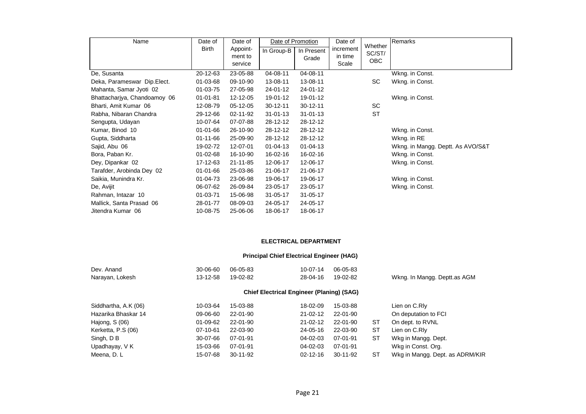| Name                         | Date of        | Date of                        |                | Date of Promotion   | Date of                       | Whether              | Remarks                           |  |  |
|------------------------------|----------------|--------------------------------|----------------|---------------------|-------------------------------|----------------------|-----------------------------------|--|--|
|                              | Birth          | Appoint-<br>ment to<br>service | In Group-B     | In Present<br>Grade | increment<br>in time<br>Scale | SC/ST/<br><b>OBC</b> |                                   |  |  |
| De, Susanta                  | 20-12-63       | 23-05-88                       | 04-08-11       | 04-08-11            |                               |                      | Wkng. in Const.                   |  |  |
| Deka, Parameswar Dip. Elect. | 01-03-68       | 09-10-90                       | 13-08-11       | 13-08-11            |                               | <b>SC</b>            | Wkng. in Const.                   |  |  |
| Mahanta, Samar Jyoti 02      | 01-03-75       | 27-05-98                       | 24-01-12       | 24-01-12            |                               |                      |                                   |  |  |
| Bhattacharjya, Chandoamoy 06 | $01 - 01 - 81$ | 12-12-05                       | 19-01-12       | 19-01-12            |                               |                      | Wkng. in Const.                   |  |  |
| Bharti, Amit Kumar 06        | 12-08-79       | 05-12-05                       | $30 - 12 - 11$ | $30 - 12 - 11$      |                               | <b>SC</b>            |                                   |  |  |
| Rabha, Nibaran Chandra       | 29-12-66       | 02-11-92                       | $31 - 01 - 13$ | $31 - 01 - 13$      |                               | <b>ST</b>            |                                   |  |  |
| Sengupta, Udayan             | 10-07-64       | 07-07-88                       | 28-12-12       | 28-12-12            |                               |                      |                                   |  |  |
| Kumar, Binod 10              | 01-01-66       | 26-10-90                       | 28-12-12       | 28-12-12            |                               |                      | Wkng. in Const.                   |  |  |
| Gupta, Siddharta             | 01-11-66       | 25-09-90                       | 28-12-12       | 28-12-12            |                               |                      | Wkng. in RE                       |  |  |
| Sajid, Abu 06                | 19-02-72       | 12-07-01                       | $01 - 04 - 13$ | $01 - 04 - 13$      |                               |                      | Wkng. in Mangg. Deptt. As AVO/S&T |  |  |
| Bora, Paban Kr.              | 01-02-68       | 16-10-90                       | 16-02-16       | 16-02-16            |                               |                      | Wkng. in Const.                   |  |  |
| Dey, Dipankar 02             | 17-12-63       | 21-11-85                       | 12-06-17       | 12-06-17            |                               |                      | Wkng. in Const.                   |  |  |
| Tarafder, Arobinda Dey 02    | 01-01-66       | 25-03-86                       | 21-06-17       | 21-06-17            |                               |                      |                                   |  |  |
| Saikia, Munindra Kr.         | 01-04-73       | 23-06-98                       | 19-06-17       | 19-06-17            |                               |                      | Wkng. in Const.                   |  |  |
| De, Avijit                   | 06-07-62       | 26-09-84                       | 23-05-17       | 23-05-17            |                               |                      | Wkng. in Const.                   |  |  |
| Rahman, Intazar 10           | 01-03-71       | 15-06-98                       | 31-05-17       | $31 - 05 - 17$      |                               |                      |                                   |  |  |
| Mallick, Santa Prasad 06     | 28-01-77       | 08-09-03                       | 24-05-17       | 24-05-17            |                               |                      |                                   |  |  |
| Jitendra Kumar 06            | 10-08-75       | 25-06-06                       | 18-06-17       | 18-06-17            |                               |                      |                                   |  |  |

# **ELECTRICAL DEPARTMENT**

#### **Principal Chief Electrical Engineer (HAG)**

| Dev. Anand           | 30-06-60 | 06-05-83       | 10-07-14                                         | 06-05-83       |           |                                 |
|----------------------|----------|----------------|--------------------------------------------------|----------------|-----------|---------------------------------|
| Narayan, Lokesh      | 13-12-58 | 19-02-82       | 28-04-16                                         | 19-02-82       |           | Wkng. In Mangg. Deptt.as AGM    |
|                      |          |                | <b>Chief Electrical Engineer (Planing) (SAG)</b> |                |           |                                 |
| Siddhartha, A.K (06) | 10-03-64 | 15-03-88       | 18-02-09                                         | 15-03-88       |           | Lien on C.RIv                   |
| Hazarika Bhaskar 14  | 09-06-60 | 22-01-90       | $21 - 02 - 12$                                   | 22-01-90       |           | On deputation to FCI            |
| Hajong, S (06)       | 01-09-62 | 22-01-90       | $21 - 02 - 12$                                   | 22-01-90       | ST        | On dept. to RVNL                |
| Kerketta, P.S (06)   | 07-10-61 | 22-03-90       | $24 - 05 - 16$                                   | 22-03-90       | <b>ST</b> | Lien on C.RIv                   |
| Singh, D B           | 30-07-66 | 07-01-91       | 04-02-03                                         | 07-01-91       | <b>ST</b> | Wkg in Mangg. Dept.             |
| Upadhayay, V K       | 15-03-66 | 07-01-91       | 04-02-03                                         | 07-01-91       |           | Wkg in Const. Org.              |
| Meena, D. L          | 15-07-68 | $30 - 11 - 92$ | $02 - 12 - 16$                                   | $30 - 11 - 92$ | ST        | Wkg in Mangg. Dept. as ADRM/KIR |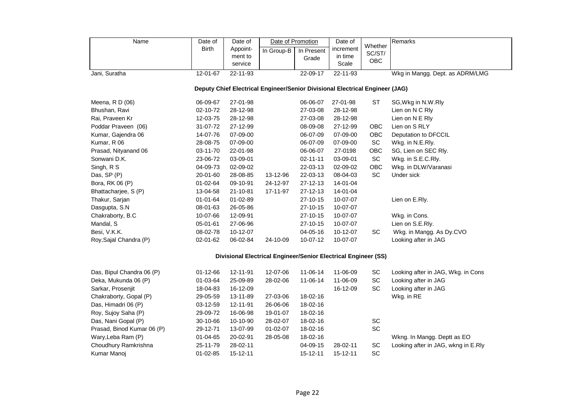| Name                                                                         | Date of<br><b>Birth</b> | Date of<br>Appoint-<br>ment to<br>service | In Group-B                                                     | Date of Promotion<br>In Present<br>Grade | Date of<br>increment<br>in time<br>Scale | Whether<br>SC/ST/<br>OBC | Remarks                         |  |  |  |  |  |  |
|------------------------------------------------------------------------------|-------------------------|-------------------------------------------|----------------------------------------------------------------|------------------------------------------|------------------------------------------|--------------------------|---------------------------------|--|--|--|--|--|--|
| Jani, Suratha                                                                | 12-01-67                | 22-11-93                                  |                                                                | 22-09-17                                 | 22-11-93                                 |                          | Wkg in Mangg. Dept. as ADRM/LMG |  |  |  |  |  |  |
| Deputy Chief Electrical Engineer/Senior Divisional Electrical Engineer (JAG) |                         |                                           |                                                                |                                          |                                          |                          |                                 |  |  |  |  |  |  |
| Meena, R D (06)                                                              | 06-09-67                | 27-01-98                                  |                                                                | 06-06-07                                 | 27-01-98                                 | <b>ST</b>                | SG, Wkg in N.W.Rly              |  |  |  |  |  |  |
| Bhushan, Ravi                                                                | 02-10-72                | 28-12-98                                  |                                                                | 27-03-08                                 | 28-12-98                                 |                          | Lien on N C Rly                 |  |  |  |  |  |  |
| Rai, Praveen Kr                                                              | 12-03-75                | 28-12-98                                  |                                                                | 27-03-08                                 | 28-12-98                                 |                          | Lien on N E Rly                 |  |  |  |  |  |  |
| Poddar Praveen (06)                                                          | 31-07-72                | 27-12-99                                  |                                                                | 08-09-08                                 | 27-12-99                                 | <b>OBC</b>               | Lien on S RLY                   |  |  |  |  |  |  |
| Kumar, Gajendra 06                                                           | 14-07-76                | 07-09-00                                  |                                                                | 06-07-09                                 | 07-09-00                                 | <b>OBC</b>               | Deputation to DFCCIL            |  |  |  |  |  |  |
| Kumar, R 06                                                                  | 28-08-75                | 07-09-00                                  |                                                                | 06-07-09                                 | 07-09-00                                 | <b>SC</b>                | Wkg. in N.E.Rly.                |  |  |  |  |  |  |
| Prasad, Nityanand 06                                                         | 03-11-70                | 22-01-98                                  |                                                                | 06-06-07                                 | 27-0198                                  | OBC                      | SG, Lien on SEC Rly.            |  |  |  |  |  |  |
| Sonwani D.K.                                                                 | 23-06-72                | 03-09-01                                  |                                                                | $02 - 11 - 11$                           | 03-09-01                                 | SC                       | Wkg. in S.E.C.Rly.              |  |  |  |  |  |  |
| Singh, R S                                                                   | 04-09-73                | 02-09-02                                  |                                                                | 22-03-13                                 | 02-09-02                                 | <b>OBC</b>               | Wkg. in DLW/Varanasi            |  |  |  |  |  |  |
| Das, SP (P)                                                                  | 20-01-60                | 28-08-85                                  | 13-12-96                                                       | 22-03-13                                 | 08-04-03                                 | <b>SC</b>                | Under sick                      |  |  |  |  |  |  |
| Bora, RK 06 (P)                                                              | $01 - 02 - 64$          | 09-10-91                                  | 24-12-97                                                       | $27 - 12 - 13$                           | 14-01-04                                 |                          |                                 |  |  |  |  |  |  |
| Bhattacharjee, S (P)                                                         | 13-04-58                | 21-10-81                                  | 17-11-97                                                       | $27 - 12 - 13$                           | 14-01-04                                 |                          |                                 |  |  |  |  |  |  |
| Thakur, Sarjan                                                               | $01 - 01 - 64$          | $01 - 02 - 89$                            |                                                                | $27 - 10 - 15$                           | 10-07-07                                 |                          | Lien on E.Rly.                  |  |  |  |  |  |  |
| Dasgupta, S.N.                                                               | 08-01-63                | 26-05-86                                  |                                                                | $27 - 10 - 15$                           | 10-07-07                                 |                          |                                 |  |  |  |  |  |  |
| Chakraborty, B.C                                                             | 10-07-66                | 12-09-91                                  |                                                                | 27-10-15                                 | 10-07-07                                 |                          | Wkg. in Cons.                   |  |  |  |  |  |  |
| Mandal, S                                                                    | 05-01-61                | 27-06-96                                  |                                                                | $27 - 10 - 15$                           | 10-07-07                                 |                          | Lien on S.E.Rly.                |  |  |  |  |  |  |
| Besi, V.K.K.                                                                 | 08-02-78                | 10-12-07                                  |                                                                | 04-05-16                                 | 10-12-07                                 | <b>SC</b>                | Wkg. in Mangg. As Dy.CVO        |  |  |  |  |  |  |
| Roy, Sajal Chandra (P)                                                       | 02-01-62                | 06-02-84                                  | 24-10-09                                                       | 10-07-12                                 | 10-07-07                                 |                          | Looking after in JAG            |  |  |  |  |  |  |
|                                                                              |                         |                                           | Divisional Electrical Engineer/Senior Electrical Engineer (SS) |                                          |                                          |                          |                                 |  |  |  |  |  |  |
|                                                                              |                         |                                           |                                                                |                                          |                                          |                          |                                 |  |  |  |  |  |  |

| Das, Bipul Chandra 06 (P)  | $01 - 12 - 66$ | 12-11-91 | 12-07-06 | 11-06-14       | 11-06-09       | SC        | Looking after in JAG, Wkg. in Cons  |
|----------------------------|----------------|----------|----------|----------------|----------------|-----------|-------------------------------------|
| Deka, Mukunda 06 (P)       | 01-03-64       | 25-09-89 | 28-02-06 | 11-06-14       | 11-06-09       | <b>SC</b> | Looking after in JAG                |
| Sarkar, Prosenjit          | 18-04-83       | 16-12-09 |          |                | 16-12-09       | <b>SC</b> | Looking after in JAG                |
| Chakraborty, Gopal (P)     | 29-05-59       | 13-11-89 | 27-03-06 | 18-02-16       |                |           | Wkg. in RE                          |
| Das, Himadri 06 (P)        | $03-12-59$     | 12-11-91 | 26-06-06 | 18-02-16       |                |           |                                     |
| Roy, Sujoy Saha (P)        | 29-09-72       | 16-06-98 | 19-01-07 | 18-02-16       |                |           |                                     |
| Das, Nani Gopal (P)        | $30-10-66$     | 10-10-90 | 28-02-07 | 18-02-16       |                | <b>SC</b> |                                     |
| Prasad, Binod Kumar 06 (P) | 29-12-71       | 13-07-99 | 01-02-07 | 18-02-16       |                | <b>SC</b> |                                     |
| Wary, Leba Ram (P)         | $01 - 04 - 65$ | 20-02-91 | 28-05-08 | 18-02-16       |                |           | Wkng. In Mangg. Deptt as EO         |
| Choudhury Ramkrishna       | 25-11-79       | 28-02-11 |          | 04-09-15       | 28-02-11       | SC.       | Looking after in JAG, wkng in E.Rly |
| Kumar Manoj                | $01 - 02 - 85$ | 15-12-11 |          | $15 - 12 - 11$ | $15 - 12 - 11$ | SC.       |                                     |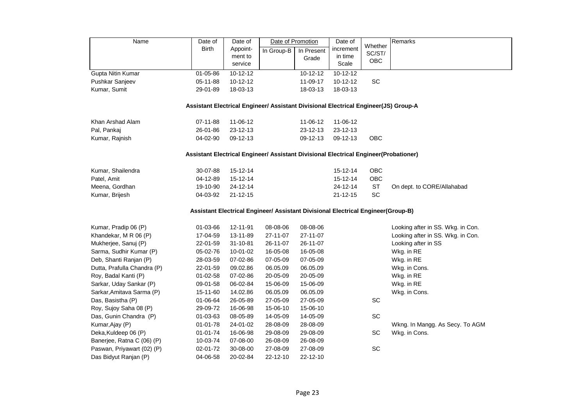| Name                                                                                | Date of                                                                              | Date of        | Date of Promotion                                                                |            | Date of        |                   | Remarks                           |  |  |  |  |  |
|-------------------------------------------------------------------------------------|--------------------------------------------------------------------------------------|----------------|----------------------------------------------------------------------------------|------------|----------------|-------------------|-----------------------------------|--|--|--|--|--|
|                                                                                     | <b>Birth</b>                                                                         | Appoint-       | In Group-B                                                                       | In Present | increment      | Whether<br>SC/ST/ |                                   |  |  |  |  |  |
|                                                                                     |                                                                                      | ment to        |                                                                                  | Grade      | in time        | OBC               |                                   |  |  |  |  |  |
|                                                                                     |                                                                                      | service        |                                                                                  |            | Scale          |                   |                                   |  |  |  |  |  |
| Gupta Nitin Kumar                                                                   | 01-05-86                                                                             | 10-12-12       |                                                                                  | 10-12-12   | 10-12-12       |                   |                                   |  |  |  |  |  |
| Pushkar Sanjeev                                                                     | 05-11-88                                                                             | 10-12-12       |                                                                                  | 11-09-17   | 10-12-12       | SC                |                                   |  |  |  |  |  |
| Kumar, Sumit                                                                        | 29-01-89                                                                             | 18-03-13       |                                                                                  | 18-03-13   | 18-03-13       |                   |                                   |  |  |  |  |  |
| Assistant Electrical Engineer/ Assistant Divisional Electrical Engineer(JS) Group-A |                                                                                      |                |                                                                                  |            |                |                   |                                   |  |  |  |  |  |
|                                                                                     |                                                                                      |                |                                                                                  |            |                |                   |                                   |  |  |  |  |  |
| Khan Arshad Alam                                                                    | 07-11-88                                                                             | 11-06-12       |                                                                                  | 11-06-12   | 11-06-12       |                   |                                   |  |  |  |  |  |
| Pal, Pankaj                                                                         | 26-01-86                                                                             | 23-12-13       |                                                                                  | 23-12-13   | 23-12-13       |                   |                                   |  |  |  |  |  |
| Kumar, Rajnish                                                                      | 04-02-90                                                                             | 09-12-13       |                                                                                  | 09-12-13   | 09-12-13       | OBC               |                                   |  |  |  |  |  |
|                                                                                     | Assistant Electrical Engineer/ Assistant Divisional Electrical Engineer(Probationer) |                |                                                                                  |            |                |                   |                                   |  |  |  |  |  |
|                                                                                     |                                                                                      |                |                                                                                  |            |                |                   |                                   |  |  |  |  |  |
| Kumar, Shailendra                                                                   | 30-07-88                                                                             | 15-12-14       |                                                                                  |            | 15-12-14       | OBC               |                                   |  |  |  |  |  |
| Patel, Amit                                                                         | 04-12-89                                                                             | 15-12-14       |                                                                                  |            | 15-12-14       | OBC               |                                   |  |  |  |  |  |
| Meena, Gordhan                                                                      | 19-10-90                                                                             | 24-12-14       |                                                                                  |            | 24-12-14       | <b>ST</b>         | On dept. to CORE/Allahabad        |  |  |  |  |  |
| Kumar, Brijesh                                                                      | 04-03-92                                                                             | $21 - 12 - 15$ |                                                                                  |            | $21 - 12 - 15$ | SC                |                                   |  |  |  |  |  |
|                                                                                     |                                                                                      |                | Assistant Electrical Engineer/ Assistant Divisional Electrical Engineer(Group-B) |            |                |                   |                                   |  |  |  |  |  |
| Kumar, Pradip 06 (P)                                                                | 01-03-66                                                                             | 12-11-91       | 08-08-06                                                                         | 08-08-06   |                |                   | Looking after in SS. Wkg. in Con. |  |  |  |  |  |
| Khandekar, M R 06 (P)                                                               | 17-04-59                                                                             | 13-11-89       | 27-11-07                                                                         | 27-11-07   |                |                   | Looking after in SS. Wkg. in Con. |  |  |  |  |  |
| Mukherjee, Sanuj (P)                                                                | 22-01-59                                                                             | 31-10-81       | 26-11-07                                                                         | 26-11-07   |                |                   | Looking after in SS               |  |  |  |  |  |
| Sarma, Sudhir Kumar (P)                                                             | 05-02-76                                                                             | 10-01-02       | 16-05-08                                                                         | 16-05-08   |                |                   | Wkg. in RE                        |  |  |  |  |  |
| Deb, Shanti Ranjan (P)                                                              | 28-03-59                                                                             | 07-02-86       | 07-05-09                                                                         | 07-05-09   |                |                   | Wkg. in RE                        |  |  |  |  |  |
| Dutta, Prafulla Chandra (P)                                                         | 22-01-59                                                                             | 09.02.86       | 06.05.09                                                                         | 06.05.09   |                |                   | Wkg. in Cons.                     |  |  |  |  |  |
| Roy, Badal Kanti (P)                                                                | 01-02-58                                                                             | 07-02-86       | 20-05-09                                                                         | 20-05-09   |                |                   | Wkg. in RE                        |  |  |  |  |  |
| Sarkar, Uday Sankar (P)                                                             | 09-01-58                                                                             | 06-02-84       | 15-06-09                                                                         | 15-06-09   |                |                   | Wkg. in RE                        |  |  |  |  |  |
| Sarkar, Amitava Sarma (P)                                                           | 15-11-60                                                                             | 14.02.86       | 06.05.09                                                                         | 06.05.09   |                |                   | Wkg. in Cons.                     |  |  |  |  |  |
| Das, Basistha (P)                                                                   | 01-06-64                                                                             | 26-05-89       | 27-05-09                                                                         | 27-05-09   |                | SC                |                                   |  |  |  |  |  |
| Roy, Sujoy Saha 08 (P)                                                              | 29-09-72                                                                             | 16-06-98       | 15-06-10                                                                         | 15-06-10   |                |                   |                                   |  |  |  |  |  |
| Das, Gunin Chandra (P)                                                              | 01-03-63                                                                             | 08-05-89       | 14-05-09                                                                         | 14-05-09   |                | SC                |                                   |  |  |  |  |  |
| Kumar, Ajay (P)                                                                     | 01-01-78                                                                             | 24-01-02       | 28-08-09                                                                         | 28-08-09   |                |                   | Wkng. In Mangg. As Secy. To AGM   |  |  |  |  |  |
| Deka, Kuldeep 06 (P)                                                                | 01-01-74                                                                             | 16-06-98       | 29-08-09                                                                         | 29-08-09   |                | SC                | Wkg. in Cons.                     |  |  |  |  |  |
| Banerjee, Ratna C (06) (P)                                                          | 10-03-74                                                                             | 07-08-00       | 26-08-09                                                                         | 26-08-09   |                |                   |                                   |  |  |  |  |  |
| Paswan, Priyawart (02) (P)                                                          | 02-01-72                                                                             | 30-08-00       | 27-08-09                                                                         | 27-08-09   |                | SC                |                                   |  |  |  |  |  |
| Das Bidyut Ranjan (P)                                                               | 04-06-58                                                                             | 20-02-84       | 22-12-10                                                                         | 22-12-10   |                |                   |                                   |  |  |  |  |  |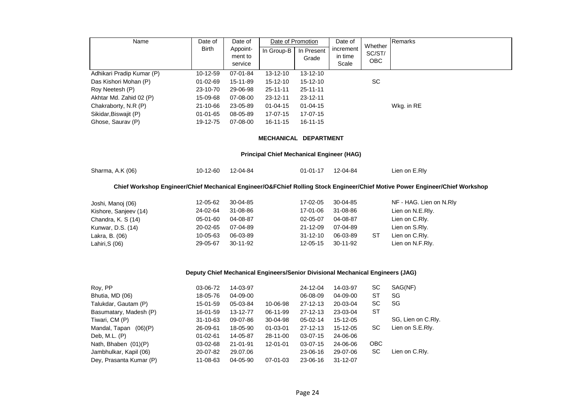| Name                                                                           | Date of        | Date of  |                | Date of Promotion | Date of   |                   | Remarks                                                                                                                      |  |  |  |  |  |
|--------------------------------------------------------------------------------|----------------|----------|----------------|-------------------|-----------|-------------------|------------------------------------------------------------------------------------------------------------------------------|--|--|--|--|--|
|                                                                                | <b>Birth</b>   | Appoint- | In Group-B     | In Present        | increment | Whether<br>SC/ST/ |                                                                                                                              |  |  |  |  |  |
|                                                                                |                | ment to  |                | Grade             | in time   | <b>OBC</b>        |                                                                                                                              |  |  |  |  |  |
|                                                                                |                | service  |                |                   | Scale     |                   |                                                                                                                              |  |  |  |  |  |
| Adhikari Pradip Kumar (P)                                                      | 10-12-59       | 07-01-84 | 13-12-10       | 13-12-10          |           |                   |                                                                                                                              |  |  |  |  |  |
| Das Kishori Mohan (P)                                                          | 01-02-69       | 15-11-89 | 15-12-10       | $15-12-10$        |           | SC                |                                                                                                                              |  |  |  |  |  |
| Roy Neetesh (P)                                                                | 23-10-70       | 29-06-98 | $25 - 11 - 11$ | $25 - 11 - 11$    |           |                   |                                                                                                                              |  |  |  |  |  |
| Akhtar Md. Zahid 02 (P)                                                        | 15-09-68       | 07-08-00 | $23 - 12 - 11$ | $23 - 12 - 11$    |           |                   |                                                                                                                              |  |  |  |  |  |
| Chakraborty, N.R (P)                                                           | 21-10-66       | 23-05-89 | $01 - 04 - 15$ | $01 - 04 - 15$    |           |                   | Wkg. in RE                                                                                                                   |  |  |  |  |  |
| Sikidar, Biswajit (P)                                                          | $01 - 01 - 65$ | 08-05-89 | 17-07-15       | 17-07-15          |           |                   |                                                                                                                              |  |  |  |  |  |
| Ghose, Saurav (P)                                                              | 19-12-75       | 07-08-00 | $16 - 11 - 15$ | $16 - 11 - 15$    |           |                   |                                                                                                                              |  |  |  |  |  |
| MECHANICAL DEPARTMENT                                                          |                |          |                |                   |           |                   |                                                                                                                              |  |  |  |  |  |
| <b>Principal Chief Mechanical Engineer (HAG)</b>                               |                |          |                |                   |           |                   |                                                                                                                              |  |  |  |  |  |
| Sharma, A.K (06)                                                               | 10-12-60       | 12-04-84 |                | $01 - 01 - 17$    | 12-04-84  |                   | Lien on E.Rly                                                                                                                |  |  |  |  |  |
|                                                                                |                |          |                |                   |           |                   | Chief Workshop Engineer/Chief Mechanical Engineer/O&FChief Rolling Stock Engineer/Chief Motive Power Engineer/Chief Workshop |  |  |  |  |  |
| Joshi, Manoj (06)                                                              | 12-05-62       | 30-04-85 |                | 17-02-05          | 30-04-85  |                   | NF - HAG. Lien on N.Rly                                                                                                      |  |  |  |  |  |
| Kishore, Sanjeev (14)                                                          | 24-02-64       | 31-08-86 |                | 17-01-06          | 31-08-86  |                   | Lien on N.E.Rly.                                                                                                             |  |  |  |  |  |
| Chandra, K. S (14)                                                             | 05-01-60       | 04-08-87 |                | 02-05-07          | 04-08-87  |                   | Lien on C.Rly.                                                                                                               |  |  |  |  |  |
| Kunwar, D.S. (14)                                                              | 20-02-65       | 07-04-89 |                | $21 - 12 - 09$    | 07-04-89  |                   | Lien on S.Rly.                                                                                                               |  |  |  |  |  |
| Lakra, B. (06)                                                                 | 10-05-63       | 06-03-89 |                | $31 - 12 - 10$    | 06-03-89  | <b>ST</b>         | Lien on C.Rly.                                                                                                               |  |  |  |  |  |
| Lahiri, S (06)                                                                 | 29-05-67       | 30-11-92 |                | 12-05-15          | 30-11-92  |                   | Lien on N.F.Rly.                                                                                                             |  |  |  |  |  |
|                                                                                |                |          |                |                   |           |                   |                                                                                                                              |  |  |  |  |  |
| Deputy Chief Mechanical Engineers/Senior Divisional Mechanical Engineers (JAG) |                |          |                |                   |           |                   |                                                                                                                              |  |  |  |  |  |
| Roy, PP                                                                        | 03-06-72       | 14-03-97 |                | 24-12-04          | 14-03-97  | SC                | SAG(NF)                                                                                                                      |  |  |  |  |  |

| Roy, PP                  | 03-06-72       | 14-03-97 |                | 24-12-04       | 14-03-97       | SC         | SAG(NF)            |
|--------------------------|----------------|----------|----------------|----------------|----------------|------------|--------------------|
| Bhutia, MD (06)          | 18-05-76       | 04-09-00 |                | 06-08-09       | 04-09-00       | ST         | SG                 |
| Talukdar, Gautam (P)     | 15-01-59       | 05-03-84 | 10-06-98       | $27 - 12 - 13$ | 20-03-04       | SC         | SG                 |
| Basumatary, Madesh (P)   | 16-01-59       | 13-12-77 | 06-11-99       | $27 - 12 - 13$ | 23-03-04       | ST         |                    |
| Tiwari, CM (P)           | 31-10-63       | 09-07-86 | 30-04-98       | $05-02-14$     | 15-12-05       |            | SG, Lien on C.Rly. |
| Mandal, Tapan<br>(06)(P) | 26-09-61       | 18-05-90 | $01 - 03 - 01$ | $27 - 12 - 13$ | 15-12-05       | SC         | Lien on S.E.Rly.   |
| Deb, M.L. (P)            | $01 - 02 - 61$ | 14-05-87 | 28-11-00       | $03-07-15$     | 24-06-06       |            |                    |
| Nath, Bhaben (01)(P)     | 03-02-68       | 21-01-91 | 12-01-01       | $03-07-15$     | 24-06-06       | <b>OBC</b> |                    |
| Jambhulkar, Kapil (06)   | 20-07-82       | 29.07.06 |                | 23-06-16       | 29-07-06       | SC         | Lien on C.Rly.     |
| Dey, Prasanta Kumar (P)  | 11-08-63       | 04-05-90 | 07-01-03       | 23-06-16       | $31 - 12 - 07$ |            |                    |
|                          |                |          |                |                |                |            |                    |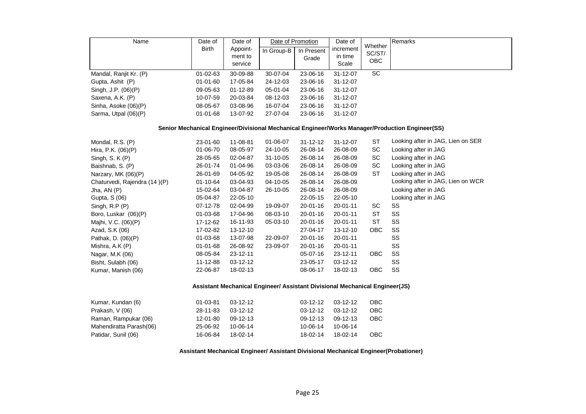| Name                   | Date of<br><b>Birth</b> | Date of<br>Appoint-<br>ment to<br>service | Date of Promotion<br>In Group-B | In Present<br>Grade | Date of<br>increment<br>in time<br>Scale | Whether<br>SC/ST/<br><b>OBC</b> | Remarks |
|------------------------|-------------------------|-------------------------------------------|---------------------------------|---------------------|------------------------------------------|---------------------------------|---------|
| Mandal, Ranjit Kr. (P) | $01 - 02 - 63$          | 30-09-88                                  | 30-07-04                        | 23-06-16            | $31 - 12 - 07$                           | SC                              |         |
| Gupta, Ashit (P)       | $01 - 01 - 60$          | 17-05-84                                  | 24-12-03                        | 23-06-16            | $31 - 12 - 07$                           |                                 |         |
| Singh, J.P. (06)(P)    | 09-05-63                | $01 - 12 - 89$                            | 05-01-04                        | 23-06-16            | $31 - 12 - 07$                           |                                 |         |
| Saxena, A.K. (P)       | 10-07-59                | 20-03-84                                  | 08-12-03                        | 23-06-16            | $31 - 12 - 07$                           |                                 |         |
| Sinha, Asoke (06)(P)   | 08-05-67                | 03-08-96                                  | 16-07-04                        | 23-06-16            | $31 - 12 - 07$                           |                                 |         |
| Sarma, Utpal (06)(P)   | 01-01-68                | 13-07-92                                  | 27-07-04                        | 23-06-16            | $31 - 12 - 07$                           |                                 |         |

#### **Senior Mechanical Engineer/Divisional Mechanical Engineer/Works Manager/Production Engineer(SS)**

| Mondal, R.S. (P)             | 23-01-60       | 11-08-81 | 01-06-07                                                                    | $31 - 12 - 12$ | $31 - 12 - 07$ | <b>ST</b>  | Looking after in JAG, Lien on SER |
|------------------------------|----------------|----------|-----------------------------------------------------------------------------|----------------|----------------|------------|-----------------------------------|
| Hira, P.K. (06)(P)           | 01-06-70       | 08-05-97 | 24-10-05                                                                    | 26-08-14       | 26-08-09       | SC         | Looking after in JAG              |
| Singh, S. $K(P)$             | 28-05-65       | 02-04-87 | $31 - 10 - 05$                                                              | 26-08-14       | 26-08-09       | SC         | Looking after in JAG              |
| Baishnab, S. (P)             | 26-01-74       | 01-04-96 | 03-03-06                                                                    | 26-08-14       | 26-08-09       | SC         | Looking after in JAG              |
| Narzary, MK (06)(P)          | 26-01-69       | 04-05-92 | 19-05-08                                                                    | 26-08-14       | 26-08-09       | ST         | Looking after in JAG              |
| Chaturvedi, Rajendra (14)(P) | 01-10-64       | 03-04-93 | 04-10-05                                                                    | 26-08-14       | 26-08-09       |            | Looking after in JAG, Lien on WCR |
| Jha, AN $(P)$                | 15-02-64       | 03-04-87 | 26-10-05                                                                    | 26-08-14       | 26-08-09       |            | Looking after in JAG              |
| Gupta, S (06)                | 05-04-87       | 22-05-10 |                                                                             | 22-05-15       | 22-05-10       |            | Looking after in JAG              |
| Singh, $R.P(P)$              | 07-12-78       | 02-04-99 | 19-09-07                                                                    | 20-01-16       | 20-01-11       | SC         | SS                                |
| Boro, Luskar (06)(P)         | 01-03-68       | 17-04-96 | 08-03-10                                                                    | 20-01-16       | $20 - 01 - 11$ | <b>ST</b>  | SS                                |
| Majhi, V.C. (06)(P)          | 17-12-62       | 16-11-93 | 05-03-10                                                                    | 20-01-16       | $20 - 01 - 11$ | ST         | SS                                |
| Azad, S.K (06)               | 17-02-82       | 13-12-10 |                                                                             | 27-04-17       | 13-12-10       | <b>OBC</b> | SS                                |
| Pathak, D. (06)(P)           | 01-03-68       | 13-07-98 | 22-09-07                                                                    | 20-01-16       | $20 - 01 - 11$ |            | SS                                |
| Mishra, A.K (P)              | $01 - 01 - 68$ | 26-08-92 | 23-09-07                                                                    | $20 - 01 - 16$ | $20 - 01 - 11$ |            | SS                                |
| Nagar, M.K (06)              | 08-05-84       | 23-12-11 |                                                                             | 05-07-16       | 23-12-11       | <b>OBC</b> | SS                                |
| Bisht, Sulabh (06)           | 11-12-88       | 03-12-12 |                                                                             | 23-05-17       | 03-12-12       |            | SS                                |
| Kumar, Manish (06)           | 22-06-87       | 18-02-13 |                                                                             | 08-06-17       | 18-02-13       | OBC        | SS                                |
|                              |                |          | Assistant Mechanical Engineer/ Assistant Divisional Mechanical Engineer(JS) |                |                |            |                                   |
| Kumar, Kundan (6)            | 01-03-81       | 03-12-12 |                                                                             | 03-12-12       | 03-12-12       | OBC        |                                   |
| Prakash, V (06)              | 28-11-83       | 03-12-12 |                                                                             | 03-12-12       | 03-12-12       | OBC        |                                   |
| Raman, Rampukar (06)         | 12-01-80       | 09-12-13 |                                                                             | 09-12-13       | 09-12-13       | <b>OBC</b> |                                   |
| Mahendiratta Parash(06)      | 25-06-92       | 10-06-14 |                                                                             | 10-06-14       | 10-06-14       |            |                                   |
| Patidar, Sunil (06)          | 16-06-84       | 18-02-14 |                                                                             | 18-02-14       | 18-02-14       | OBC        |                                   |

**Assistant Mechanical Engineer/ Assistant Divisional Mechanical Engineer(Probationer)**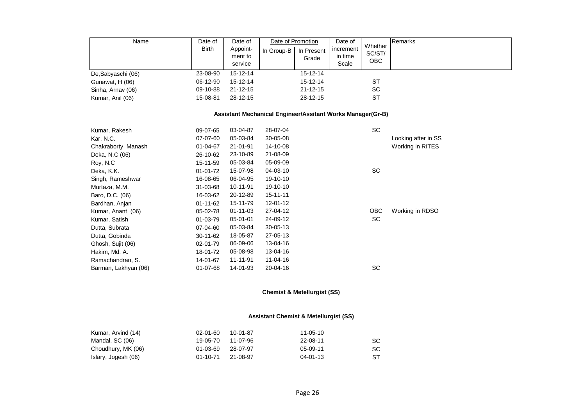| Name<br>De, Sabyaschi (06)                                 | Date of<br><b>Birth</b><br>23-08-90 | Date of<br>Appoint-<br>ment to<br>service<br>15-12-14 | Date of Promotion<br>In Group-B | In Present<br>Grade<br>$15 - 12 - 14$ | Date of<br>increment<br>in time<br>Scale | Whether<br>SC/ST/<br>OBC | Remarks             |  |  |  |
|------------------------------------------------------------|-------------------------------------|-------------------------------------------------------|---------------------------------|---------------------------------------|------------------------------------------|--------------------------|---------------------|--|--|--|
| Gunawat, H (06)                                            | 06-12-90                            | 15-12-14                                              |                                 | 15-12-14                              |                                          | <b>ST</b>                |                     |  |  |  |
| Sinha, Arnav (06)                                          | 09-10-88                            | $21 - 12 - 15$                                        |                                 | $21 - 12 - 15$                        |                                          | <b>SC</b>                |                     |  |  |  |
| Kumar, Anil (06)                                           | 15-08-81                            | 28-12-15                                              |                                 | 28-12-15                              |                                          | <b>ST</b>                |                     |  |  |  |
| Assistant Mechanical Engineer/Assitant Works Manager(Gr-B) |                                     |                                                       |                                 |                                       |                                          |                          |                     |  |  |  |
| Kumar, Rakesh                                              | 09-07-65                            | 03-04-87                                              | 28-07-04                        |                                       |                                          | SC                       |                     |  |  |  |
| Kar, N.C.                                                  | 07-07-60                            | 05-03-84                                              | 30-05-08                        |                                       |                                          |                          | Looking after in SS |  |  |  |
| Chakraborty, Manash                                        | $01 - 04 - 67$                      | 21-01-91                                              | 14-10-08                        |                                       |                                          |                          | Working in RITES    |  |  |  |
| Deka, N.C (06)                                             | 26-10-62                            | 23-10-89                                              | 21-08-09                        |                                       |                                          |                          |                     |  |  |  |
| Roy, N.C.                                                  | 15-11-59                            | 05-03-84                                              | 05-09-09                        |                                       |                                          |                          |                     |  |  |  |
| Deka, K.K.                                                 | $01 - 01 - 72$                      | 15-07-98                                              | 04-03-10                        |                                       |                                          | SC                       |                     |  |  |  |
| Singh, Rameshwar                                           | 16-08-65                            | 06-04-95                                              | 19-10-10                        |                                       |                                          |                          |                     |  |  |  |
| Murtaza, M.M.                                              | 31-03-68                            | 10-11-91                                              | 19-10-10                        |                                       |                                          |                          |                     |  |  |  |
| Baro, D.C. (06)                                            | 16-03-62                            | 20-12-89                                              | $15 - 11 - 11$                  |                                       |                                          |                          |                     |  |  |  |
| Bardhan, Anjan                                             | $01 - 11 - 62$                      | 15-11-79                                              | 12-01-12                        |                                       |                                          |                          |                     |  |  |  |
| Kumar, Anant (06)                                          | 05-02-78                            | $01 - 11 - 03$                                        | 27-04-12                        |                                       |                                          | OBC                      | Working in RDSO     |  |  |  |
| Kumar, Satish                                              | $01 - 03 - 79$                      | 05-01-01                                              | 24-09-12                        |                                       |                                          | SC                       |                     |  |  |  |
| Dutta, Subrata                                             | 07-04-60                            | 05-03-84                                              | 30-05-13                        |                                       |                                          |                          |                     |  |  |  |
| Dutta, Gobinda                                             | 30-11-62                            | 18-05-87                                              | 27-05-13                        |                                       |                                          |                          |                     |  |  |  |
| Ghosh, Sujit (06)                                          | 02-01-79                            | 06-09-06                                              | 13-04-16                        |                                       |                                          |                          |                     |  |  |  |
| Hakim, Md. A.                                              | 18-01-72                            | 05-08-98                                              | 13-04-16                        |                                       |                                          |                          |                     |  |  |  |
| Ramachandran, S.                                           | 14-01-67                            | 11-11-91                                              | 11-04-16                        |                                       |                                          |                          |                     |  |  |  |
| Barman, Lakhyan (06)                                       | 01-07-68                            | 14-01-93                                              | 20-04-16                        |                                       |                                          | SC                       |                     |  |  |  |

# **Chemist & Metellurgist (SS)**

# **Assistant Chemist & Metellurgist (SS)**

| Kumar, Arvind (14)  | 02-01-60 | 10-01-87 | 11-05-10       |           |
|---------------------|----------|----------|----------------|-----------|
| Mandal, SC (06)     | 19-05-70 | 11-07-96 | 22-08-11       | SC        |
| Choudhury, MK (06)  | 01-03-69 | 28-07-97 | 05-09-11       | <b>SC</b> |
| Islary, Jogesh (06) | 01-10-71 | 21-08-97 | $04 - 01 - 13$ | ST        |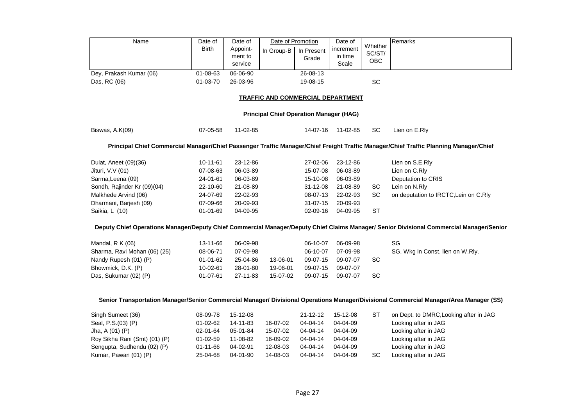| Name                                                                                                                                  | Date of<br><b>Birth</b><br>$01 - 08 - 63$ | Date of<br>Appoint-<br>ment to<br>service<br>06-06-90 | Date of Promotion<br>In Group-B          | In Present<br>Grade<br>$26 - 08 - 13$ | Date of<br>increment<br>in time<br>Scale | Whether<br>SC/ST/<br>OBC | Remarks                                                                                                                                  |  |  |  |  |
|---------------------------------------------------------------------------------------------------------------------------------------|-------------------------------------------|-------------------------------------------------------|------------------------------------------|---------------------------------------|------------------------------------------|--------------------------|------------------------------------------------------------------------------------------------------------------------------------------|--|--|--|--|
| Dey, Prakash Kumar (06)<br>Das, RC (06)                                                                                               | 01-03-70                                  | 26-03-96                                              |                                          | 19-08-15                              |                                          | SC                       |                                                                                                                                          |  |  |  |  |
|                                                                                                                                       |                                           |                                                       |                                          |                                       |                                          |                          |                                                                                                                                          |  |  |  |  |
|                                                                                                                                       |                                           |                                                       | <b>TRAFFIC AND COMMERCIAL DEPARTMENT</b> |                                       |                                          |                          |                                                                                                                                          |  |  |  |  |
| <b>Principal Chief Operation Manager (HAG)</b>                                                                                        |                                           |                                                       |                                          |                                       |                                          |                          |                                                                                                                                          |  |  |  |  |
| Biswas, A.K(09)                                                                                                                       | 07-05-58                                  | 11-02-85                                              |                                          | 14-07-16                              | 11-02-85                                 | SC                       | Lien on E.Rly                                                                                                                            |  |  |  |  |
| Principal Chief Commercial Manager/Chief Passenger Traffic Manager/Chief Freight Traffic Manager/Chief Traffic Planning Manager/Chief |                                           |                                                       |                                          |                                       |                                          |                          |                                                                                                                                          |  |  |  |  |
| Dulat, Aneet (09)(36)                                                                                                                 | $10 - 11 - 61$                            | 23-12-86                                              |                                          | 27-02-06                              | 23-12-86                                 |                          | Lien on S.E.Rly                                                                                                                          |  |  |  |  |
| Jituri, V.V (01)                                                                                                                      | 07-08-63                                  | 06-03-89                                              |                                          | 15-07-08                              | 06-03-89                                 |                          | Lien on C.Rly                                                                                                                            |  |  |  |  |
| Sarma, Leena (09)                                                                                                                     | 24-01-61                                  | 06-03-89                                              |                                          | 15-10-08                              | 06-03-89                                 |                          | Deputation to CRIS                                                                                                                       |  |  |  |  |
| Sondh, Rajinder Kr (09)(04)                                                                                                           | 22-10-60                                  | 21-08-89                                              |                                          | 31-12-08                              | 21-08-89                                 | SC                       | Lein on N.Rly                                                                                                                            |  |  |  |  |
| Malkhede Arvind (06)                                                                                                                  | 24-07-69                                  | 22-02-93                                              |                                          | 08-07-13                              | 22-02-93                                 | <b>SC</b>                | on deputation to IRCTC, Lein on C.Rly                                                                                                    |  |  |  |  |
| Dharmani, Barjesh (09)                                                                                                                | 07-09-66                                  | 20-09-93                                              |                                          | 31-07-15                              | 20-09-93                                 |                          |                                                                                                                                          |  |  |  |  |
| Saikia, L (10)                                                                                                                        | 01-01-69                                  | 04-09-95                                              |                                          | 02-09-16                              | 04-09-95                                 | <b>ST</b>                |                                                                                                                                          |  |  |  |  |
|                                                                                                                                       |                                           |                                                       |                                          |                                       |                                          |                          | Deputy Chief Operations Manager/Deputy Chief Commercial Manager/Deputy Chief Claims Manager/ Senior Divisional Commercial Manager/Senior |  |  |  |  |
| Mandal, R K (06)                                                                                                                      | 13-11-66                                  | 06-09-98                                              |                                          | 06-10-07                              | 06-09-98                                 |                          | SG                                                                                                                                       |  |  |  |  |
| Sharma, Ravi Mohan (06) (25)                                                                                                          | 08-06-71                                  | 07-09-98                                              |                                          | 06-10-07                              | 07-09-98                                 |                          | SG, Wkg in Const. lien on W.Rly.                                                                                                         |  |  |  |  |
| Nandy Rupesh (01) (P)                                                                                                                 | $01 - 01 - 62$                            | 25-04-86                                              | 13-06-01                                 | 09-07-15                              | 09-07-07                                 | SC                       |                                                                                                                                          |  |  |  |  |
| Bhowmick, D.K. (P)                                                                                                                    | 10-02-61                                  | 28-01-80                                              | 19-06-01                                 | 09-07-15                              | 09-07-07                                 |                          |                                                                                                                                          |  |  |  |  |
| Das, Sukumar (02) (P)                                                                                                                 | 01-07-61                                  | 27-11-83                                              | 15-07-02                                 | 09-07-15                              | 09-07-07                                 | SC                       |                                                                                                                                          |  |  |  |  |
|                                                                                                                                       |                                           |                                                       |                                          |                                       |                                          |                          |                                                                                                                                          |  |  |  |  |
|                                                                                                                                       |                                           |                                                       |                                          |                                       |                                          |                          | Senior Transportation Manager/Senior Commercial Manager/ Divisional Operations Manager/Divisional Commercial Manager/Area Manager (SS)   |  |  |  |  |
| Singh Sumeet (36)                                                                                                                     | 08-09-78                                  | 15-12-08                                              |                                          | $21 - 12 - 12$                        | 15-12-08                                 | <b>ST</b>                | on Dept. to DMRC, Looking after in JAG                                                                                                   |  |  |  |  |
| Seal, P.S.(03) (P)                                                                                                                    | 01-02-62                                  | 14-11-83                                              | 16-07-02                                 | 04-04-14                              | 04-04-09                                 |                          | Looking after in JAG                                                                                                                     |  |  |  |  |
| Jha, A (01) (P)                                                                                                                       | 02-01-64                                  | 05-01-84                                              | 15-07-02                                 | 04-04-14                              | 04-04-09                                 |                          | Looking after in JAG                                                                                                                     |  |  |  |  |
| Roy Sikha Rani (Smt) (01) (P)                                                                                                         | $01 - 02 - 59$                            | 11-08-82                                              | 16-09-02                                 | 04-04-14                              | 04-04-09                                 |                          | Looking after in JAG                                                                                                                     |  |  |  |  |
| Sengupta, Sudhendu (02) (P)                                                                                                           | 01-11-66                                  | 04-02-91                                              | 12-08-03                                 | 04-04-14                              | 04-04-09                                 |                          | Looking after in JAG                                                                                                                     |  |  |  |  |
| Kumar, Pawan (01) (P)                                                                                                                 | 25-04-68                                  | 04-01-90                                              | 14-08-03                                 | 04-04-14                              | 04-04-09                                 | SC                       | Looking after in JAG                                                                                                                     |  |  |  |  |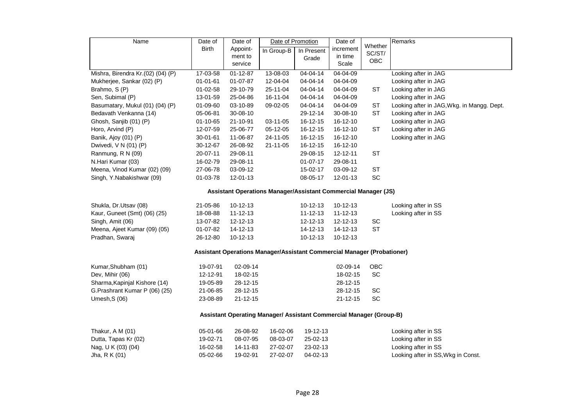| Name                              | Date of                                                             | Date of        | Date of Promotion                                                       |                | Date of        |                   | Remarks                                    |  |  |  |
|-----------------------------------|---------------------------------------------------------------------|----------------|-------------------------------------------------------------------------|----------------|----------------|-------------------|--------------------------------------------|--|--|--|
|                                   | Birth                                                               | Appoint-       | In Group-B                                                              | In Present     | increment      | Whether<br>SC/ST/ |                                            |  |  |  |
|                                   |                                                                     | ment to        |                                                                         | Grade          | in time        | OBC               |                                            |  |  |  |
|                                   |                                                                     | service        |                                                                         |                | Scale          |                   |                                            |  |  |  |
| Mishra, Birendra Kr.(02) (04) (P) | 17-03-58                                                            | $01 - 12 - 87$ | 13-08-03                                                                | $04 - 04 - 14$ | 04-04-09       |                   | Looking after in JAG                       |  |  |  |
| Mukherjee, Sankar (02) (P)        | $01 - 01 - 61$                                                      | 01-07-87       | 12-04-04                                                                | 04-04-14       | 04-04-09       |                   | Looking after in JAG                       |  |  |  |
| Brahmo, S (P)                     | 01-02-58                                                            | 29-10-79       | 25-11-04                                                                | 04-04-14       | 04-04-09       | ST                | Looking after in JAG                       |  |  |  |
| Sen, Subimal (P)                  | 13-01-59                                                            | 25-04-86       | 16-11-04                                                                | 04-04-14       | 04-04-09       |                   | Looking after in JAG                       |  |  |  |
| Basumatary, Mukul (01) (04) (P)   | 01-09-60                                                            | 03-10-89       | 09-02-05                                                                | 04-04-14       | 04-04-09       | ST                | Looking after in JAG, Wkg. in Mangg. Dept. |  |  |  |
| Bedavath Venkanna (14)            | 05-06-81                                                            | 30-08-10       |                                                                         | 29-12-14       | 30-08-10       | <b>ST</b>         | Looking after in JAG                       |  |  |  |
| Ghosh, Sanjib (01) (P)            | 01-10-65                                                            | 21-10-91       | 03-11-05                                                                | 16-12-15       | 16-12-10       |                   | Looking after in JAG                       |  |  |  |
| Horo, Arvind (P)                  | 12-07-59                                                            | 25-06-77       | 05-12-05                                                                | 16-12-15       | 16-12-10       | ST                | Looking after in JAG                       |  |  |  |
| Banik, Ajoy (01) (P)              | 30-01-61                                                            | 11-06-87       | 24-11-05                                                                | 16-12-15       | 16-12-10       |                   | Looking after in JAG                       |  |  |  |
| Dwivedi, V N (01) (P)             | 30-12-67                                                            | 26-08-92       | 21-11-05                                                                | 16-12-15       | 16-12-10       |                   |                                            |  |  |  |
| Ranmung, R N (09)                 | 20-07-11                                                            | 29-08-11       |                                                                         | 29-08-15       | 12-12-11       | <b>ST</b>         |                                            |  |  |  |
| N.Hari Kumar (03)                 | 16-02-79                                                            | 29-08-11       |                                                                         | $01 - 07 - 17$ | 29-08-11       |                   |                                            |  |  |  |
| Meena, Vinod Kumar (02) (09)      | 27-06-78                                                            | 03-09-12       |                                                                         | 15-02-17       | 03-09-12       | <b>ST</b>         |                                            |  |  |  |
| Singh, Y.Nabakishwar (09)         | 01-03-78                                                            | 12-01-13       |                                                                         | 08-05-17       | 12-01-13       | SC                |                                            |  |  |  |
|                                   |                                                                     |                | Assistant Operations Manager/Assistant Commercial Manager (JS)          |                |                |                   |                                            |  |  |  |
| Shukla, Dr.Utsav (08)             | 21-05-86                                                            | $10-12-13$     |                                                                         | $10 - 12 - 13$ | $10-12-13$     |                   | Looking after in SS                        |  |  |  |
| Kaur, Guneet (Smt) (06) (25)      | 18-08-88                                                            | $11 - 12 - 13$ |                                                                         | $11 - 12 - 13$ | $11 - 12 - 13$ |                   | Looking after in SS                        |  |  |  |
| Singh, Amit (06)                  | 13-07-82                                                            | 12-12-13       |                                                                         | $12 - 12 - 13$ | 12-12-13       | SC                |                                            |  |  |  |
| Meena, Ajeet Kumar (09) (05)      | 01-07-82                                                            | 14-12-13       |                                                                         | 14-12-13       | 14-12-13       | <b>ST</b>         |                                            |  |  |  |
| Pradhan, Swaraj                   | 26-12-80                                                            | 10-12-13       |                                                                         | 10-12-13       | 10-12-13       |                   |                                            |  |  |  |
|                                   |                                                                     |                | Assistant Operations Manager/Assistant Commercial Manager (Probationer) |                |                |                   |                                            |  |  |  |
| Kumar, Shubham (01)               | 19-07-91                                                            | 02-09-14       |                                                                         |                | 02-09-14       | OBC               |                                            |  |  |  |
| Dev, Mihir (06)                   | 12-12-91                                                            | 18-02-15       |                                                                         |                | 18-02-15       | SC                |                                            |  |  |  |
| Sharma, Kapinjal Kishore (14)     | 19-05-89                                                            | 28-12-15       |                                                                         |                | 28-12-15       |                   |                                            |  |  |  |
| G.Prashrant Kumar P (06) (25)     | 21-06-85                                                            | 28-12-15       |                                                                         |                | 28-12-15       | SC                |                                            |  |  |  |
| Umesh, S (06)                     | 23-08-89                                                            | $21 - 12 - 15$ |                                                                         |                | $21 - 12 - 15$ | SC                |                                            |  |  |  |
|                                   | Assistant Operating Manager/ Assistant Commercial Manager (Group-B) |                |                                                                         |                |                |                   |                                            |  |  |  |
| Thakur, A M (01)                  | 05-01-66                                                            | 26-08-92       | 16-02-06                                                                | 19-12-13       |                |                   | Looking after in SS                        |  |  |  |
| Dutta, Tapas Kr (02)              | 19-02-71                                                            | 08-07-95       | 08-03-07                                                                | 25-02-13       |                |                   | Looking after in SS                        |  |  |  |
| Nag, U K (03) (04)                | 16-02-58                                                            | 14-11-83       | 27-02-07                                                                | 23-02-13       |                |                   | Looking after in SS                        |  |  |  |
| Jha, R K (01)                     | 05-02-66                                                            | 19-02-91       | 27-02-07                                                                | 04-02-13       |                |                   | Looking after in SS, Wkg in Const.         |  |  |  |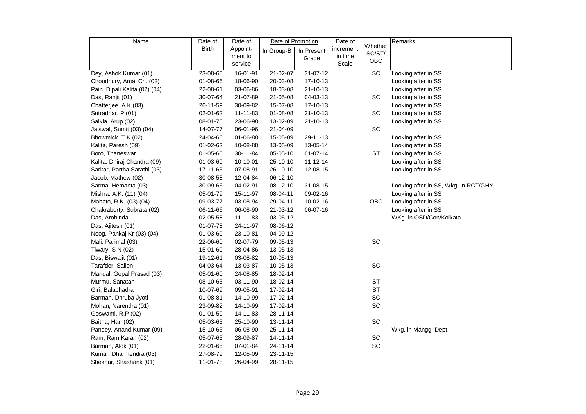| Name                          | Date of        | Date of  | Date of Promotion |                | Date of   |                   | Remarks                              |
|-------------------------------|----------------|----------|-------------------|----------------|-----------|-------------------|--------------------------------------|
|                               | Birth          | Appoint- | In Group-B        | In Present     | increment | Whether<br>SC/ST/ |                                      |
|                               |                | ment to  |                   | Grade          | in time   | OBC               |                                      |
|                               |                | service  |                   |                | Scale     |                   |                                      |
| Dey, Ashok Kumar (01)         | 23-08-65       | 16-01-91 | $21 - 02 - 07$    | $31 - 07 - 12$ |           | SC                | Looking after in SS                  |
| Choudhury, Amal Ch. (02)      | 01-08-66       | 18-06-90 | 20-03-08          | 17-10-13       |           |                   | Looking after in SS                  |
| Pain, Dipali Kalita (02) (04) | 22-08-61       | 03-06-86 | 18-03-08          | $21 - 10 - 13$ |           |                   | Looking after in SS                  |
| Das, Ranjit (01)              | 30-07-64       | 21-07-89 | 21-05-08          | 04-03-13       |           | SC                | Looking after in SS                  |
| Chatterjee, A.K.(03)          | 26-11-59       | 30-09-82 | 15-07-08          | 17-10-13       |           |                   | Looking after in SS                  |
| Sutradhar, P (01)             | 02-01-62       | 11-11-83 | 01-08-08          | $21 - 10 - 13$ |           | SC                | Looking after in SS                  |
| Saikia, Arup (02)             | 08-01-76       | 23-06-98 | 13-02-09          | $21 - 10 - 13$ |           |                   | Looking after in SS                  |
| Jaiswal, Sumit (03) (04)      | 14-07-77       | 06-01-96 | 21-04-09          |                |           | SC                |                                      |
| Bhowmick, T K (02)            | 24-04-66       | 01-06-88 | 15-05-09          | 29-11-13       |           |                   | Looking after in SS                  |
| Kalita, Paresh (09)           | 01-02-62       | 10-08-88 | 13-05-09          | 13-05-14       |           |                   | Looking after in SS                  |
| Boro, Thaneswar               | 01-05-60       | 30-11-84 | 05-05-10          | $01 - 07 - 14$ |           | <b>ST</b>         | Looking after in SS                  |
| Kalita, Dhiraj Chandra (09)   | 01-03-69       | 10-10-01 | 25-10-10          | $11 - 12 - 14$ |           |                   | Looking after in SS                  |
| Sarkar, Partha Sarathi (03)   | 17-11-65       | 07-08-91 | 26-10-10          | 12-08-15       |           |                   | Looking after in SS                  |
| Jacob, Mathew (02)            | 30-08-58       | 12-04-84 | 06-12-10          |                |           |                   |                                      |
| Sarma, Hemanta (03)           | 30-09-66       | 04-02-91 | 08-12-10          | 31-08-15       |           |                   | Looking after in SS, Wkg. in RCT/GHY |
| Mishra, A.K. (11) (04)        | 05-01-79       | 15-11-97 | 08-04-11          | 09-02-16       |           |                   | Looking after in SS                  |
| Mahato, R.K. (03) (04)        | 09-03-77       | 03-08-94 | 29-04-11          | 10-02-16       |           | OBC               | Looking after in SS                  |
| Chakraborty, Subrata (02)     | 06-11-66       | 06-08-90 | 21-03-12          | 06-07-16       |           |                   | Looking after in SS                  |
| Das, Arobinda                 | 02-05-58       | 11-11-83 | 03-05-12          |                |           |                   | WKg. in OSD/Con/Kolkata              |
| Das, Ajitesh (01)             | 01-07-78       | 24-11-97 | 08-06-12          |                |           |                   |                                      |
| Neog, Pankaj Kr (03) (04)     | 01-03-60       | 23-10-81 | 04-09-12          |                |           |                   |                                      |
| Mali, Parimal (03)            | 22-06-60       | 02-07-79 | 09-05-13          |                |           | SC                |                                      |
| Tiwary, S N (02)              | 15-01-60       | 28-04-86 | 13-05-13          |                |           |                   |                                      |
| Das, Biswajit (01)            | 19-12-61       | 03-08-82 | 10-05-13          |                |           |                   |                                      |
| Tarafder, Sailen              | 04-03-64       | 13-03-87 | 10-05-13          |                |           | SC                |                                      |
| Mandal, Gopal Prasad (03)     | 05-01-60       | 24-08-85 | 18-02-14          |                |           |                   |                                      |
| Murmu, Sanatan                | 08-10-63       | 03-11-90 | 18-02-14          |                |           | ST                |                                      |
| Giri, Balabhadra              | 10-07-69       | 09-05-91 | 17-02-14          |                |           | <b>ST</b>         |                                      |
| Barman, Dhruba Jyoti          | 01-08-81       | 14-10-99 | 17-02-14          |                |           | SC                |                                      |
| Mohan, Narendra (01)          | 23-09-82       | 14-10-99 | 17-02-14          |                |           | SC                |                                      |
| Goswami, R.P (02)             | $01 - 01 - 59$ | 14-11-83 | 28-11-14          |                |           |                   |                                      |
| Baitha, Hari (02)             | 05-03-63       | 25-10-90 | $13 - 11 - 14$    |                |           | SC                |                                      |
| Pandey, Anand Kumar (09)      | 15-10-65       | 06-08-90 | 25-11-14          |                |           |                   | Wkg. in Mangg. Dept.                 |
| Ram, Ram Karan (02)           | 05-07-63       | 28-09-87 | 14-11-14          |                |           | SC                |                                      |
| Barman, Alok (01)             | 22-01-65       | 07-01-84 | 24-11-14          |                |           | SC                |                                      |
| Kumar, Dharmendra (03)        | 27-08-79       | 12-05-09 | 23-11-15          |                |           |                   |                                      |
| Shekhar, Shashank (01)        | 11-01-78       | 26-04-99 | 28-11-15          |                |           |                   |                                      |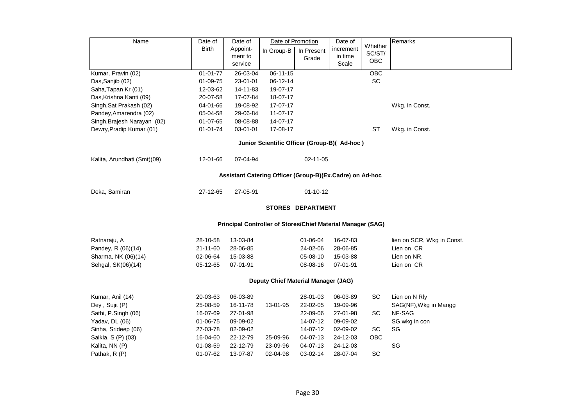| Name                                                     | Date of        | Date of                                                     | Date of Promotion                   |                          | Date of   | Whether   | Remarks                    |  |  |  |
|----------------------------------------------------------|----------------|-------------------------------------------------------------|-------------------------------------|--------------------------|-----------|-----------|----------------------------|--|--|--|
|                                                          | <b>Birth</b>   | Appoint-                                                    | In Group-B                          | In Present               | increment | SC/ST/    |                            |  |  |  |
|                                                          |                | ment to                                                     |                                     | Grade                    | in time   | OBC       |                            |  |  |  |
|                                                          |                | service                                                     |                                     |                          | Scale     |           |                            |  |  |  |
| Kumar, Pravin (02)                                       | $01 - 01 - 77$ | 26-03-04                                                    | 06-11-15                            |                          |           | OBC       |                            |  |  |  |
| Das, Sanjib (02)                                         | 01-09-75       | 23-01-01                                                    | 06-12-14                            |                          |           | SC        |                            |  |  |  |
| Saha, Tapan Kr (01)                                      | 12-03-62       | 14-11-83                                                    | 19-07-17                            |                          |           |           |                            |  |  |  |
| Das, Krishna Kanti (09)                                  | 20-07-58       | 17-07-84                                                    | 18-07-17                            |                          |           |           |                            |  |  |  |
| Singh, Sat Prakash (02)                                  | 04-01-66       | 19-08-92                                                    | 17-07-17                            | Wkg. in Const.           |           |           |                            |  |  |  |
| Pandey, Amarendra (02)                                   | 05-04-58       | 29-06-84                                                    | $11 - 07 - 17$                      |                          |           |           |                            |  |  |  |
| Singh, Brajesh Narayan (02)                              | $01 - 07 - 65$ | 08-08-88                                                    | 14-07-17                            |                          |           |           |                            |  |  |  |
| Dewry, Pradip Kumar (01)                                 | $01 - 01 - 74$ | 03-01-01                                                    | 17-08-17                            |                          |           | <b>ST</b> | Wkg. in Const.             |  |  |  |
| Junior Scientific Officer (Group-B)( Ad-hoc)             |                |                                                             |                                     |                          |           |           |                            |  |  |  |
| Kalita, Arundhati (Smt)(09)                              | 12-01-66       | 07-04-94                                                    |                                     | $02 - 11 - 05$           |           |           |                            |  |  |  |
| Assistant Catering Officer (Group-B)(Ex.Cadre) on Ad-hoc |                |                                                             |                                     |                          |           |           |                            |  |  |  |
| Deka, Samiran                                            | 27-12-65       | 27-05-91                                                    |                                     | $01 - 10 - 12$           |           |           |                            |  |  |  |
|                                                          |                |                                                             |                                     | <b>STORES DEPARTMENT</b> |           |           |                            |  |  |  |
|                                                          |                | Principal Controller of Stores/Chief Material Manager (SAG) |                                     |                          |           |           |                            |  |  |  |
| Ratnaraju, A                                             | 28-10-58       | 13-03-84                                                    |                                     | 01-06-04                 | 16-07-83  |           | lien on SCR, Wkg in Const. |  |  |  |
| Pandey, R (06)(14)                                       | 21-11-60       | 28-06-85                                                    |                                     | 24-02-06                 | 28-06-85  |           | Lien on CR                 |  |  |  |
| Sharma, NK (06)(14)                                      | 02-06-64       | 15-03-88                                                    |                                     | 05-08-10                 | 15-03-88  |           | Lien on NR.                |  |  |  |
| Sehgal, SK(06)(14)                                       | 05-12-65       | 07-01-91                                                    |                                     | 08-08-16                 | 07-01-91  |           | Lien on CR                 |  |  |  |
|                                                          |                |                                                             | Deputy Chief Material Manager (JAG) |                          |           |           |                            |  |  |  |
| Kumar, Anil (14)                                         | 20-03-63       | 06-03-89                                                    |                                     | 28-01-03                 | 06-03-89  | SC        | Lien on N Rly              |  |  |  |
| Dey, Sujit (P)                                           | 25-08-59       | 16-11-78                                                    | 13-01-95                            | 22-02-05                 | 19-09-96  |           | SAG(NF), Wkg in Mangg      |  |  |  |
| Sathi, P.Singh (06)                                      | 16-07-69       | 27-01-98                                                    |                                     | 22-09-06                 | 27-01-98  | SC        | NF-SAG                     |  |  |  |
| Yadav, DL (06)                                           | 01-06-75       | 09-09-02                                                    |                                     | 14-07-12                 | 09-09-02  |           | SG.wkg in con              |  |  |  |
| Sinha, Srideep (06)                                      | 27-03-78       | 02-09-02                                                    |                                     | 14-07-12                 | 02-09-02  | SC        | SG                         |  |  |  |
| Saikia. S (P) (03)                                       | 16-04-60       | 22-12-79                                                    | 25-09-96                            | 04-07-13                 | 24-12-03  | OBC       |                            |  |  |  |
| Kalita, NN (P)                                           | 01-08-59       | 22-12-79                                                    | 23-09-96                            | 04-07-13                 | 24-12-03  |           | SG                         |  |  |  |
| Pathak, R (P)                                            | 01-07-62       | 13-07-87                                                    | 02-04-98                            | 03-02-14                 | 28-07-04  | SC        |                            |  |  |  |
|                                                          |                |                                                             |                                     |                          |           |           |                            |  |  |  |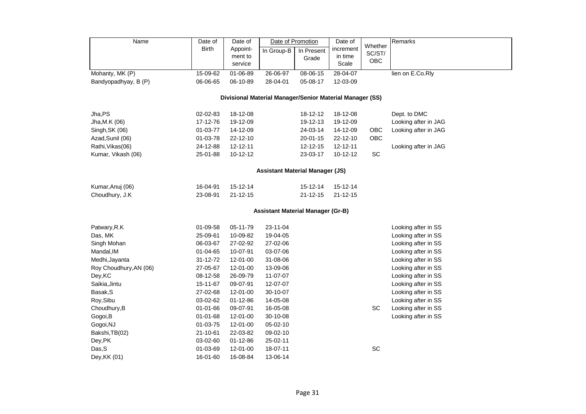| Name                   | Date of                                | Date of            |                                                          | Date of Promotion | Date of          |                   | Remarks              |  |  |  |  |
|------------------------|----------------------------------------|--------------------|----------------------------------------------------------|-------------------|------------------|-------------------|----------------------|--|--|--|--|
|                        | <b>Birth</b>                           | Appoint-           | In Group-B                                               | In Present        | increment        | Whether<br>SC/ST/ |                      |  |  |  |  |
|                        |                                        | ment to<br>service |                                                          | Grade             | in time<br>Scale | OBC               |                      |  |  |  |  |
| Mohanty, MK (P)        | 15-09-62                               | $01 - 06 - 89$     | 26-06-97                                                 | 08-06-15          | 28-04-07         |                   | lien on E.Co.Rly     |  |  |  |  |
| Bandyopadhyay, B (P)   | 06-06-65                               | 06-10-89           | 28-04-01                                                 | 05-08-17          | 12-03-09         |                   |                      |  |  |  |  |
|                        |                                        |                    | Divisional Material Manager/Senior Material Manager (SS) |                   |                  |                   |                      |  |  |  |  |
| Jha,PS                 | 02-02-83                               | 18-12-08           |                                                          | 18-12-12          | 18-12-08         |                   | Dept. to DMC         |  |  |  |  |
| Jha, M.K (06)          | 17-12-76                               | 19-12-09           |                                                          | 19-12-13          | 19-12-09         |                   | Looking after in JAG |  |  |  |  |
| Singh, SK (06)         | 01-03-77                               | 14-12-09           |                                                          | 24-03-14          | 14-12-09         | OBC               | Looking after in JAG |  |  |  |  |
| Azad, Sunil (06)       | 01-03-78                               | 22-12-10           |                                                          | 20-01-15          | 22-12-10         | OBC               |                      |  |  |  |  |
| Rathi, Vikas (06)      | 24-12-88                               | 12-12-11           |                                                          | 12-12-15          | 12-12-11         |                   | Looking after in JAG |  |  |  |  |
| Kumar, Vikash (06)     | 25-01-88                               | 10-12-12           |                                                          | 23-03-17          | 10-12-12         | SC                |                      |  |  |  |  |
|                        | <b>Assistant Material Manager (JS)</b> |                    |                                                          |                   |                  |                   |                      |  |  |  |  |
| Kumar, Anuj (06)       | 16-04-91                               | 15-12-14           |                                                          | 15-12-14          | 15-12-14         |                   |                      |  |  |  |  |
| Choudhury, J.K         | 23-08-91                               | $21 - 12 - 15$     |                                                          | $21 - 12 - 15$    | $21 - 12 - 15$   |                   |                      |  |  |  |  |
|                        |                                        |                    | <b>Assistant Material Manager (Gr-B)</b>                 |                   |                  |                   |                      |  |  |  |  |
| Patwary, R.K           | 01-09-58                               | 05-11-79           | 23-11-04                                                 |                   |                  |                   | Looking after in SS  |  |  |  |  |
| Das, MK                | 25-09-61                               | 10-09-82           | 19-04-05                                                 |                   |                  |                   | Looking after in SS  |  |  |  |  |
| Singh Mohan            | 06-03-67                               | 27-02-92           | 27-02-06                                                 |                   |                  |                   | Looking after in SS  |  |  |  |  |
| Mandal, IM             | 01-04-65                               | 10-07-91           | 03-07-06                                                 |                   |                  |                   | Looking after in SS  |  |  |  |  |
| Medhi, Jayanta         | 31-12-72                               | 12-01-00           | 31-08-06                                                 |                   |                  |                   | Looking after in SS  |  |  |  |  |
| Roy Choudhury, AN (06) | 27-05-67                               | 12-01-00           | 13-09-06                                                 |                   |                  |                   | Looking after in SS  |  |  |  |  |
| Dey, KC                | 08-12-58                               | 26-09-79           | 11-07-07                                                 |                   |                  |                   | Looking after in SS  |  |  |  |  |
| Saikia, Jintu          | 15-11-67                               | 09-07-91           | 12-07-07                                                 |                   |                  |                   | Looking after in SS  |  |  |  |  |
| Basak, S               | 27-02-68                               | 12-01-00           | 30-10-07                                                 |                   |                  |                   | Looking after in SS  |  |  |  |  |
| Roy, Sibu              | 03-02-62                               | 01-12-86           | 14-05-08                                                 |                   |                  |                   | Looking after in SS  |  |  |  |  |
| Choudhury, B           | 01-01-66                               | 09-07-91           | 16-05-08                                                 |                   |                  | <b>SC</b>         | Looking after in SS  |  |  |  |  |
| Gogoi, B               | 01-01-68                               | 12-01-00           | 30-10-08                                                 |                   |                  |                   | Looking after in SS  |  |  |  |  |
| Gogoi, NJ              | 01-03-75                               | 12-01-00           | 05-02-10                                                 |                   |                  |                   |                      |  |  |  |  |
| Bakshi, TB(02)         | 21-10-61                               | 22-03-82           | 09-02-10                                                 |                   |                  |                   |                      |  |  |  |  |
| Dey, PK                | 03-02-60                               | 01-12-86           | 25-02-11                                                 |                   |                  |                   |                      |  |  |  |  |
| Das, S                 | 01-03-69                               | 12-01-00           | 18-07-11                                                 |                   |                  | <b>SC</b>         |                      |  |  |  |  |
| Dey, KK (01)           | 16-01-60                               | 16-08-84           | 13-06-14                                                 |                   |                  |                   |                      |  |  |  |  |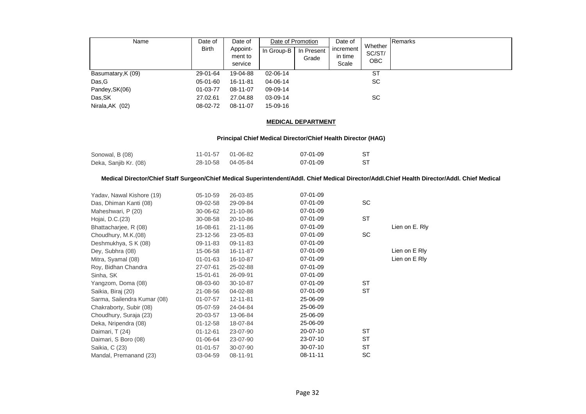| Name               | Date of<br><b>Birth</b> | Date of<br>Appoint-<br>ment to<br>service | Date of Promotion<br>In Group-B | In Present<br>Grade | Date of<br>increment<br>in time<br>Scale | Whether<br>SC/ST/<br>OBC | Remarks |
|--------------------|-------------------------|-------------------------------------------|---------------------------------|---------------------|------------------------------------------|--------------------------|---------|
| Basumatary, K (09) | 29-01-64                | 19-04-88                                  | 02-06-14                        |                     |                                          | <b>ST</b>                |         |
| Das, G             | 05-01-60                | 16-11-81                                  | 04-06-14                        |                     |                                          | <b>SC</b>                |         |
| Pandey, SK(06)     | 01-03-77                | 08-11-07                                  | 09-09-14                        |                     |                                          |                          |         |
| Das, SK            | 27.02.61                | 27.04.88                                  | 03-09-14                        |                     |                                          | SC                       |         |
| Nirala, AK (02)    | 08-02-72                | 08-11-07                                  | 15-09-16                        |                     |                                          |                          |         |

#### **MEDICAL DEPARTMENT**

#### **Principal Chief Medical Director/Chief Health Director (HAG)**

| Sonowal, B (08)       | 11-01-57 01-06-82 | 07-01-09 |  |
|-----------------------|-------------------|----------|--|
| Deka, Sanjib Kr. (08) | 28-10-58 04-05-84 | 07-01-09 |  |

#### **Medical Director/Chief Staff Surgeon/Chief Medical Superintendent/Addl. Chief Medical Director/Addl.Chief Health Director/Addl. Chief Medical**

| Yadav, Nawal Kishore (19)   | 05-10-59       | 26-03-85       | 07-01-09 |           |                |
|-----------------------------|----------------|----------------|----------|-----------|----------------|
| Das, Dhiman Kanti (08)      | 09-02-58       | 29-09-84       | 07-01-09 | <b>SC</b> |                |
| Maheshwari, P (20)          | 30-06-62       | 21-10-86       | 07-01-09 |           |                |
| Hojai, D.C.(23)             | 30-08-58       | 20-10-86       | 07-01-09 | <b>ST</b> |                |
| Bhattacharjee, R (08)       | 16-08-61       | $21 - 11 - 86$ | 07-01-09 |           | Lien on E. Rly |
| Choudhury, M.K.(08)         | 23-12-56       | 23-05-83       | 07-01-09 | <b>SC</b> |                |
| Deshmukhya, S K (08)        | 09-11-83       | 09-11-83       | 07-01-09 |           |                |
| Dey, Subhra (08)            | 15-06-58       | 16-11-87       | 07-01-09 |           | Lien on E Rly  |
| Mitra, Syamal (08)          | $01 - 01 - 63$ | 16-10-87       | 07-01-09 |           | Lien on E Rly  |
| Roy, Bidhan Chandra         | 27-07-61       | 25-02-88       | 07-01-09 |           |                |
| Sinha, SK                   | 15-01-61       | 26-09-91       | 07-01-09 |           |                |
| Yangzom, Doma (08)          | 08-03-60       | 30-10-87       | 07-01-09 | <b>ST</b> |                |
| Saikia, Biraj (20)          | 21-08-56       | 04-02-88       | 07-01-09 | <b>ST</b> |                |
| Sarma, Sailendra Kumar (08) | 01-07-57       | 12-11-81       | 25-06-09 |           |                |
| Chakraborty, Subir (08)     | 05-07-59       | 24-04-84       | 25-06-09 |           |                |
| Choudhury, Suraja (23)      | 20-03-57       | 13-06-84       | 25-06-09 |           |                |
| Deka, Nripendra (08)        | $01 - 12 - 58$ | 18-07-84       | 25-06-09 |           |                |
| Daimari, T (24)             | $01 - 12 - 61$ | 23-07-90       | 20-07-10 | ST        |                |
| Daimari, S Boro (08)        | 01-06-64       | 23-07-90       | 23-07-10 | <b>ST</b> |                |
| Saikia, C (23)              | $01 - 01 - 57$ | 30-07-90       | 30-07-10 | <b>ST</b> |                |
| Mandal, Premanand (23)      | 03-04-59       | 08-11-91       | 08-11-11 | SC.       |                |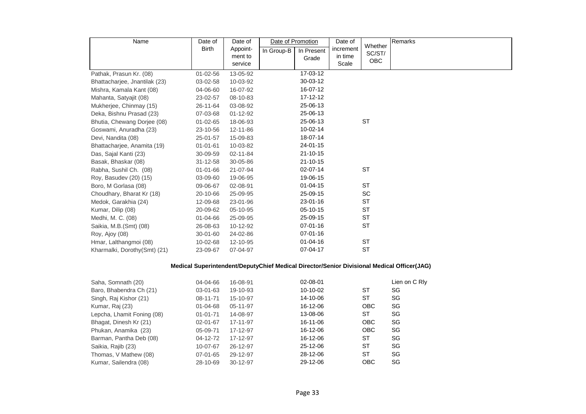| Name                          | Date of        | Date of             | Date of Promotion |                | Date of              | Whether    | Remarks |
|-------------------------------|----------------|---------------------|-------------------|----------------|----------------------|------------|---------|
|                               | <b>Birth</b>   | Appoint-<br>ment to | In Group-B        | In Present     | increment<br>in time | SC/ST/     |         |
|                               |                | service             |                   | Grade          | Scale                | <b>OBC</b> |         |
| Pathak, Prasun Kr. (08)       | $01 - 02 - 56$ | 13-05-92            |                   | 17-03-12       |                      |            |         |
| Bhattacharjee, Jnantilak (23) | 03-02-58       | 10-03-92            |                   | 30-03-12       |                      |            |         |
| Mishra, Kamala Kant (08)      | 04-06-60       | 16-07-92            |                   | 16-07-12       |                      |            |         |
| Mahanta, Satyajit (08)        | 23-02-57       | 08-10-83            |                   | $17 - 12 - 12$ |                      |            |         |
| Mukherjee, Chinmay (15)       | 26-11-64       | 03-08-92            |                   | 25-06-13       |                      |            |         |
| Deka, Bishnu Prasad (23)      | 07-03-68       | $01 - 12 - 92$      |                   | 25-06-13       |                      |            |         |
| Bhutia, Chewang Dorjee (08)   | $01 - 02 - 65$ | 18-06-93            |                   | 25-06-13       |                      | <b>ST</b>  |         |
| Goswami, Anuradha (23)        | 23-10-56       | 12-11-86            |                   | 10-02-14       |                      |            |         |
| Devi, Nandita (08)            | 25-01-57       | 15-09-83            |                   | 18-07-14       |                      |            |         |
| Bhattacharjee, Anamita (19)   | $01 - 01 - 61$ | 10-03-82            |                   | 24-01-15       |                      |            |         |
| Das, Sajal Kanti (23)         | 30-09-59       | 02-11-84            |                   | $21 - 10 - 15$ |                      |            |         |
| Basak, Bhaskar (08)           | $31 - 12 - 58$ | 30-05-86            |                   | $21 - 10 - 15$ |                      |            |         |
| Rabha, Sushil Ch. (08)        | 01-01-66       | 21-07-94            |                   | 02-07-14       |                      | <b>ST</b>  |         |
| Roy, Basudev (20) (15)        | 03-09-60       | 19-06-95            |                   | 19-06-15       |                      |            |         |
| Boro, M Gorlasa (08)          | 09-06-67       | 02-08-91            |                   | $01 - 04 - 15$ |                      | <b>ST</b>  |         |
| Choudhary, Bharat Kr (18)     | 20-10-66       | 25-09-95            |                   | 25-09-15       |                      | <b>SC</b>  |         |
| Medok, Garakhia (24)          | 12-09-68       | 23-01-96            |                   | 23-01-16       |                      | <b>ST</b>  |         |
| Kumar, Dilip (08)             | 20-09-62       | 05-10-95            |                   | $05-10-15$     |                      | <b>ST</b>  |         |
| Medhi, M. C. (08)             | 01-04-66       | 25-09-95            |                   | 25-09-15       |                      | <b>ST</b>  |         |
| Saikia, M.B. (Smt) (08)       | 26-08-63       | 10-12-92            |                   | $07 - 01 - 16$ |                      | <b>ST</b>  |         |
| Roy, Ajoy (08)                | 30-01-60       | 24-02-86            |                   | $07 - 01 - 16$ |                      |            |         |
| Hmar, Lalthangmoi (08)        | 10-02-68       | 12-10-95            |                   | $01 - 04 - 16$ |                      | <b>ST</b>  |         |
| Kharmalki, Dorothy(Smt) (21)  | 23-09-67       | 07-04-97            |                   | 07-04-17       |                      | <b>ST</b>  |         |

# **Medical Superintendent/DeputyChief Medical Director/Senior Divisional Medical Officer(JAG)**

| Saha, Somnath (20)         | 04-04-66       | 16-08-91 | 02-08-01 |            | Lien on C RIv |
|----------------------------|----------------|----------|----------|------------|---------------|
| Baro, Bhabendra Ch (21)    | $03 - 01 - 63$ | 19-10-93 | 10-10-02 | ST         | SG            |
| Singh, Raj Kishor (21)     | 08-11-71       | 15-10-97 | 14-10-06 | ST         | SG            |
| Kumar, Raj (23)            | $01 - 04 - 68$ | 05-11-97 | 16-12-06 | <b>OBC</b> | SG            |
| Lepcha, Lhamit Foning (08) | $01 - 01 - 71$ | 14-08-97 | 13-08-06 | ST         | SG            |
| Bhagat, Dinesh Kr (21)     | 02-01-67       | 17-11-97 | 16-11-06 | <b>OBC</b> | SG            |
| Phukan, Anamika (23)       | 05-09-71       | 17-12-97 | 16-12-06 | <b>OBC</b> | SG            |
| Barman, Pantha Deb (08)    | 04-12-72       | 17-12-97 | 16-12-06 | ST         | SG            |
| Saikia, Rajib (23)         | 10-07-67       | 26-12-97 | 25-12-06 | <b>ST</b>  | SG            |
| Thomas, V Mathew (08)      | 07-01-65       | 29-12-97 | 28-12-06 | ST         | SG            |
| Kumar, Sailendra (08)      | 28-10-69       | 30-12-97 | 29-12-06 | <b>OBC</b> | SG            |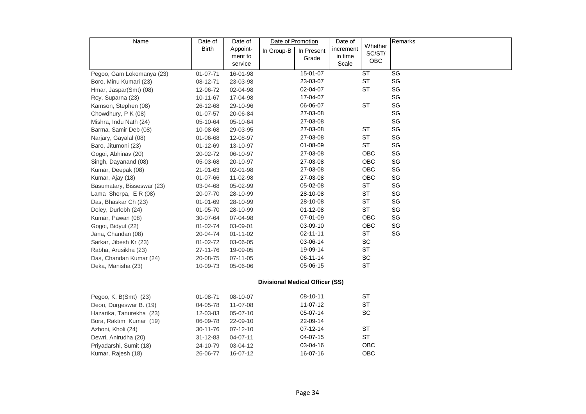| Name                       | Date of        | Date of        | Date of Promotion                      |                | Date of   | Whether   | Remarks |
|----------------------------|----------------|----------------|----------------------------------------|----------------|-----------|-----------|---------|
|                            | <b>Birth</b>   | Appoint-       | In Group-B                             | In Present     | increment | SC/ST/    |         |
|                            |                | ment to        |                                        | Grade          | in time   | OBC       |         |
|                            |                | service        |                                        |                | Scale     |           |         |
| Pegoo, Gam Lokomanya (23)  | 01-07-71       | 16-01-98       |                                        | 15-01-07       |           | <b>ST</b> | SG      |
| Boro, Minu Kumari (23)     | 08-12-71       | 23-03-98       |                                        | 23-03-07       |           | <b>ST</b> | SG      |
| Hmar, Jaspar(Smt) (08)     | 12-06-72       | 02-04-98       |                                        | 02-04-07       |           | <b>ST</b> | SG      |
| Roy, Suparna (23)          | 10-11-67       | 17-04-98       |                                        | 17-04-07       |           |           | SG      |
| Kamson, Stephen (08)       | 26-12-68       | 29-10-96       |                                        | 06-06-07       |           | <b>ST</b> | SG      |
| Chowdhury, P K (08)        | $01 - 07 - 57$ | 20-06-84       |                                        | 27-03-08       |           |           | SG      |
| Mishra, Indu Nath (24)     | 05-10-64       | 05-10-64       |                                        | 27-03-08       |           |           | SG      |
| Barma, Samir Deb (08)      | 10-08-68       | 29-03-95       |                                        | 27-03-08       |           | <b>ST</b> | SG      |
| Narjary, Gayalal (08)      | 01-06-68       | 12-08-97       |                                        | 27-03-08       |           | <b>ST</b> | SG      |
| Baro, Jitumoni (23)        | 01-12-69       | 13-10-97       |                                        | 01-08-09       |           | <b>ST</b> | SG      |
| Gogoi, Abhinav (20)        | 20-02-72       | 06-10-97       |                                        | 27-03-08       |           | OBC       | SG      |
| Singh, Dayanand (08)       | 05-03-68       | 20-10-97       |                                        | 27-03-08       |           | OBC       | SG      |
| Kumar, Deepak (08)         | 21-01-63       | 02-01-98       |                                        | 27-03-08       |           | OBC       | SG      |
| Kumar, Ajay (18)           | 01-07-66       | 11-02-98       |                                        | 27-03-08       |           | OBC       | SG      |
| Basumatary, Bisseswar (23) | 03-04-68       | 05-02-99       |                                        | 05-02-08       |           | <b>ST</b> | SG      |
| Lama Sherpa, E R (08)      | 20-07-70       | 28-10-99       |                                        | 28-10-08       |           | <b>ST</b> | SG      |
| Das, Bhaskar Ch (23)       | 01-01-69       | 28-10-99       |                                        | 28-10-08       |           | <b>ST</b> | SG      |
| Doley, Durlobh (24)        | 01-05-70       | 28-10-99       |                                        | $01 - 12 - 08$ |           | <b>ST</b> | SG      |
| Kumar, Pawan (08)          | 30-07-64       | 07-04-98       |                                        | 07-01-09       |           | OBC       | SG      |
| Gogoi, Bidyut (22)         | 01-02-74       | 03-09-01       |                                        | 03-09-10       |           | OBC       | SG      |
| Jana, Chandan (08)         | 20-04-74       | $01 - 11 - 02$ |                                        | $02 - 11 - 11$ |           | <b>ST</b> | SG      |
| Sarkar, Jibesh Kr (23)     | 01-02-72       | 03-06-05       |                                        | 03-06-14       |           | SC        |         |
| Rabha, Arusikha (23)       | 27-11-76       | 19-09-05       |                                        | 19-09-14       |           | ST        |         |
| Das, Chandan Kumar (24)    | 20-08-75       | 07-11-05       |                                        | 06-11-14       |           | SC        |         |
| Deka, Manisha (23)         | 10-09-73       | 05-06-06       |                                        | 05-06-15       |           | <b>ST</b> |         |
|                            |                |                |                                        |                |           |           |         |
|                            |                |                | <b>Divisional Medical Officer (SS)</b> |                |           |           |         |
| Pegoo, K. B(Smt) (23)      | 01-08-71       | 08-10-07       |                                        | 08-10-11       |           | ST        |         |
| Deori, Durgeswar B. (19)   | 04-05-78       | 11-07-08       |                                        | 11-07-12       |           | ST        |         |
| Hazarika, Tanurekha (23)   | 12-03-83       | 05-07-10       |                                        | 05-07-14       |           | SC        |         |
| Bora, Raktim Kumar (19)    | 06-09-78       | 22-09-10       |                                        | 22-09-14       |           |           |         |
| Azhoni, Kholi (24)         | 30-11-76       | $07 - 12 - 10$ |                                        | $07 - 12 - 14$ |           | <b>ST</b> |         |
| Dewri, Anirudha (20)       | 31-12-83       | 04-07-11       |                                        | 04-07-15       |           | <b>ST</b> |         |
| Priyadarshi, Sumit (18)    | 24-10-79       | 03-04-12       |                                        | 03-04-16       |           | OBC       |         |
| Kumar, Rajesh (18)         | 26-06-77       | 16-07-12       |                                        | 16-07-16       |           | OBC       |         |
|                            |                |                |                                        |                |           |           |         |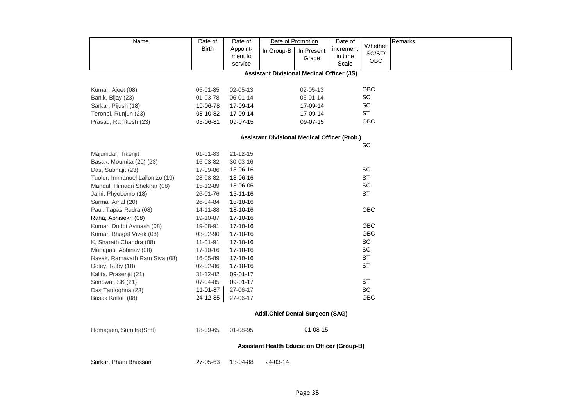| Name                                                | Date of                         | Date of        | Date of Promotion                                   |                | Date of   |                              | Remarks |  |  |  |
|-----------------------------------------------------|---------------------------------|----------------|-----------------------------------------------------|----------------|-----------|------------------------------|---------|--|--|--|
|                                                     | Birth                           | Appoint-       | In Group-B                                          | In Present     | increment | Whether<br>SC/ST/            |         |  |  |  |
|                                                     |                                 | ment to        |                                                     | Grade          | in time   | <b>OBC</b>                   |         |  |  |  |
|                                                     |                                 | service        |                                                     |                | Scale     |                              |         |  |  |  |
|                                                     |                                 |                | <b>Assistant Divisional Medical Officer (JS)</b>    |                |           |                              |         |  |  |  |
| Kumar, Ajeet (08)                                   | 05-01-85                        | 02-05-13       |                                                     | $02 - 05 - 13$ |           | OBC                          |         |  |  |  |
| Banik, Bijay (23)                                   | 01-03-78                        | 06-01-14       |                                                     | 06-01-14       |           | SC                           |         |  |  |  |
| Sarkar, Pijush (18)                                 | 10-06-78                        | 17-09-14       |                                                     | 17-09-14       |           | SC                           |         |  |  |  |
| Teronpi, Runjun (23)                                | 08-10-82                        | 17-09-14       |                                                     | 17-09-14       |           | ST                           |         |  |  |  |
| Prasad, Ramkesh (23)                                | 05-06-81                        | 09-07-15       |                                                     | 09-07-15       |           | OBC                          |         |  |  |  |
| <b>Assistant Divisional Medical Officer (Prob.)</b> |                                 |                |                                                     |                |           |                              |         |  |  |  |
| SC                                                  |                                 |                |                                                     |                |           |                              |         |  |  |  |
| Majumdar, Tikenjit                                  | 01-01-83                        | $21 - 12 - 15$ |                                                     |                |           |                              |         |  |  |  |
| Basak, Moumita (20) (23)                            | 16-03-82                        | 30-03-16       |                                                     |                |           |                              |         |  |  |  |
| Das, Subhajit (23)                                  | 17-09-86                        | 13-06-16       |                                                     |                |           | SC                           |         |  |  |  |
| Tuolor, Immanuel Lallomzo (19)                      | 28-08-82                        | 13-06-16       |                                                     |                |           | <b>ST</b>                    |         |  |  |  |
| Mandal, Himadri Shekhar (08)                        | 15-12-89                        | 13-06-06       |                                                     |                |           | SC                           |         |  |  |  |
| Jami, Phyobemo (18)                                 | 26-01-76                        | 15-11-16       |                                                     |                |           | <b>ST</b>                    |         |  |  |  |
| Sarma, Amal (20)                                    | 26-04-84                        | 18-10-16       |                                                     |                |           |                              |         |  |  |  |
| Paul, Tapas Rudra (08)                              | 14-11-88                        | 18-10-16       |                                                     |                |           | OBC                          |         |  |  |  |
| Raha, Abhisekh (08)                                 | 19-10-87                        | 17-10-16       |                                                     |                |           |                              |         |  |  |  |
| Kumar, Doddi Avinash (08)                           | 19-08-91                        | 17-10-16       |                                                     |                |           | OBC                          |         |  |  |  |
| Kumar, Bhagat Vivek (08)                            | 03-02-90                        | 17-10-16       |                                                     |                |           | OBC                          |         |  |  |  |
| K, Sharath Chandra (08)                             | 11-01-91                        | 17-10-16       |                                                     |                |           | $\operatorname{\textsf{SC}}$ |         |  |  |  |
| Marlapati, Abhinav (08)                             | 17-10-16                        | 17-10-16       |                                                     |                |           | SC                           |         |  |  |  |
| Nayak, Ramavath Ram Siva (08)                       | 16-05-89                        | 17-10-16       |                                                     |                |           | <b>ST</b>                    |         |  |  |  |
| Doley, Ruby (18)                                    | 02-02-86                        | 17-10-16       |                                                     |                |           | <b>ST</b>                    |         |  |  |  |
| Kalita. Prasenjit (21)                              | 31-12-82                        | 09-01-17       |                                                     |                |           |                              |         |  |  |  |
| Sonowal, SK (21)                                    | 07-04-85                        | 09-01-17       |                                                     |                |           | <b>ST</b>                    |         |  |  |  |
| Das Tamoghna (23)                                   | 11-01-87                        | 27-06-17       |                                                     |                |           | SC                           |         |  |  |  |
| Basak Kallol (08)                                   | 24-12-85                        | 27-06-17       |                                                     |                |           | OBC                          |         |  |  |  |
|                                                     | Addl.Chief Dental Surgeon (SAG) |                |                                                     |                |           |                              |         |  |  |  |
| Homagain, Sumitra(Smt)                              | 18-09-65                        | 01-08-95       |                                                     | $01 - 08 - 15$ |           |                              |         |  |  |  |
|                                                     |                                 |                | <b>Assistant Health Education Officer (Group-B)</b> |                |           |                              |         |  |  |  |
| Sarkar, Phani Bhussan                               | 27-05-63                        | 13-04-88       | 24-03-14                                            |                |           |                              |         |  |  |  |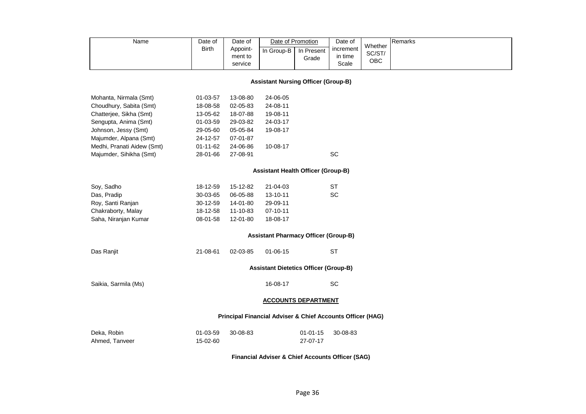| Name                                       | Date of<br><b>Birth</b> | Date of<br>Appoint-<br>ment to<br>service | Date of Promotion<br>In Group-B                            | In Present<br>Grade        | Date of<br>increment<br>in time<br>Scale | Whether<br>SC/ST/<br>OBC | Remarks |  |  |  |  |
|--------------------------------------------|-------------------------|-------------------------------------------|------------------------------------------------------------|----------------------------|------------------------------------------|--------------------------|---------|--|--|--|--|
| <b>Assistant Nursing Officer (Group-B)</b> |                         |                                           |                                                            |                            |                                          |                          |         |  |  |  |  |
| Mohanta, Nirmala (Smt)                     | 01-03-57                | 13-08-80                                  | 24-06-05                                                   |                            |                                          |                          |         |  |  |  |  |
| Choudhury, Sabita (Smt)                    | 18-08-58                | 02-05-83                                  | 24-08-11                                                   |                            |                                          |                          |         |  |  |  |  |
| Chatterjee, Sikha (Smt)                    | 13-05-62                | 18-07-88                                  | 19-08-11                                                   |                            |                                          |                          |         |  |  |  |  |
| Sengupta, Anima (Smt)                      | 01-03-59                | 29-03-82                                  | 24-03-17                                                   |                            |                                          |                          |         |  |  |  |  |
| Johnson, Jessy (Smt)                       | 29-05-60                | 05-05-84                                  | 19-08-17                                                   |                            |                                          |                          |         |  |  |  |  |
| Majumder, Alpana (Smt)                     | 24-12-57                | 07-01-87                                  |                                                            |                            |                                          |                          |         |  |  |  |  |
| Medhi, Pranati Aidew (Smt)                 | $01 - 11 - 62$          | 24-06-86                                  | 10-08-17                                                   |                            |                                          |                          |         |  |  |  |  |
| Majumder, Sihikha (Smt)                    | 28-01-66                | 27-08-91                                  |                                                            |                            | SC                                       |                          |         |  |  |  |  |
| <b>Assistant Health Officer (Group-B)</b>  |                         |                                           |                                                            |                            |                                          |                          |         |  |  |  |  |
| Soy, Sadho                                 | 18-12-59                | 15-12-82                                  | 21-04-03                                                   |                            | <b>ST</b>                                |                          |         |  |  |  |  |
| Das, Pradip                                | 30-03-65                | 06-05-88                                  | 13-10-11                                                   |                            | <b>SC</b>                                |                          |         |  |  |  |  |
| Roy, Santi Ranjan                          | 30-12-59                | 14-01-80                                  | 29-09-11                                                   |                            |                                          |                          |         |  |  |  |  |
| Chakraborty, Malay                         | 18-12-58                | 11-10-83                                  | 07-10-11                                                   |                            |                                          |                          |         |  |  |  |  |
| Saha, Niranjan Kumar                       | 08-01-58                | 12-01-80                                  | 18-08-17                                                   |                            |                                          |                          |         |  |  |  |  |
|                                            |                         |                                           | <b>Assistant Pharmacy Officer (Group-B)</b>                |                            |                                          |                          |         |  |  |  |  |
| Das Ranjit                                 | 21-08-61                | 02-03-85                                  | $01 - 06 - 15$                                             |                            | <b>ST</b>                                |                          |         |  |  |  |  |
|                                            |                         |                                           | <b>Assistant Dietetics Officer (Group-B)</b>               |                            |                                          |                          |         |  |  |  |  |
| Saikia, Sarmila (Ms)                       |                         |                                           | 16-08-17                                                   |                            | SC                                       |                          |         |  |  |  |  |
| <b>ACCOUNTS DEPARTMENT</b>                 |                         |                                           |                                                            |                            |                                          |                          |         |  |  |  |  |
|                                            |                         |                                           | Principal Financial Adviser & Chief Accounts Officer (HAG) |                            |                                          |                          |         |  |  |  |  |
| Deka, Robin<br>Ahmed, Tanveer              | 01-03-59<br>15-02-60    | 30-08-83                                  |                                                            | $01 - 01 - 15$<br>27-07-17 | 30-08-83                                 |                          |         |  |  |  |  |

**Financial Adviser & Chief Accounts Officer (SAG)**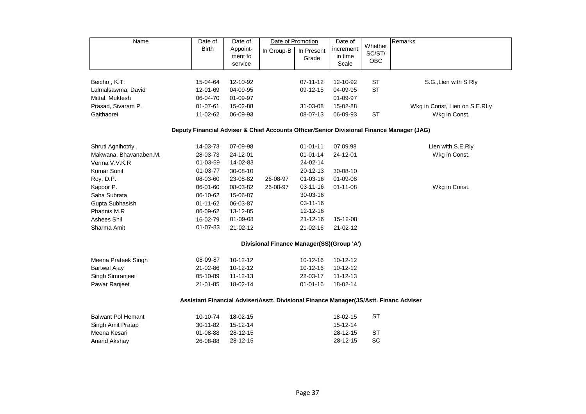| Name                      | Date of                                                                                   | Date of        |                                           | Date of Promotion | Date of        |                   | Remarks                       |
|---------------------------|-------------------------------------------------------------------------------------------|----------------|-------------------------------------------|-------------------|----------------|-------------------|-------------------------------|
|                           | <b>Birth</b>                                                                              | Appoint-       | In Group-B                                | In Present        | increment      | Whether<br>SC/ST/ |                               |
|                           |                                                                                           | ment to        |                                           | Grade             | in time        | OBC               |                               |
|                           |                                                                                           | service        |                                           |                   | Scale          |                   |                               |
| Beicho, K.T.              | 15-04-64                                                                                  | 12-10-92       |                                           | $07 - 11 - 12$    | 12-10-92       | <b>ST</b>         | S.G., Lien with S Rly         |
| Lalmalsawma, David        | 12-01-69                                                                                  | 04-09-95       |                                           | 09-12-15          | 04-09-95       | <b>ST</b>         |                               |
| Mittal, Muktesh           | 06-04-70                                                                                  | 01-09-97       |                                           |                   | 01-09-97       |                   |                               |
| Prasad, Sivaram P.        | 01-07-61                                                                                  | 15-02-88       |                                           | 31-03-08          | 15-02-88       |                   | Wkg in Const, Lien on S.E.RLy |
| Gaithaorei                | 11-02-62                                                                                  | 06-09-93       |                                           | 08-07-13          | 06-09-93       | <b>ST</b>         | Wkg in Const.                 |
|                           | Deputy Financial Adviser & Chief Accounts Officer/Senior Divisional Finance Manager (JAG) |                |                                           |                   |                |                   |                               |
| Shruti Agnihotriy.        | 14-03-73                                                                                  | 07-09-98       |                                           | $01 - 01 - 11$    | 07.09.98       |                   | Lien with S.E.Rly             |
| Makwana, Bhavanaben.M.    | 28-03-73                                                                                  | 24-12-01       |                                           | $01 - 01 - 14$    | 24-12-01       |                   | Wkg in Const.                 |
| Verma V.V.K.R             | 01-03-59                                                                                  | 14-02-83       |                                           | 24-02-14          |                |                   |                               |
| <b>Kumar Sunil</b>        | 01-03-77                                                                                  | 30-08-10       |                                           | 20-12-13          | 30-08-10       |                   |                               |
| Roy, D.P.                 | 08-03-60                                                                                  | 23-08-82       | 26-08-97                                  | $01 - 03 - 16$    | $01 - 09 - 08$ |                   |                               |
| Kapoor P.                 | 06-01-60                                                                                  | 08-03-82       | 26-08-97                                  | 03-11-16          | $01 - 11 - 08$ |                   | Wkg in Const.                 |
| Saha Subrata              | 06-10-62                                                                                  | 15-06-87       |                                           | 30-03-16          |                |                   |                               |
| Gupta Subhasish           | $01 - 11 - 62$                                                                            | 06-03-87       |                                           | 03-11-16          |                |                   |                               |
| Phadnis M.R               | 06-09-62                                                                                  | 13-12-85       |                                           | 12-12-16          |                |                   |                               |
| Ashees Shil               | 16-02-79                                                                                  | 01-09-08       |                                           | $21 - 12 - 16$    | 15-12-08       |                   |                               |
| Sharma Amit               | $01 - 07 - 83$                                                                            | $21 - 02 - 12$ |                                           | $21 - 02 - 16$    | $21 - 02 - 12$ |                   |                               |
|                           |                                                                                           |                | Divisional Finance Manager(SS)(Group 'A') |                   |                |                   |                               |
| Meena Prateek Singh       | 08-09-87                                                                                  | 10-12-12       |                                           | $10 - 12 - 16$    | 10-12-12       |                   |                               |
| <b>Bartwal Ajay</b>       | 21-02-86                                                                                  | 10-12-12       |                                           | $10-12-16$        | 10-12-12       |                   |                               |
| Singh Simranjeet          | 05-10-89                                                                                  | $11 - 12 - 13$ |                                           | 22-03-17          | $11 - 12 - 13$ |                   |                               |
| Pawar Ranjeet             | 21-01-85                                                                                  | 18-02-14       |                                           | $01 - 01 - 16$    | 18-02-14       |                   |                               |
|                           | Assistant Financial Adviser/Asstt. Divisional Finance Manager(JS/Astt. Financ Adviser     |                |                                           |                   |                |                   |                               |
| <b>Balwant Pol Hemant</b> | 10-10-74                                                                                  | 18-02-15       |                                           |                   | 18-02-15       | <b>ST</b>         |                               |
| Singh Amit Pratap         | 30-11-82                                                                                  | 15-12-14       |                                           |                   | 15-12-14       |                   |                               |
| Meena Kesari              | 01-08-88                                                                                  | 28-12-15       |                                           |                   | 28-12-15       | <b>ST</b>         |                               |
| Anand Akshay              | 26-08-88                                                                                  | 28-12-15       |                                           |                   | 28-12-15       | <b>SC</b>         |                               |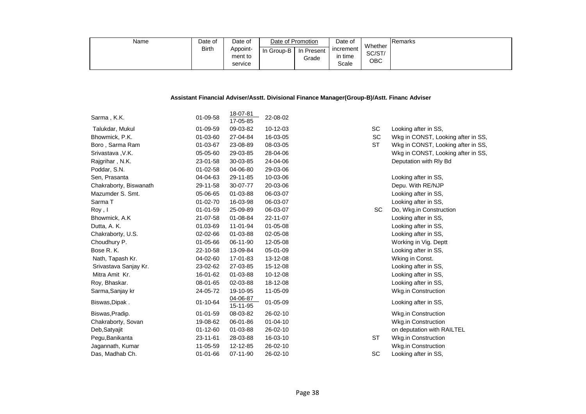| Name | Date of      | Date of  | Date of Promotion |            | Date of            |                   | Remarks |
|------|--------------|----------|-------------------|------------|--------------------|-------------------|---------|
|      | <b>Birth</b> | Appoint- | In Group-B        | In Present | <b>1</b> increment | Whether<br>SC/ST/ |         |
|      |              | ment to  |                   | Grade      | ⊧time              | ОВС               |         |
|      |              | service  |                   |            | Scale              |                   |         |

#### **Assistant Financial Adviser/Asstt. Divisional Finance Manager(Group-B)/Astt. Financ Adviser**

|                        |                | 18-07-81             |                |           |                                    |
|------------------------|----------------|----------------------|----------------|-----------|------------------------------------|
| Sarma, K.K.            | 01-09-58       | 17-05-85             | 22-08-02       |           |                                    |
| Talukdar, Mukul        | 01-09-59       | 09-03-82             | 10-12-03       | SC        | Looking after in SS,               |
| Bhowmick, P.K.         | 01-03-60       | 27-04-84             | 16-03-05       | SC        | Wkg in CONST, Looking after in SS, |
| Boro, Sarma Ram        | 01-03-67       | 23-08-89             | 08-03-05       | <b>ST</b> | Wkg in CONST, Looking after in SS, |
| Srivastava, V.K.       | 05-05-60       | 29-03-85             | 28-04-06       |           | Wkg in CONST, Looking after in SS, |
| Rajgrihar, N.K.        | 23-01-58       | 30-03-85             | 24-04-06       |           | Deputation with Rly Bd             |
| Poddar, S.N.           | $01 - 02 - 58$ | 04-06-80             | 29-03-06       |           |                                    |
| Sen, Prasanta          | 04-04-63       | 29-11-85             | 10-03-06       |           | Looking after in SS,               |
| Chakraborty, Biswanath | 29-11-58       | 30-07-77             | 20-03-06       |           | Depu. With RE/NJP                  |
| Mazumder S. Smt.       | 05-06-65       | 01-03-88             | 06-03-07       |           | Looking after in SS,               |
| Sarma T                | $01 - 02 - 70$ | 16-03-98             | 06-03-07       |           | Looking after in SS,               |
| Roy, I                 | $01 - 01 - 59$ | 25-09-89             | 06-03-07       | SC        | Do, Wkg.in Construction            |
| Bhowmick, A.K.         | 21-07-58       | 01-08-84             | 22-11-07       |           | Looking after in SS,               |
| Dutta, A. K.           | 01.03-69       | 11-01-94             | $01 - 05 - 08$ |           | Looking after in SS,               |
| Chakraborty, U.S.      | 02-02-66       | 01-03-88             | 02-05-08       |           | Looking after in SS,               |
| Choudhury P.           | 01-05-66       | 06-11-90             | 12-05-08       |           | Working in Vig. Deptt              |
| Bose R. K.             | 22-10-58       | 13-09-84             | 05-01-09       |           | Looking after in SS,               |
| Nath, Tapash Kr.       | 04-02-60       | 17-01-83             | 13-12-08       |           | Wking in Const.                    |
| Srivastava Sanjay Kr.  | 23-02-62       | 27-03-85             | 15-12-08       |           | Looking after in SS,               |
| Mitra Amit Kr.         | 16-01-62       | 01-03-88             | 10-12-08       |           | Looking after in SS,               |
| Roy, Bhaskar.          | 08-01-65       | 02-03-88             | 18-12-08       |           | Looking after in SS,               |
| Sarma, Sanjay kr       | 24-05-72       | 19-10-95             | 11-05-09       |           | Wkg.in Construction                |
| Biswas, Dipak.         | 01-10-64       | 04-06-87<br>15-11-95 | 01-05-09       |           | Looking after in SS,               |
| Biswas, Pradip.        | $01 - 01 - 59$ | 08-03-82             | 26-02-10       |           | <b>Wkg.in Construction</b>         |
| Chakraborty, Sovan     | 19-08-62       | 06-01-86             | $01 - 04 - 10$ |           | Wkg.in Construction                |
| Deb, Satyajit          | $01 - 12 - 60$ | 01-03-88             | 26-02-10       |           | on deputation with RAILTEL         |
| Pegu, Banikanta        | 23-11-61       | 28-03-88             | 16-03-10       | <b>ST</b> | Wkg.in Construction                |
| Jagannath, Kumar       | 11-05-59       | 12-12-85             | 26-02-10       |           | Wkg.in Construction                |
| Das, Madhab Ch.        | $01 - 01 - 66$ | 07-11-90             | 26-02-10       | SC        | Looking after in SS,               |
|                        |                |                      |                |           |                                    |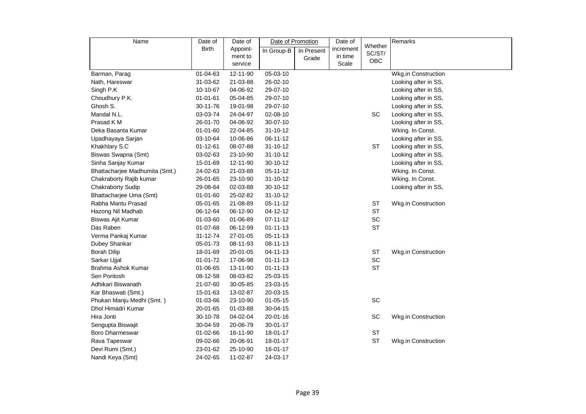| Name                           | Date of        | Date of  | Date of Promotion |            | Date of   |                   | Remarks                    |
|--------------------------------|----------------|----------|-------------------|------------|-----------|-------------------|----------------------------|
|                                | Birth          | Appoint- | In Group-B        | In Present | increment | Whether<br>SC/ST/ |                            |
|                                |                | ment to  |                   | Grade      | in time   | OBC               |                            |
|                                |                | service  |                   |            | Scale     |                   |                            |
| Barman, Parag                  | 01-04-63       | 12-11-90 | 05-03-10          |            |           |                   | Wkg.in Construction        |
| Nath, Hareswar                 | 31-03-62       | 21-03-88 | 26-02-10          |            |           |                   | Looking after in SS,       |
| Singh P.K                      | 10-10-67       | 04-06-92 | 29-07-10          |            |           |                   | Looking after in SS,       |
| Choudhury P.K.                 | $01 - 01 - 61$ | 05-04-85 | 29-07-10          |            |           |                   | Looking after in SS,       |
| Ghosh S.                       | 30-11-76       | 19-01-98 | 29-07-10          |            |           |                   | Looking after in SS,       |
| Mandal N.L.                    | 03-03-74       | 24-04-97 | 02-08-10          |            |           | SC                | Looking after in SS,       |
| Prasad K M                     | 26-01-70       | 04-06-92 | 30-07-10          |            |           |                   | Looking after in SS,       |
| Deka Basanta Kumar             | $01 - 01 - 60$ | 22-04-85 | $31 - 10 - 12$    |            |           |                   | Wking. In Const.           |
| Upadhayaya Sarjan              | 03-10-64       | 10-06-86 | 06-11-12          |            |           |                   | Looking after in SS,       |
| Khakhlary S.C                  | $01 - 12 - 61$ | 08-07-88 | 31-10-12          |            |           | <b>ST</b>         | Looking after in SS,       |
| Biswas Swapna (Smt)            | 03-02-63       | 23-10-90 | 31-10-12          |            |           |                   | Looking after in SS,       |
| Sinha Sanjay Kumar             | 15-01-69       | 12-11-90 | 30-10-12          |            |           |                   | Looking after in SS,       |
| Bhattacharjee Madhumita (Smt.) | 24-02-63       | 21-03-88 | 05-11-12          |            |           |                   | Wking. In Const.           |
| Chakraborty Rajib kumar        | 26-01-65       | 23-10-90 | $31 - 10 - 12$    |            |           |                   | Wking. In Const.           |
| <b>Chakraborty Sudip</b>       | 29-08-64       | 02-03-88 | 30-10-12          |            |           |                   | Looking after in SS,       |
| Bhattacharjee Uma (Smt)        | $01 - 01 - 60$ | 25-02-82 | $31 - 10 - 12$    |            |           |                   |                            |
| Rabha Mantu Prasad             | 05-01-65       | 21-08-89 | 05-11-12          |            |           | ST                | Wkg.in Construction        |
| Hazong Nil Madhab              | 06-12-64       | 06-12-90 | 04-12-12          |            |           | <b>ST</b>         |                            |
| Biswas Ajit Kumar              | 01-03-60       | 01-06-89 | 07-11-12          |            |           | SC                |                            |
| Das Raben                      | 01-07-68       | 06-12-99 | $01 - 11 - 13$    |            |           | <b>ST</b>         |                            |
| Verma Pankaj Kumar             | 31-12-74       | 27-01-05 | 05-11-13          |            |           |                   |                            |
| Dubey Shankar                  | 05-01-73       | 08-11-93 | 08-11-13          |            |           |                   |                            |
| <b>Borah Dilip</b>             | 18-01-69       | 20-01-05 | 04-11-13          |            |           | <b>ST</b>         | <b>Wkg.in Construction</b> |
| Sarkar Ujjal                   | 01-01-72       | 17-06-98 | $01 - 11 - 13$    |            |           | SC                |                            |
| Brahma Ashok Kumar             | 01-06-65       | 13-11-90 | $01 - 11 - 13$    |            |           | <b>ST</b>         |                            |
| Sen Poritosh                   | 08-12-58       | 08-03-82 | 25-03-15          |            |           |                   |                            |
| Adhikari Biswanath             | 21-07-60       | 30-05-85 | 23-03-15          |            |           |                   |                            |
| Kar Bhaswati (Smt.)            | 15-01-63       | 13-02-87 | 20-03-15          |            |           |                   |                            |
| Phukan Manju Medhi (Smt.)      | 01-03-66       | 23-10-90 | $01 - 05 - 15$    |            |           | SC                |                            |
| Dhol Himadri Kumar             | 20-01-65       | 01-03-88 | 30-04-15          |            |           |                   |                            |
| Hira Jonti                     | 30-10-78       | 04-02-04 | 20-01-16          |            |           | SC                | Wkg.in Construction        |
| Sengupta Biswajit              | 30-04-59       | 20-06-79 | 30-01-17          |            |           |                   |                            |
| <b>Boro Dharmeswar</b>         | 01-02-66       | 16-11-90 | 18-01-17          |            |           | <b>ST</b>         |                            |
| Rava Tapeswar                  | 09-02-66       | 20-06-91 | 18-01-17          |            |           | <b>ST</b>         | Wkg.in Construction        |
| Devi Rumi (Smt.)               | 23-01-62       | 25-10-90 | 16-01-17          |            |           |                   |                            |
| Nandi Keya (Smt)               | 24-02-65       | 11-02-87 | 24-03-17          |            |           |                   |                            |